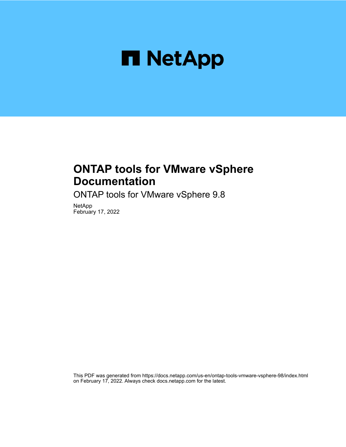

# **ONTAP tools for VMware vSphere Documentation**

ONTAP tools for VMware vSphere 9.8

NetApp February 17, 2022

This PDF was generated from https://docs.netapp.com/us-en/ontap-tools-vmware-vsphere-98/index.html on February 17, 2022. Always check docs.netapp.com for the latest.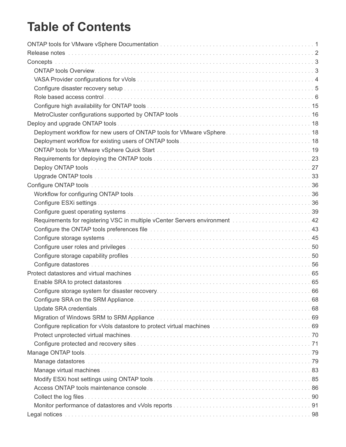# **Table of Contents**

| Concepts                                                                                                                                                                                                                       |    |
|--------------------------------------------------------------------------------------------------------------------------------------------------------------------------------------------------------------------------------|----|
|                                                                                                                                                                                                                                |    |
|                                                                                                                                                                                                                                |    |
|                                                                                                                                                                                                                                |    |
|                                                                                                                                                                                                                                |    |
|                                                                                                                                                                                                                                |    |
|                                                                                                                                                                                                                                |    |
|                                                                                                                                                                                                                                |    |
| Deployment workflow for new users of ONTAP tools for VMware vSphere 18                                                                                                                                                         |    |
|                                                                                                                                                                                                                                |    |
|                                                                                                                                                                                                                                |    |
|                                                                                                                                                                                                                                |    |
|                                                                                                                                                                                                                                |    |
|                                                                                                                                                                                                                                |    |
|                                                                                                                                                                                                                                |    |
|                                                                                                                                                                                                                                |    |
|                                                                                                                                                                                                                                |    |
|                                                                                                                                                                                                                                |    |
| Requirements for registering VSC in multiple vCenter Servers environment [1] [1]  42                                                                                                                                           |    |
| Configure the ONTAP tools preferences file mature of the contract of the configure the ONTAP tools preferences file mature of the contract of the contract of 43                                                               |    |
|                                                                                                                                                                                                                                |    |
|                                                                                                                                                                                                                                |    |
|                                                                                                                                                                                                                                |    |
|                                                                                                                                                                                                                                |    |
|                                                                                                                                                                                                                                |    |
|                                                                                                                                                                                                                                |    |
| Configure storage system for disaster recovery.                                                                                                                                                                                | 66 |
|                                                                                                                                                                                                                                |    |
|                                                                                                                                                                                                                                |    |
|                                                                                                                                                                                                                                |    |
|                                                                                                                                                                                                                                |    |
|                                                                                                                                                                                                                                |    |
|                                                                                                                                                                                                                                |    |
|                                                                                                                                                                                                                                |    |
| Manage datastores with the contract of the contract of the contract of the contract of the contract of the contract of the contract of the contract of the contract of the contract of the contract of the contract of the con |    |
|                                                                                                                                                                                                                                |    |
|                                                                                                                                                                                                                                |    |
|                                                                                                                                                                                                                                |    |
|                                                                                                                                                                                                                                |    |
|                                                                                                                                                                                                                                |    |
|                                                                                                                                                                                                                                |    |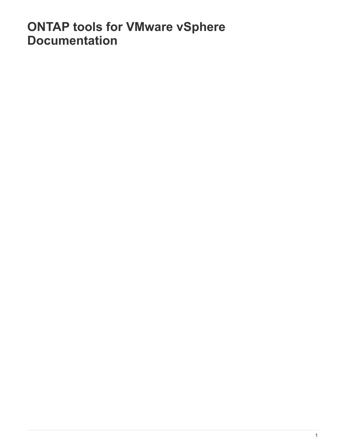# <span id="page-3-0"></span>**ONTAP tools for VMware vSphere Documentation**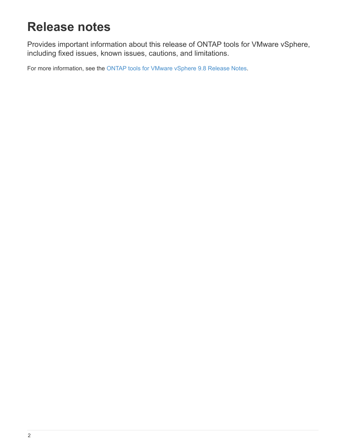# <span id="page-4-0"></span>**Release notes**

Provides important information about this release of ONTAP tools for VMware vSphere, including fixed issues, known issues, cautions, and limitations.

For more information, see the [ONTAP tools for VMware vSphere 9.8 Release Notes.](https://library.netapp.com/ecm/ecm_download_file/ECMLP2875589)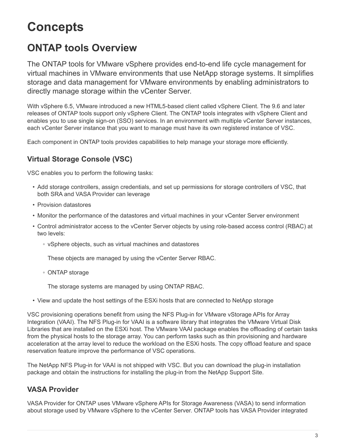# <span id="page-5-0"></span>**Concepts**

# <span id="page-5-1"></span>**ONTAP tools Overview**

The ONTAP tools for VMware vSphere provides end-to-end life cycle management for virtual machines in VMware environments that use NetApp storage systems. It simplifies storage and data management for VMware environments by enabling administrators to directly manage storage within the vCenter Server.

With vSphere 6.5, VMware introduced a new HTML5-based client called vSphere Client. The 9.6 and later releases of ONTAP tools support only vSphere Client. The ONTAP tools integrates with vSphere Client and enables you to use single sign-on (SSO) services. In an environment with multiple vCenter Server instances, each vCenter Server instance that you want to manage must have its own registered instance of VSC.

Each component in ONTAP tools provides capabilities to help manage your storage more efficiently.

## **Virtual Storage Console (VSC)**

VSC enables you to perform the following tasks:

- Add storage controllers, assign credentials, and set up permissions for storage controllers of VSC, that both SRA and VASA Provider can leverage
- Provision datastores
- Monitor the performance of the datastores and virtual machines in your vCenter Server environment
- Control administrator access to the vCenter Server objects by using role-based access control (RBAC) at two levels:
	- vSphere objects, such as virtual machines and datastores

These objects are managed by using the vCenter Server RBAC.

◦ ONTAP storage

The storage systems are managed by using ONTAP RBAC.

• View and update the host settings of the ESXi hosts that are connected to NetApp storage

VSC provisioning operations benefit from using the NFS Plug-in for VMware vStorage APIs for Array Integration (VAAI). The NFS Plug-in for VAAI is a software library that integrates the VMware Virtual Disk Libraries that are installed on the ESXi host. The VMware VAAI package enables the offloading of certain tasks from the physical hosts to the storage array. You can perform tasks such as thin provisioning and hardware acceleration at the array level to reduce the workload on the ESXi hosts. The copy offload feature and space reservation feature improve the performance of VSC operations.

The NetApp NFS Plug-in for VAAI is not shipped with VSC. But you can download the plug-in installation package and obtain the instructions for installing the plug-in from the NetApp Support Site.

## **VASA Provider**

VASA Provider for ONTAP uses VMware vSphere APIs for Storage Awareness (VASA) to send information about storage used by VMware vSphere to the vCenter Server. ONTAP tools has VASA Provider integrated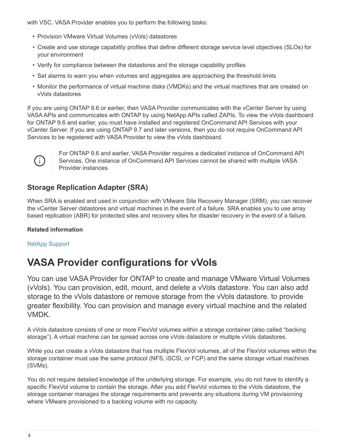with VSC. VASA Provider enables you to perform the following tasks:

- Provision VMware Virtual Volumes (vVols) datastores
- Create and use storage capability profiles that define different storage service level objectives (SLOs) for your environment
- Verify for compliance between the datastores and the storage capability profiles
- Set alarms to warn you when volumes and aggregates are approaching the threshold limits
- Monitor the performance of virtual machine disks (VMDKs) and the virtual machines that are created on vVols datastores

If you are using ONTAP 9.6 or earlier, then VASA Provider communicates with the vCenter Server by using VASA APIs and communicates with ONTAP by using NetApp APIs called ZAPIs. To view the vVols dashboard for ONTAP 9.6 and earlier, you must have installed and registered OnCommand API Services with your vCenter Server. If you are using ONTAP 9.7 and later versions, then you do not require OnCommand API Services to be registered with VASA Provider to view the vVols dashboard.



For ONTAP 9.6 and earlier, VASA Provider requires a dedicated instance of OnCommand API Services. One instance of OnCommand API Services cannot be shared with multiple VASA Provider instances.

## **Storage Replication Adapter (SRA)**

When SRA is enabled and used in conjunction with VMware Site Recovery Manager (SRM), you can recover the vCenter Server datastores and virtual machines in the event of a failure. SRA enables you to use array based replication (ABR) for protected sites and recovery sites for disaster recovery in the event of a failure.

## **Related information**

[NetApp Support](https://mysupport.netapp.com/site/global/dashboard)

# <span id="page-6-0"></span>**VASA Provider configurations for vVols**

You can use VASA Provider for ONTAP to create and manage VMware Virtual Volumes (vVols). You can provision, edit, mount, and delete a vVols datastore. You can also add storage to the vVols datastore or remove storage from the vVols datastore. to provide greater flexibility. You can provision and manage every virtual machine and the related VMDK.

A vVols datastore consists of one or more FlexVol volumes within a storage container (also called "backing storage"). A virtual machine can be spread across one vVols datastore or multiple vVols datastores.

While you can create a vVols datastore that has multiple FlexVol volumes, all of the FlexVol volumes within the storage container must use the same protocol (NFS, iSCSI, or FCP) and the same storage virtual machines (SVMs).

You do not require detailed knowledge of the underlying storage. For example, you do not have to identify a specific FlexVol volume to contain the storage. After you add FlexVol volumes to the vVols datastore, the storage container manages the storage requirements and prevents any situations during VM provisioning where VMware provisioned to a backing volume with no capacity.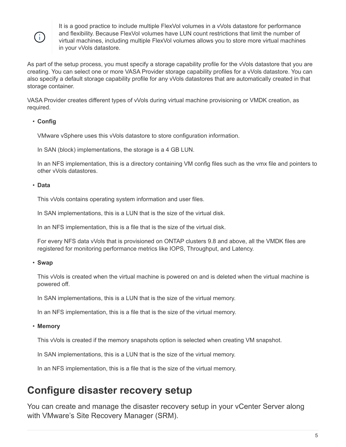

It is a good practice to include multiple FlexVol volumes in a vVols datastore for performance and flexibility. Because FlexVol volumes have LUN count restrictions that limit the number of virtual machines, including multiple FlexVol volumes allows you to store more virtual machines in your vVols datastore.

As part of the setup process, you must specify a storage capability profile for the vVols datastore that you are creating. You can select one or more VASA Provider storage capability profiles for a vVols datastore. You can also specify a default storage capability profile for any vVols datastores that are automatically created in that storage container.

VASA Provider creates different types of vVols during virtual machine provisioning or VMDK creation, as required.

## • **Config**

VMware vSphere uses this vVols datastore to store configuration information.

In SAN (block) implementations, the storage is a 4 GB LUN.

In an NFS implementation, this is a directory containing VM config files such as the vmx file and pointers to other vVols datastores.

#### • **Data**

This vVols contains operating system information and user files.

In SAN implementations, this is a LUN that is the size of the virtual disk.

In an NFS implementation, this is a file that is the size of the virtual disk.

For every NFS data vVols that is provisioned on ONTAP clusters 9.8 and above, all the VMDK files are registered for monitoring performance metrics like IOPS, Throughput, and Latency.

#### • **Swap**

This vVols is created when the virtual machine is powered on and is deleted when the virtual machine is powered off.

In SAN implementations, this is a LUN that is the size of the virtual memory.

In an NFS implementation, this is a file that is the size of the virtual memory.

• **Memory**

This vVols is created if the memory snapshots option is selected when creating VM snapshot.

In SAN implementations, this is a LUN that is the size of the virtual memory.

In an NFS implementation, this is a file that is the size of the virtual memory.

# <span id="page-7-0"></span>**Configure disaster recovery setup**

You can create and manage the disaster recovery setup in your vCenter Server along with VMware's Site Recovery Manager (SRM).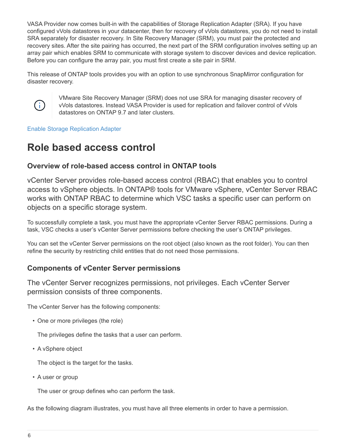VASA Provider now comes built-in with the capabilities of Storage Replication Adapter (SRA). If you have configured vVols datastores in your datacenter, then for recovery of vVols datastores, you do not need to install SRA separately for disaster recovery. In Site Recovery Manager (SRM), you must pair the protected and recovery sites. After the site pairing has occurred, the next part of the SRM configuration involves setting up an array pair which enables SRM to communicate with storage system to discover devices and device replication. Before you can configure the array pair, you must first create a site pair in SRM.

This release of ONTAP tools provides you with an option to use synchronous SnapMirror configuration for disaster recovery.



VMware Site Recovery Manager (SRM) does not use SRA for managing disaster recovery of vVols datastores. Instead VASA Provider is used for replication and failover control of vVols datastores on ONTAP 9.7 and later clusters.

[Enable Storage Replication Adapter](#page-67-1)

# <span id="page-8-0"></span>**Role based access control**

## **Overview of role-based access control in ONTAP tools**

vCenter Server provides role-based access control (RBAC) that enables you to control access to vSphere objects. In ONTAP® tools for VMware vSphere, vCenter Server RBAC works with ONTAP RBAC to determine which VSC tasks a specific user can perform on objects on a specific storage system.

To successfully complete a task, you must have the appropriate vCenter Server RBAC permissions. During a task, VSC checks a user's vCenter Server permissions before checking the user's ONTAP privileges.

You can set the vCenter Server permissions on the root object (also known as the root folder). You can then refine the security by restricting child entities that do not need those permissions.

## **Components of vCenter Server permissions**

The vCenter Server recognizes permissions, not privileges. Each vCenter Server permission consists of three components.

The vCenter Server has the following components:

• One or more privileges (the role)

The privileges define the tasks that a user can perform.

• A vSphere object

The object is the target for the tasks.

• A user or group

The user or group defines who can perform the task.

As the following diagram illustrates, you must have all three elements in order to have a permission.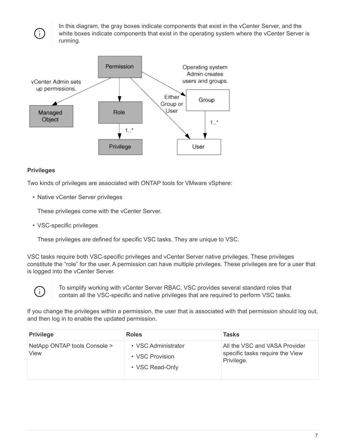In this diagram, the gray boxes indicate components that exist in the vCenter Server, and the white boxes indicate components that exist in the operating system where the vCenter Server is running.



## **Privileges**

Ť.

Two kinds of privileges are associated with ONTAP tools for VMware vSphere:

• Native vCenter Server privileges

These privileges come with the vCenter Server.

• VSC-specific privileges

These privileges are defined for specific VSC tasks. They are unique to VSC.

VSC tasks require both VSC-specific privileges and vCenter Server native privileges. These privileges constitute the "role" for the user. A permission can have multiple privileges. These privileges are for a user that is logged into the vCenter Server.



To simplify working with vCenter Server RBAC, VSC provides several standard roles that contain all the VSC-specific and native privileges that are required to perform VSC tasks.

If you change the privileges within a permission, the user that is associated with that permission should log out, and then log in to enable the updated permission.

| <b>Privilege</b>                     | <b>Roles</b>                                              | Tasks                                                                          |
|--------------------------------------|-----------------------------------------------------------|--------------------------------------------------------------------------------|
| NetApp ONTAP tools Console ><br>View | • VSC Administrator<br>• VSC Provision<br>• VSC Read-Only | All the VSC and VASA Provider<br>specific tasks require the View<br>Privilege. |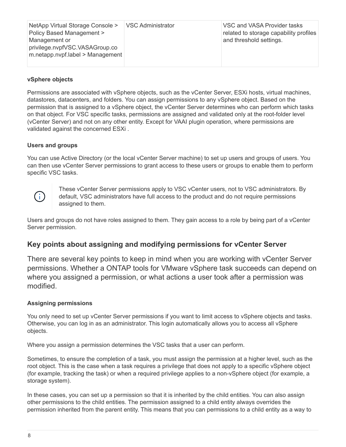| and threshold settings.<br>Management or<br>privilege.nvpfVSC.VASAGroup.co<br>m.netapp.nvpf.label > Management | NetApp Virtual Storage Console ><br>Policy Based Management > | <b>VSC Administrator</b> | VSC and VASA Provider tasks<br>related to storage capability profiles |
|----------------------------------------------------------------------------------------------------------------|---------------------------------------------------------------|--------------------------|-----------------------------------------------------------------------|
|----------------------------------------------------------------------------------------------------------------|---------------------------------------------------------------|--------------------------|-----------------------------------------------------------------------|

## **vSphere objects**

Permissions are associated with vSphere objects, such as the vCenter Server, ESXi hosts, virtual machines, datastores, datacenters, and folders. You can assign permissions to any vSphere object. Based on the permission that is assigned to a vSphere object, the vCenter Server determines who can perform which tasks on that object. For VSC specific tasks, permissions are assigned and validated only at the root-folder level (vCenter Server) and not on any other entity. Except for VAAI plugin operation, where permissions are validated against the concerned ESXi .

#### **Users and groups**

You can use Active Directory (or the local vCenter Server machine) to set up users and groups of users. You can then use vCenter Server permissions to grant access to these users or groups to enable them to perform specific VSC tasks.



These vCenter Server permissions apply to VSC vCenter users, not to VSC administrators. By default, VSC administrators have full access to the product and do not require permissions assigned to them.

Users and groups do not have roles assigned to them. They gain access to a role by being part of a vCenter Server permission.

## **Key points about assigning and modifying permissions for vCenter Server**

There are several key points to keep in mind when you are working with vCenter Server permissions. Whether a ONTAP tools for VMware vSphere task succeeds can depend on where you assigned a permission, or what actions a user took after a permission was modified.

#### **Assigning permissions**

You only need to set up vCenter Server permissions if you want to limit access to vSphere objects and tasks. Otherwise, you can log in as an administrator. This login automatically allows you to access all vSphere objects.

Where you assign a permission determines the VSC tasks that a user can perform.

Sometimes, to ensure the completion of a task, you must assign the permission at a higher level, such as the root object. This is the case when a task requires a privilege that does not apply to a specific vSphere object (for example, tracking the task) or when a required privilege applies to a non-vSphere object (for example, a storage system).

In these cases, you can set up a permission so that it is inherited by the child entities. You can also assign other permissions to the child entities. The permission assigned to a child entity always overrides the permission inherited from the parent entity. This means that you can permissions to a child entity as a way to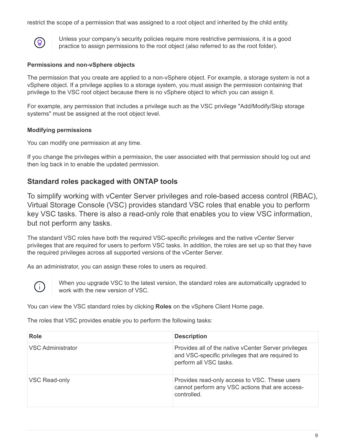restrict the scope of a permission that was assigned to a root object and inherited by the child entity.



Unless your company's security policies require more restrictive permissions, it is a good practice to assign permissions to the root object (also referred to as the root folder).

## **Permissions and non-vSphere objects**

The permission that you create are applied to a non-vSphere object. For example, a storage system is not a vSphere object. If a privilege applies to a storage system, you must assign the permission containing that privilege to the VSC root object because there is no vSphere object to which you can assign it.

For example, any permission that includes a privilege such as the VSC privilege "Add/Modify/Skip storage systems" must be assigned at the root object level.

## **Modifying permissions**

You can modify one permission at any time.

If you change the privileges within a permission, the user associated with that permission should log out and then log back in to enable the updated permission.

## <span id="page-11-0"></span>**Standard roles packaged with ONTAP tools**

To simplify working with vCenter Server privileges and role-based access control (RBAC), Virtual Storage Console (VSC) provides standard VSC roles that enable you to perform key VSC tasks. There is also a read-only role that enables you to view VSC information, but not perform any tasks.

The standard VSC roles have both the required VSC-specific privileges and the native vCenter Server privileges that are required for users to perform VSC tasks. In addition, the roles are set up so that they have the required privileges across all supported versions of the vCenter Server.

As an administrator, you can assign these roles to users as required.



When you upgrade VSC to the latest version, the standard roles are automatically upgraded to work with the new version of VSC.

You can view the VSC standard roles by clicking **Roles** on the vSphere Client Home page.

The roles that VSC provides enable you to perform the following tasks:

| <b>Role</b>              | <b>Description</b>                                                                                                                 |
|--------------------------|------------------------------------------------------------------------------------------------------------------------------------|
| <b>VSC Administrator</b> | Provides all of the native vCenter Server privileges<br>and VSC-specific privileges that are required to<br>perform all VSC tasks. |
| VSC Read-only            | Provides read-only access to VSC. These users<br>cannot perform any VSC actions that are access-<br>controlled.                    |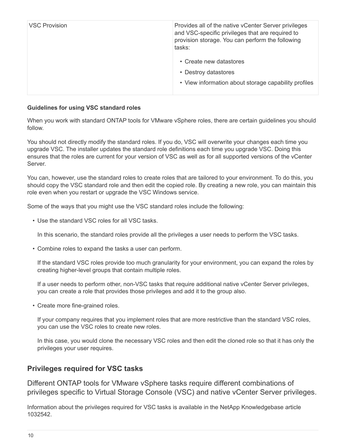| <b>VSC Provision</b> | Provides all of the native vCenter Server privileges<br>and VSC-specific privileges that are required to<br>provision storage. You can perform the following<br>tasks: |
|----------------------|------------------------------------------------------------------------------------------------------------------------------------------------------------------------|
|                      | • Create new datastores<br>• Destroy datastores<br>• View information about storage capability profiles                                                                |

### **Guidelines for using VSC standard roles**

When you work with standard ONTAP tools for VMware vSphere roles, there are certain guidelines you should follow.

You should not directly modify the standard roles. If you do, VSC will overwrite your changes each time you upgrade VSC. The installer updates the standard role definitions each time you upgrade VSC. Doing this ensures that the roles are current for your version of VSC as well as for all supported versions of the vCenter Server.

You can, however, use the standard roles to create roles that are tailored to your environment. To do this, you should copy the VSC standard role and then edit the copied role. By creating a new role, you can maintain this role even when you restart or upgrade the VSC Windows service.

Some of the ways that you might use the VSC standard roles include the following:

• Use the standard VSC roles for all VSC tasks.

In this scenario, the standard roles provide all the privileges a user needs to perform the VSC tasks.

• Combine roles to expand the tasks a user can perform.

If the standard VSC roles provide too much granularity for your environment, you can expand the roles by creating higher-level groups that contain multiple roles.

If a user needs to perform other, non-VSC tasks that require additional native vCenter Server privileges, you can create a role that provides those privileges and add it to the group also.

• Create more fine-grained roles.

If your company requires that you implement roles that are more restrictive than the standard VSC roles, you can use the VSC roles to create new roles.

In this case, you would clone the necessary VSC roles and then edit the cloned role so that it has only the privileges your user requires.

## **Privileges required for VSC tasks**

Different ONTAP tools for VMware vSphere tasks require different combinations of privileges specific to Virtual Storage Console (VSC) and native vCenter Server privileges.

Information about the privileges required for VSC tasks is available in the NetApp Knowledgebase article 1032542.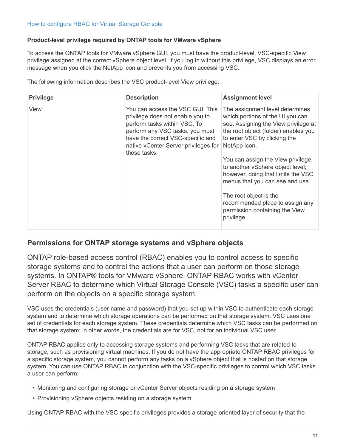## **Product-level privilege required by ONTAP tools for VMware vSphere**

To access the ONTAP tools for VMware vSphere GUI, you must have the product-level, VSC-specific View privilege assigned at the correct vSphere object level. If you log in without this privilege, VSC displays an error message when you click the NetApp icon and prevents you from accessing VSC.

The following information describes the VSC product-level View privilege:

| <b>Privilege</b> | <b>Description</b>                                                                                                                                                                                                                   | <b>Assignment level</b>                                                                                                                                                                                                                                                                                                                                                                                                                                            |
|------------------|--------------------------------------------------------------------------------------------------------------------------------------------------------------------------------------------------------------------------------------|--------------------------------------------------------------------------------------------------------------------------------------------------------------------------------------------------------------------------------------------------------------------------------------------------------------------------------------------------------------------------------------------------------------------------------------------------------------------|
| View             | You can access the VSC GUI. This<br>privilege does not enable you to<br>perform tasks within VSC. To<br>perform any VSC tasks, you must<br>have the correct VSC-specific and<br>native vCenter Server privileges for<br>those tasks. | The assignment level determines<br>which portions of the UI you can<br>see. Assigning the View privilege at<br>the root object (folder) enables you<br>to enter VSC by clicking the<br>NetApp icon.<br>You can assign the View privilege<br>to another vSphere object level;<br>however, doing that limits the VSC<br>menus that you can see and use.<br>The root object is the<br>recommended place to assign any<br>permission containing the View<br>privilege. |

## <span id="page-13-0"></span>**Permissions for ONTAP storage systems and vSphere objects**

ONTAP role-based access control (RBAC) enables you to control access to specific storage systems and to control the actions that a user can perform on those storage systems. In ONTAP® tools for VMware vSphere, ONTAP RBAC works with vCenter Server RBAC to determine which Virtual Storage Console (VSC) tasks a specific user can perform on the objects on a specific storage system.

VSC uses the credentials (user name and password) that you set up within VSC to authenticate each storage system and to determine which storage operations can be performed on that storage system. VSC uses one set of credentials for each storage system. These credentials determine which VSC tasks can be performed on that storage system; in other words, the credentials are for VSC, not for an individual VSC user.

ONTAP RBAC applies only to accessing storage systems and performing VSC tasks that are related to storage, such as provisioning virtual machines. If you do not have the appropriate ONTAP RBAC privileges for a specific storage system, you cannot perform any tasks on a vSphere object that is hosted on that storage system. You can use ONTAP RBAC in conjunction with the VSC-specific privileges to control which VSC tasks a user can perform:

- Monitoring and configuring storage or vCenter Server objects residing on a storage system
- Provisioning vSphere objects residing on a storage system

Using ONTAP RBAC with the VSC-specific privileges provides a storage-oriented layer of security that the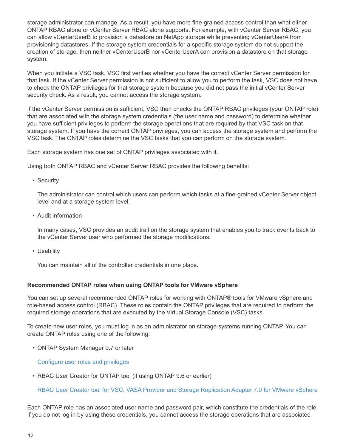storage administrator can manage. As a result, you have more fine-grained access control than what either ONTAP RBAC alone or vCenter Server RBAC alone supports. For example, with vCenter Server RBAC, you can allow vCenterUserB to provision a datastore on NetApp storage while preventing vCenterUserA from provisioning datastores. If the storage system credentials for a specific storage system do not support the creation of storage, then neither vCenterUserB nor vCenterUserA can provision a datastore on that storage system.

When you initiate a VSC task, VSC first verifies whether you have the correct vCenter Server permission for that task. If the vCenter Server permission is not sufficient to allow you to perform the task, VSC does not have to check the ONTAP privileges for that storage system because you did not pass the initial vCenter Server security check. As a result, you cannot access the storage system.

If the vCenter Server permission is sufficient, VSC then checks the ONTAP RBAC privileges (your ONTAP role) that are associated with the storage system credentials (the user name and password) to determine whether you have sufficient privileges to perform the storage operations that are required by that VSC task on that storage system. If you have the correct ONTAP privileges, you can access the storage system and perform the VSC task. The ONTAP roles determine the VSC tasks that you can perform on the storage system.

Each storage system has one set of ONTAP privileges associated with it.

Using both ONTAP RBAC and vCenter Server RBAC provides the following benefits:

• Security

The administrator can control which users can perform which tasks at a fine-grained vCenter Server object level and at a storage system level.

• Audit information

In many cases, VSC provides an audit trail on the storage system that enables you to track events back to the vCenter Server user who performed the storage modifications.

• Usability

You can maintain all of the controller credentials in one place.

#### **Recommended ONTAP roles when using ONTAP tools for VMware vSphere**

You can set up several recommended ONTAP roles for working with ONTAP® tools for VMware vSphere and role-based access control (RBAC). These roles contain the ONTAP privileges that are required to perform the required storage operations that are executed by the Virtual Storage Console (VSC) tasks.

To create new user roles, you must log in as an administrator on storage systems running ONTAP. You can create ONTAP roles using one of the following:

• ONTAP System Manager 9.7 or later

[Configure user roles and privileges](#page-52-0)

• RBAC User Creator for ONTAP tool (if using ONTAP 9.6 or earlier)

[RBAC User Creator tool for VSC, VASA Provider and Storage Replication Adapter 7.0 for VMware vSphere](https://community.netapp.com/t5/Virtualization-Articles-and-Resources/RBAC-User-Creator-tool-for-VSC-VASA-Provider-and-Storage-Replication-Adapter-7-0/ta-p/133203)

Each ONTAP role has an associated user name and password pair, which constitute the credentials of the role. If you do not log in by using these credentials, you cannot access the storage operations that are associated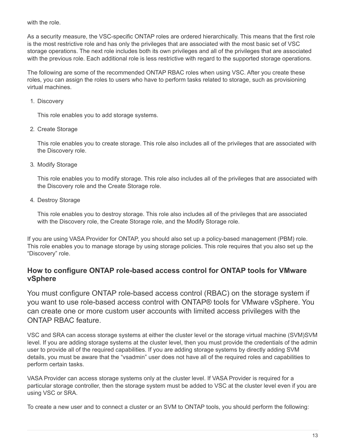with the role.

As a security measure, the VSC-specific ONTAP roles are ordered hierarchically. This means that the first role is the most restrictive role and has only the privileges that are associated with the most basic set of VSC storage operations. The next role includes both its own privileges and all of the privileges that are associated with the previous role. Each additional role is less restrictive with regard to the supported storage operations.

The following are some of the recommended ONTAP RBAC roles when using VSC. After you create these roles, you can assign the roles to users who have to perform tasks related to storage, such as provisioning virtual machines.

1. Discovery

This role enables you to add storage systems.

2. Create Storage

This role enables you to create storage. This role also includes all of the privileges that are associated with the Discovery role.

3. Modify Storage

This role enables you to modify storage. This role also includes all of the privileges that are associated with the Discovery role and the Create Storage role.

4. Destroy Storage

This role enables you to destroy storage. This role also includes all of the privileges that are associated with the Discovery role, the Create Storage role, and the Modify Storage role.

If you are using VASA Provider for ONTAP, you should also set up a policy-based management (PBM) role. This role enables you to manage storage by using storage policies. This role requires that you also set up the "Discovery" role.

## **How to configure ONTAP role-based access control for ONTAP tools for VMware vSphere**

You must configure ONTAP role-based access control (RBAC) on the storage system if you want to use role-based access control with ONTAP® tools for VMware vSphere. You can create one or more custom user accounts with limited access privileges with the ONTAP RBAC feature.

VSC and SRA can access storage systems at either the cluster level or the storage virtual machine (SVM)SVM level. If you are adding storage systems at the cluster level, then you must provide the credentials of the admin user to provide all of the required capabilities. If you are adding storage systems by directly adding SVM details, you must be aware that the "vsadmin" user does not have all of the required roles and capabilities to perform certain tasks.

VASA Provider can access storage systems only at the cluster level. If VASA Provider is required for a particular storage controller, then the storage system must be added to VSC at the cluster level even if you are using VSC or SRA.

To create a new user and to connect a cluster or an SVM to ONTAP tools, you should perform the following: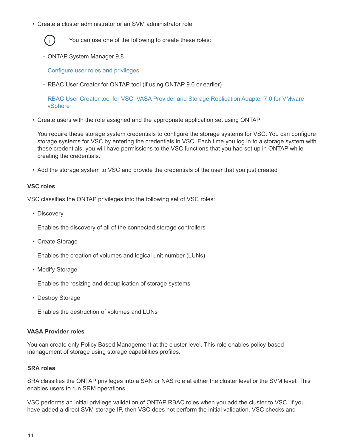• Create a cluster administrator or an SVM administrator role



You can use one of the following to create these roles:

◦ ONTAP System Manager 9.8

[Configure user roles and privileges](#page-52-0)

◦ RBAC User Creator for ONTAP tool (if using ONTAP 9.6 or earlier)

[RBAC User Creator tool for VSC, VASA Provider and Storage Replication Adapter 7.0 for VMware](https://community.netapp.com/t5/Virtualization-Articles-and-Resources/RBAC-User-Creator-tool-for-VSC-VASA-Provider-and-Storage-Replication-Adapter-7-0/ta-p/133203/t5/Virtualization-Articles-and-Resources/How-to-use-the-RBAC-User-Creator-for-Data-ONTAP/ta-p/86601) [vSphere](https://community.netapp.com/t5/Virtualization-Articles-and-Resources/RBAC-User-Creator-tool-for-VSC-VASA-Provider-and-Storage-Replication-Adapter-7-0/ta-p/133203/t5/Virtualization-Articles-and-Resources/How-to-use-the-RBAC-User-Creator-for-Data-ONTAP/ta-p/86601)

• Create users with the role assigned and the appropriate application set using ONTAP

You require these storage system credentials to configure the storage systems for VSC. You can configure storage systems for VSC by entering the credentials in VSC. Each time you log in to a storage system with these credentials, you will have permissions to the VSC functions that you had set up in ONTAP while creating the credentials.

• Add the storage system to VSC and provide the credentials of the user that you just created

#### **VSC roles**

VSC classifies the ONTAP privileges into the following set of VSC roles:

• Discovery

Enables the discovery of all of the connected storage controllers

• Create Storage

Enables the creation of volumes and logical unit number (LUNs)

• Modify Storage

Enables the resizing and deduplication of storage systems

• Destroy Storage

Enables the destruction of volumes and LUNs

#### **VASA Provider roles**

You can create only Policy Based Management at the cluster level. This role enables policy-based management of storage using storage capabilities profiles.

#### **SRA roles**

SRA classifies the ONTAP privileges into a SAN or NAS role at either the cluster level or the SVM level. This enables users to run SRM operations.

VSC performs an initial privilege validation of ONTAP RBAC roles when you add the cluster to VSC. If you have added a direct SVM storage IP, then VSC does not perform the initial validation. VSC checks and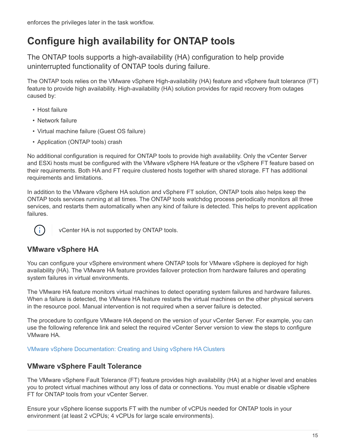# <span id="page-17-0"></span>**Configure high availability for ONTAP tools**

The ONTAP tools supports a high-availability (HA) configuration to help provide uninterrupted functionality of ONTAP tools during failure.

The ONTAP tools relies on the VMware vSphere High-availability (HA) feature and vSphere fault tolerance (FT) feature to provide high availability. High-availability (HA) solution provides for rapid recovery from outages caused by:

- Host failure
- Network failure
- Virtual machine failure (Guest OS failure)
- Application (ONTAP tools) crash

No additional configuration is required for ONTAP tools to provide high availability. Only the vCenter Server and ESXi hosts must be configured with the VMware vSphere HA feature or the vSphere FT feature based on their requirements. Both HA and FT require clustered hosts together with shared storage. FT has additional requirements and limitations.

In addition to the VMware vSphere HA solution and vSphere FT solution, ONTAP tools also helps keep the ONTAP tools services running at all times. The ONTAP tools watchdog process periodically monitors all three services, and restarts them automatically when any kind of failure is detected. This helps to prevent application failures.



vCenter HA is not supported by ONTAP tools.

# **VMware vSphere HA**

You can configure your vSphere environment where ONTAP tools for VMware vSphere is deployed for high availability (HA). The VMware HA feature provides failover protection from hardware failures and operating system failures in virtual environments.

The VMware HA feature monitors virtual machines to detect operating system failures and hardware failures. When a failure is detected, the VMware HA feature restarts the virtual machines on the other physical servers in the resource pool. Manual intervention is not required when a server failure is detected.

The procedure to configure VMware HA depend on the version of your vCenter Server. For example, you can use the following reference link and select the required vCenter Server version to view the steps to configure VMware HA.

[VMware vSphere Documentation: Creating and Using vSphere HA Clusters](https://docs.vmware.com/en/VMware-vSphere/6.5/com.vmware.vsphere.avail.doc/GUID-5432CA24-14F1-44E3-87FB-61D937831CF6.html)

## **VMware vSphere Fault Tolerance**

The VMware vSphere Fault Tolerance (FT) feature provides high availability (HA) at a higher level and enables you to protect virtual machines without any loss of data or connections. You must enable or disable vSphere FT for ONTAP tools from your vCenter Server.

Ensure your vSphere license supports FT with the number of vCPUs needed for ONTAP tools in your environment (at least 2 vCPUs; 4 vCPUs for large scale environments).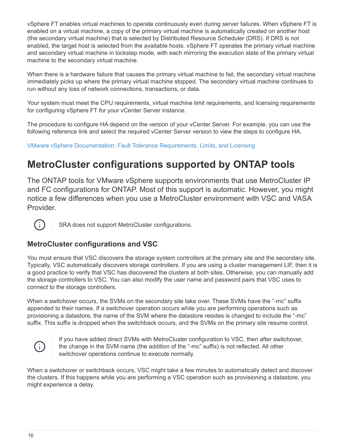vSphere FT enables virtual machines to operate continuously even during server failures. When vSphere FT is enabled on a virtual machine, a copy of the primary virtual machine is automatically created on another host (the secondary virtual machine) that is selected by Distributed Resource Scheduler (DRS). If DRS is not enabled, the target host is selected from the available hosts. vSphere FT operates the primary virtual machine and secondary virtual machine in lockstep mode, with each mirroring the execution state of the primary virtual machine to the secondary virtual machine.

When there is a hardware failure that causes the primary virtual machine to fail, the secondary virtual machine immediately picks up where the primary virtual machine stopped. The secondary virtual machine continues to run without any loss of network connections, transactions, or data.

Your system must meet the CPU requirements, virtual machine limit requirements, and licensing requirements for configuring vSphere FT for your vCenter Server instance.

The procedure to configure HA depend on the version of your vCenter Server. For example, you can use the following reference link and select the required vCenter Server version to view the steps to configure HA.

[VMware vSphere Documentation: Fault Tolerance Requirements, Limits, and Licensing](https://docs.vmware.com/en/VMware-vSphere/6.5/com.vmware.vsphere.avail.doc/GUID-57929CF0-DA9B-407A-BF2E-E7B72708D825.html)

# <span id="page-18-0"></span>**MetroCluster configurations supported by ONTAP tools**

The ONTAP tools for VMware vSphere supports environments that use MetroCluster IP and FC configurations for ONTAP. Most of this support is automatic. However, you might notice a few differences when you use a MetroCluster environment with VSC and VASA Provider.



SRA does not support MetroCluster configurations.

## **MetroCluster configurations and VSC**

You must ensure that VSC discovers the storage system controllers at the primary site and the secondary site. Typically, VSC automatically discovers storage controllers. If you are using a cluster management LIF, then it is a good practice to verify that VSC has discovered the clusters at both sites. Otherwise, you can manually add the storage controllers to VSC. You can also modify the user name and password pairs that VSC uses to connect to the storage controllers.

When a switchover occurs, the SVMs on the secondary site take over. These SVMs have the "-mc" suffix appended to their names. If a switchover operation occurs while you are performing operations such as provisioning a datastore, the name of the SVM where the datastore resides is changed to include the "-mc" suffix. This suffix is dropped when the switchback occurs, and the SVMs on the primary site resume control.



If you have added direct SVMs with MetroCluster configuration to VSC, then after switchover, the change in the SVM name (the addition of the "-mc" suffix) is not reflected. All other switchover operations continue to execute normally.

When a switchover or switchback occurs, VSC might take a few minutes to automatically detect and discover the clusters. If this happens while you are performing a VSC operation such as provisioning a datastore, you might experience a delay.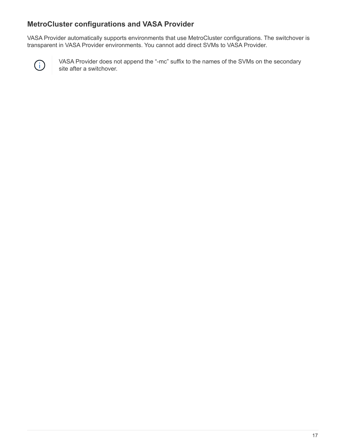## **MetroCluster configurations and VASA Provider**

VASA Provider automatically supports environments that use MetroCluster configurations. The switchover is transparent in VASA Provider environments. You cannot add direct SVMs to VASA Provider.



VASA Provider does not append the "-mc" suffix to the names of the SVMs on the secondary site after a switchover.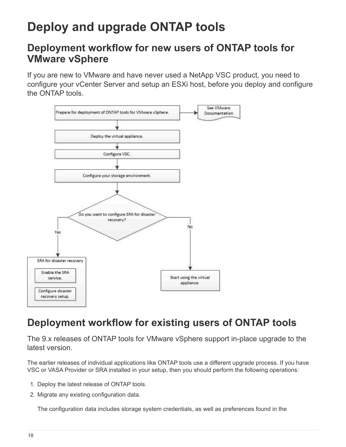# <span id="page-20-0"></span>**Deploy and upgrade ONTAP tools**

# <span id="page-20-1"></span>**Deployment workflow for new users of ONTAP tools for VMware vSphere**

If you are new to VMware and have never used a NetApp VSC product, you need to configure your vCenter Server and setup an ESXi host, before you deploy and configure the ONTAP tools.



# <span id="page-20-2"></span>**Deployment workflow for existing users of ONTAP tools**

The 9.x releases of ONTAP tools for VMware vSphere support in-place upgrade to the latest version.

The earlier releases of individual applications like ONTAP tools use a different upgrade process. If you have VSC or VASA Provider or SRA installed in your setup, then you should perform the following operations:

- 1. Deploy the latest release of ONTAP tools.
- 2. Migrate any existing configuration data.

The configuration data includes storage system credentials, as well as preferences found in the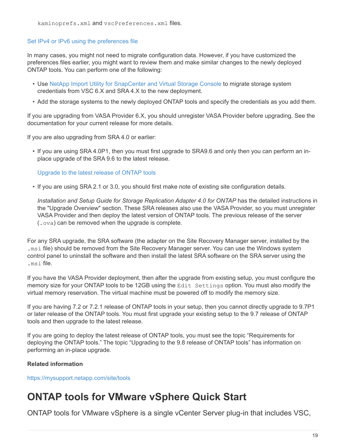kaminoprefs.xml and vscPreferences.xml files.

## [Set IPv4 or IPv6 using the preferences file](#page-45-1)

In many cases, you might not need to migrate configuration data. However, if you have customized the preferences files earlier, you might want to review them and make similar changes to the newly deployed ONTAP tools. You can perform one of the following:

- Use [NetApp Import Utility for SnapCenter and Virtual Storage Console](https://mysupport.netapp.com/tools/index.html) to migrate storage system credentials from VSC 6.X and SRA 4.X to the new deployment.
- Add the storage systems to the newly deployed ONTAP tools and specify the credentials as you add them.

If you are upgrading from VASA Provider 6.X, you should unregister VASA Provider before upgrading. See the documentation for your current release for more details.

If you are also upgrading from SRA 4.0 or earlier:

• If you are using SRA 4.0P1, then you must first upgrade to SRA9.6 and only then you can perform an inplace upgrade of the SRA 9.6 to the latest release.

## [Upgrade to the latest release of ONTAP tools](#page-35-1)

• If you are using SRA 2.1 or 3.0, you should first make note of existing site configuration details.

*Installation and Setup Guide for Storage Replication Adapter 4.0 for ONTAP* has the detailed instructions in the "Upgrade Overview" section. These SRA releases also use the VASA Provider, so you must unregister VASA Provider and then deploy the latest version of ONTAP tools. The previous release of the server (.ova) can be removed when the upgrade is complete.

For any SRA upgrade, the SRA software (the adapter on the Site Recovery Manager server, installed by the .msi file) should be removed from the Site Recovery Manager server. You can use the Windows system control panel to uninstall the software and then install the latest SRA software on the SRA server using the .msi file.

If you have the VASA Provider deployment, then after the upgrade from existing setup, you must configure the memory size for your ONTAP tools to be 12GB using the Edit Settings option. You must also modify the virtual memory reservation. The virtual machine must be powered off to modify the memory size.

If you are having 7.2 or 7.2.1 release of ONTAP tools in your setup, then you cannot directly upgrade to 9.7P1 or later release of the ONTAP tools. You must first upgrade your existing setup to the 9.7 release of ONTAP tools and then upgrade to the latest release.

If you are going to deploy the latest release of ONTAP tools, you must see the topic "Requirements for deploying the ONTAP tools." The topic "Upgrading to the 9.8 release of ONTAP tools" has information on performing an in-place upgrade.

## **Related information**

<https://mysupport.netapp.com/site/tools>

# <span id="page-21-0"></span>**ONTAP tools for VMware vSphere Quick Start**

ONTAP tools for VMware vSphere is a single vCenter Server plug-in that includes VSC,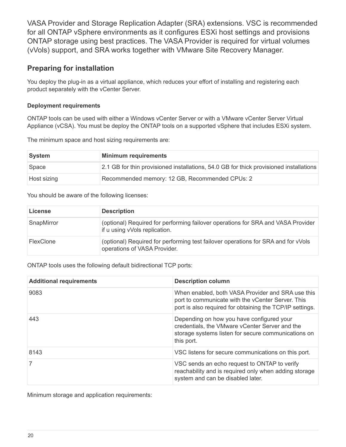VASA Provider and Storage Replication Adapter (SRA) extensions. VSC is recommended for all ONTAP vSphere environments as it configures ESXi host settings and provisions ONTAP storage using best practices. The VASA Provider is required for virtual volumes (vVols) support, and SRA works together with VMware Site Recovery Manager.

## **Preparing for installation**

You deploy the plug-in as a virtual appliance, which reduces your effort of installing and registering each product separately with the vCenter Server.

## **Deployment requirements**

ONTAP tools can be used with either a Windows vCenter Server or with a VMware vCenter Server Virtual Appliance (vCSA). You must be deploy the ONTAP tools on a supported vSphere that includes ESXi system.

The minimum space and host sizing requirements are:

| ∣System     | <b>Minimum requirements</b>                                                            |
|-------------|----------------------------------------------------------------------------------------|
| Space       | 2.1 GB for thin provisioned installations, 54.0 GB for thick provisioned installations |
| Host sizing | Recommended memory: 12 GB, Recommended CPUs: 2                                         |

You should be aware of the following licenses:

| License    | <b>Description</b>                                                                                                |
|------------|-------------------------------------------------------------------------------------------------------------------|
| SnapMirror | (optional) Required for performing failover operations for SRA and VASA Provider<br>if u using vVols replication. |
| FlexClone  | (optional) Required for performing test failover operations for SRA and for vVols<br>operations of VASA Provider. |

ONTAP tools uses the following default bidirectional TCP ports:

| <b>Additional requirements</b> | <b>Description column</b>                                                                                                                                          |
|--------------------------------|--------------------------------------------------------------------------------------------------------------------------------------------------------------------|
| 9083                           | When enabled, both VASA Provider and SRA use this<br>port to communicate with the vCenter Server. This<br>port is also required for obtaining the TCP/IP settings. |
| 443                            | Depending on how you have configured your<br>credentials, the VMware vCenter Server and the<br>storage systems listen for secure communications on<br>this port.   |
| 8143                           | VSC listens for secure communications on this port.                                                                                                                |
|                                | VSC sends an echo request to ONTAP to verify<br>reachability and is required only when adding storage<br>system and can be disabled later.                         |

Minimum storage and application requirements: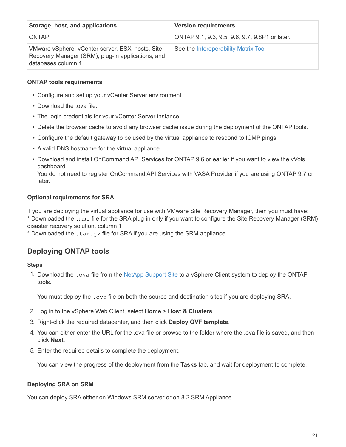| Storage, host, and applications                                                                                             | <b>Version requirements</b>                    |
|-----------------------------------------------------------------------------------------------------------------------------|------------------------------------------------|
| ONTAP                                                                                                                       | ONTAP 9.1, 9.3, 9.5, 9.6, 9.7, 9.8P1 or later. |
| VMware vSphere, vCenter server, ESXi hosts, Site<br>Recovery Manager (SRM), plug-in applications, and<br>databases column 1 | See the Interoperability Matrix Tool           |

## **ONTAP tools requirements**

- Configure and set up your vCenter Server environment.
- Download the .ova file.
- The login credentials for your vCenter Server instance.
- Delete the browser cache to avoid any browser cache issue during the deployment of the ONTAP tools.
- Configure the default gateway to be used by the virtual appliance to respond to ICMP pings.
- A valid DNS hostname for the virtual appliance.
- Download and install OnCommand API Services for ONTAP 9.6 or earlier if you want to view the vVols dashboard.

You do not need to register OnCommand API Services with VASA Provider if you are using ONTAP 9.7 or later.

## **Optional requirements for SRA**

If you are deploying the virtual appliance for use with VMware Site Recovery Manager, then you must have:

\* Downloaded the .msi file for the SRA plug-in only if you want to configure the Site Recovery Manager (SRM) disaster recovery solution. column 1

\* Downloaded the  $\tan{qz}$  file for SRA if you are using the SRM appliance.

# **Deploying ONTAP tools**

## **Steps**

1. Download the .ova file from the [NetApp Support Site](https://mysupport.netapp.com/site/products/all/details/otv/downloads-tab) to a vSphere Client system to deploy the ONTAP tools.

You must deploy the .  $\circ$ va file on both the source and destination sites if you are deploying SRA.

- 2. Log in to the vSphere Web Client, select **Home** > **Host & Clusters**.
- 3. Right-click the required datacenter, and then click **Deploy OVF template**.
- 4. You can either enter the URL for the .ova file or browse to the folder where the .ova file is saved, and then click **Next**.
- 5. Enter the required details to complete the deployment.

You can view the progress of the deployment from the **Tasks** tab, and wait for deployment to complete.

## **Deploying SRA on SRM**

You can deploy SRA either on Windows SRM server or on 8.2 SRM Appliance.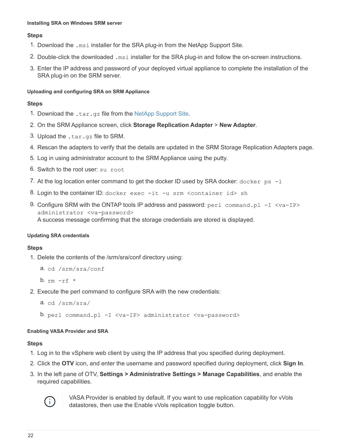#### **Installing SRA on Windows SRM server**

#### **Steps**

- 1. Download the .msi installer for the SRA plug-in from the NetApp Support Site.
- 2. Double-click the downloaded .msi installer for the SRA plug-in and follow the on-screen instructions.
- 3. Enter the IP address and password of your deployed virtual appliance to complete the installation of the SRA plug-in on the SRM server.

#### **Uploading and configuring SRA on SRM Appliance**

#### **Steps**

- 1. Download the .tar.gz file from the [NetApp Support Site.](https://mysupport.netapp.com/site/products/all/details/otv/downloads-tab)
- 2. On the SRM Appliance screen, click **Storage Replication Adapter** > **New Adapter**.
- 3. Upload the .tar.gz file to SRM.
- 4. Rescan the adapters to verify that the details are updated in the SRM Storage Replication Adapters page.
- 5. Log in using administrator account to the SRM Appliance using the putty.
- 6. Switch to the root user: su root
- 7. At the log location enter command to get the docker ID used by SRA docker:  $d$ ocker ps  $-l$
- 8. Login to the container ID: docker exec -it -u srm <container id> sh
- 9. Configure SRM with the ONTAP tools IP address and password: perl command.pl -I <va-IP> administrator <va-password> A success message confirming that the storage credentials are stored is displayed.

#### **Updating SRA credentials**

#### **Steps**

1. Delete the contents of the /srm/sra/conf directory using:

```
a. cd /srm/sra/conf
```
- b.  $rm -rf$  \*
- 2. Execute the perl command to configure SRA with the new credentials:

```
a. cd /srm/sra/
```
b. perl command.pl -I <va-IP> administrator <va-password>

#### **Enabling VASA Provider and SRA**

#### **Steps**

- 1. Log in to the vSphere web client by using the IP address that you specified during deployment.
- 2. Click the **OTV** icon, and enter the username and password specified during deployment, click **Sign In**.
- 3. In the left pane of OTV, **Settings > Administrative Settings > Manage Capabilities**, and enable the required capabilities.



VASA Provider is enabled by default. If you want to use replication capability for vVols datastores, then use the Enable vVols replication toggle button.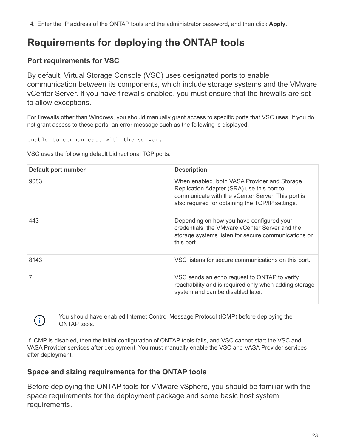4. Enter the IP address of the ONTAP tools and the administrator password, and then click **Apply**.

# <span id="page-25-0"></span>**Requirements for deploying the ONTAP tools**

# **Port requirements for VSC**

 $\left( \begin{array}{c} 1 \end{array} \right)$ 

By default, Virtual Storage Console (VSC) uses designated ports to enable communication between its components, which include storage systems and the VMware vCenter Server. If you have firewalls enabled, you must ensure that the firewalls are set to allow exceptions.

For firewalls other than Windows, you should manually grant access to specific ports that VSC uses. If you do not grant access to these ports, an error message such as the following is displayed.

Unable to communicate with the server.

VSC uses the following default bidirectional TCP ports:

| Default port number | <b>Description</b>                                                                                                                                                                                  |
|---------------------|-----------------------------------------------------------------------------------------------------------------------------------------------------------------------------------------------------|
| 9083                | When enabled, both VASA Provider and Storage<br>Replication Adapter (SRA) use this port to<br>communicate with the vCenter Server. This port is<br>also required for obtaining the TCP/IP settings. |
| 443                 | Depending on how you have configured your<br>credentials, the VMware vCenter Server and the<br>storage systems listen for secure communications on<br>this port.                                    |
| 8143                | VSC listens for secure communications on this port.                                                                                                                                                 |
|                     | VSC sends an echo request to ONTAP to verify<br>reachability and is required only when adding storage<br>system and can be disabled later.                                                          |

You should have enabled Internet Control Message Protocol (ICMP) before deploying the ONTAP tools.

If ICMP is disabled, then the initial configuration of ONTAP tools fails, and VSC cannot start the VSC and VASA Provider services after deployment. You must manually enable the VSC and VASA Provider services after deployment.

## **Space and sizing requirements for the ONTAP tools**

Before deploying the ONTAP tools for VMware vSphere, you should be familiar with the space requirements for the deployment package and some basic host system requirements.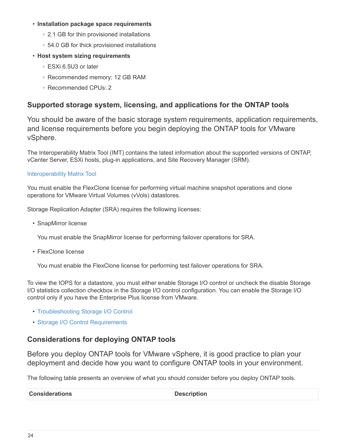### • **Installation package space requirements**

- 2.1 GB for thin provisioned installations
- 54.0 GB for thick provisioned installations

## • **Host system sizing requirements**

- ESXi 6.5U3 or later
- Recommended memory: 12 GB RAM
- Recommended CPUs: 2

## **Supported storage system, licensing, and applications for the ONTAP tools**

You should be aware of the basic storage system requirements, application requirements, and license requirements before you begin deploying the ONTAP tools for VMware vSphere.

The Interoperability Matrix Tool (IMT) contains the latest information about the supported versions of ONTAP, vCenter Server, ESXi hosts, plug-in applications, and Site Recovery Manager (SRM).

## [Interoperability Matrix Tool](https://imt.netapp.com/matrix/imt.jsp?components=99343;&solution=1777&isHWU&src=IMT)

You must enable the FlexClone license for performing virtual machine snapshot operations and clone operations for VMware Virtual Volumes (vVols) datastores.

Storage Replication Adapter (SRA) requires the following licenses:

• SnapMirror license

You must enable the SnapMirror license for performing failover operations for SRA.

• FlexClone license

You must enable the FlexClone license for performing test failover operations for SRA.

To view the IOPS for a datastore, you must either enable Storage I/O control or uncheck the disable Storage I/O statistics collection checkbox in the Storage I/O control configuration. You can enable the Storage I/O control only if you have the Enterprise Plus license from VMware.

- [Troubleshooting Storage I/O Control](https://kb.vmware.com/s/article/1022091)
- [Storage I/O Control Requirements](https://docs.vmware.com/en/VMware-vSphere/6.5/com.vmware.vsphere.resmgmt.doc/GUID-37CC0E44-7BC7-479C-81DC-FFFC21C1C4E3.html)

## <span id="page-26-0"></span>**Considerations for deploying ONTAP tools**

Before you deploy ONTAP tools for VMware vSphere, it is good practice to plan your deployment and decide how you want to configure ONTAP tools in your environment.

The following table presents an overview of what you should consider before you deploy ONTAP tools.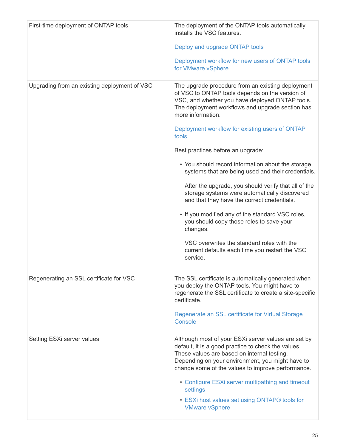| First-time deployment of ONTAP tools         | The deployment of the ONTAP tools automatically<br>installs the VSC features.<br>Deploy and upgrade ONTAP tools<br>Deployment workflow for new users of ONTAP tools<br>for VMware vSphere                                                                                                                                                                                                                                                                                                                                                                                                                                                                                                                                                                                                                                    |
|----------------------------------------------|------------------------------------------------------------------------------------------------------------------------------------------------------------------------------------------------------------------------------------------------------------------------------------------------------------------------------------------------------------------------------------------------------------------------------------------------------------------------------------------------------------------------------------------------------------------------------------------------------------------------------------------------------------------------------------------------------------------------------------------------------------------------------------------------------------------------------|
| Upgrading from an existing deployment of VSC | The upgrade procedure from an existing deployment<br>of VSC to ONTAP tools depends on the version of<br>VSC, and whether you have deployed ONTAP tools.<br>The deployment workflows and upgrade section has<br>more information.<br>Deployment workflow for existing users of ONTAP<br>tools<br>Best practices before an upgrade:<br>• You should record information about the storage<br>systems that are being used and their credentials.<br>After the upgrade, you should verify that all of the<br>storage systems were automatically discovered<br>and that they have the correct credentials.<br>• If you modified any of the standard VSC roles,<br>you should copy those roles to save your<br>changes.<br>VSC overwrites the standard roles with the<br>current defaults each time you restart the VSC<br>service. |
| Regenerating an SSL certificate for VSC      | The SSL certificate is automatically generated when<br>you deploy the ONTAP tools. You might have to<br>regenerate the SSL certificate to create a site-specific<br>certificate.<br>Regenerate an SSL certificate for Virtual Storage<br>Console                                                                                                                                                                                                                                                                                                                                                                                                                                                                                                                                                                             |
| Setting ESXi server values                   | Although most of your ESXi server values are set by<br>default, it is a good practice to check the values.<br>These values are based on internal testing.<br>Depending on your environment, you might have to<br>change some of the values to improve performance.<br>• Configure ESXi server multipathing and timeout<br>settings<br>• ESXi host values set using ONTAP® tools for<br><b>VMware vSphere</b>                                                                                                                                                                                                                                                                                                                                                                                                                 |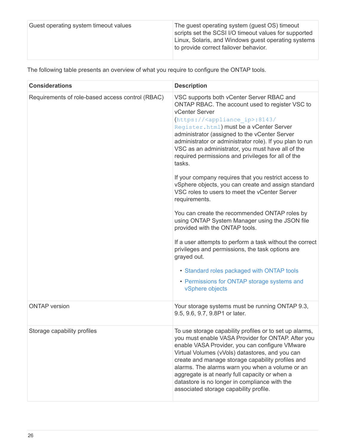| to provide correct failover behavior. | Guest operating system timeout values | The guest operating system (guest OS) timeout<br>scripts set the SCSI I/O timeout values for supported<br>Linux, Solaris, and Windows guest operating systems |
|---------------------------------------|---------------------------------------|---------------------------------------------------------------------------------------------------------------------------------------------------------------|
|---------------------------------------|---------------------------------------|---------------------------------------------------------------------------------------------------------------------------------------------------------------|

The following table presents an overview of what you require to configure the ONTAP tools.

| <b>Considerations</b>                            | <b>Description</b>                                                                                                                                                                                                                                                                                                                                                                                                                                                                                                                                                                                                                                                                                                                                                                                                                                                                                                                                                                                                                          |
|--------------------------------------------------|---------------------------------------------------------------------------------------------------------------------------------------------------------------------------------------------------------------------------------------------------------------------------------------------------------------------------------------------------------------------------------------------------------------------------------------------------------------------------------------------------------------------------------------------------------------------------------------------------------------------------------------------------------------------------------------------------------------------------------------------------------------------------------------------------------------------------------------------------------------------------------------------------------------------------------------------------------------------------------------------------------------------------------------------|
| Requirements of role-based access control (RBAC) | VSC supports both vCenter Server RBAC and<br>ONTAP RBAC. The account used to register VSC to<br><b>vCenter Server</b><br>(https:// <appliance ip="">:8143/<br/>Register.html) must be a vCenter Server<br/>administrator (assigned to the vCenter Server<br/>administrator or administrator role). If you plan to run<br/>VSC as an administrator, you must have all of the<br/>required permissions and privileges for all of the<br/>tasks.<br/>If your company requires that you restrict access to<br/>vSphere objects, you can create and assign standard<br/>VSC roles to users to meet the vCenter Server<br/>requirements.<br/>You can create the recommended ONTAP roles by<br/>using ONTAP System Manager using the JSON file<br/>provided with the ONTAP tools.<br/>If a user attempts to perform a task without the correct<br/>privileges and permissions, the task options are<br/>grayed out.<br/>• Standard roles packaged with ONTAP tools<br/>• Permissions for ONTAP storage systems and<br/>vSphere objects</appliance> |
| <b>ONTAP</b> version                             | Your storage systems must be running ONTAP 9.3,<br>9.5, 9.6, 9.7, 9.8P1 or later.                                                                                                                                                                                                                                                                                                                                                                                                                                                                                                                                                                                                                                                                                                                                                                                                                                                                                                                                                           |
| Storage capability profiles                      | To use storage capability profiles or to set up alarms<br>you must enable VASA Provider for ONTAP. After you<br>enable VASA Provider, you can configure VMware<br>Virtual Volumes (vVols) datastores, and you can<br>create and manage storage capability profiles and<br>alarms. The alarms warn you when a volume or an<br>aggregate is at nearly full capacity or when a<br>datastore is no longer in compliance with the<br>associated storage capability profile.                                                                                                                                                                                                                                                                                                                                                                                                                                                                                                                                                                      |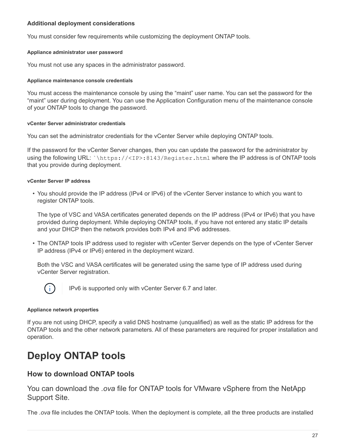## **Additional deployment considerations**

You must consider few requirements while customizing the deployment ONTAP tools.

#### **Appliance administrator user password**

You must not use any spaces in the administrator password.

#### **Appliance maintenance console credentials**

You must access the maintenance console by using the "maint" user name. You can set the password for the "maint" user during deployment. You can use the Application Configuration menu of the maintenance console of your ONTAP tools to change the password.

#### **vCenter Server administrator credentials**

You can set the administrator credentials for the vCenter Server while deploying ONTAP tools.

If the password for the vCenter Server changes, then you can update the password for the administrator by using the following URL: `\https://<IP>:8143/Register.html where the IP address is of ONTAP tools that you provide during deployment.

#### **vCenter Server IP address**

• You should provide the IP address (IPv4 or IPv6) of the vCenter Server instance to which you want to register ONTAP tools.

The type of VSC and VASA certificates generated depends on the IP address (IPv4 or IPv6) that you have provided during deployment. While deploying ONTAP tools, if you have not entered any static IP details and your DHCP then the network provides both IPv4 and IPv6 addresses.

• The ONTAP tools IP address used to register with vCenter Server depends on the type of vCenter Server IP address (IPv4 or IPv6) entered in the deployment wizard.

Both the VSC and VASA certificates will be generated using the same type of IP address used during vCenter Server registration.



IPv6 is supported only with vCenter Server 6.7 and later.

#### **Appliance network properties**

If you are not using DHCP, specify a valid DNS hostname (unqualified) as well as the static IP address for the ONTAP tools and the other network parameters. All of these parameters are required for proper installation and operation.

# <span id="page-29-0"></span>**Deploy ONTAP tools**

## **How to download ONTAP tools**

You can download the *.ova* file for ONTAP tools for VMware vSphere from the NetApp Support Site.

The *.ova* file includes the ONTAP tools. When the deployment is complete, all the three products are installed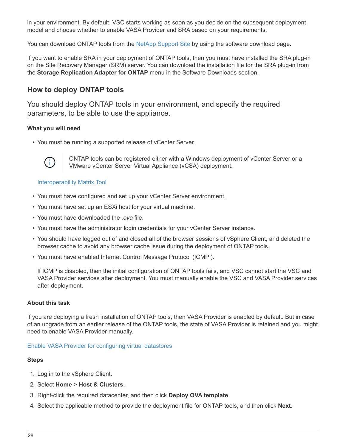in your environment. By default, VSC starts working as soon as you decide on the subsequent deployment model and choose whether to enable VASA Provider and SRA based on your requirements.

You can download ONTAP tools from the [NetApp Support Site](https://mysupport.netapp.com/site/products/all/details/otv/downloads-tab) by using the software download page.

If you want to enable SRA in your deployment of ONTAP tools, then you must have installed the SRA plug-in on the Site Recovery Manager (SRM) server. You can download the installation file for the SRA plug-in from the **Storage Replication Adapter for ONTAP** menu in the Software Downloads section.

## **How to deploy ONTAP tools**

You should deploy ONTAP tools in your environment, and specify the required parameters, to be able to use the appliance.

## **What you will need**

• You must be running a supported release of vCenter Server.



ONTAP tools can be registered either with a Windows deployment of vCenter Server or a VMware vCenter Server Virtual Appliance (vCSA) deployment.

#### [Interoperability Matrix Tool](https://imt.netapp.com/matrix/imt.jsp?components=99343;&solution=1777&isHWU&src=IMT)

- You must have configured and set up your vCenter Server environment.
- You must have set up an ESXi host for your virtual machine.
- You must have downloaded the *.ova* file.
- You must have the administrator login credentials for your vCenter Server instance.
- You should have logged out of and closed all of the browser sessions of vSphere Client, and deleted the browser cache to avoid any browser cache issue during the deployment of ONTAP tools.
- You must have enabled Internet Control Message Protocol (ICMP ).

If ICMP is disabled, then the initial configuration of ONTAP tools fails, and VSC cannot start the VSC and VASA Provider services after deployment. You must manually enable the VSC and VASA Provider services after deployment.

#### **About this task**

If you are deploying a fresh installation of ONTAP tools, then VASA Provider is enabled by default. But in case of an upgrade from an earlier release of the ONTAP tools, the state of VASA Provider is retained and you might need to enable VASA Provider manually.

#### [Enable VASA Provider for configuring virtual datastores](#page-31-0)

#### **Steps**

- 1. Log in to the vSphere Client.
- 2. Select **Home** > **Host & Clusters**.
- 3. Right-click the required datacenter, and then click **Deploy OVA template**.
- 4. Select the applicable method to provide the deployment file for ONTAP tools, and then click **Next**.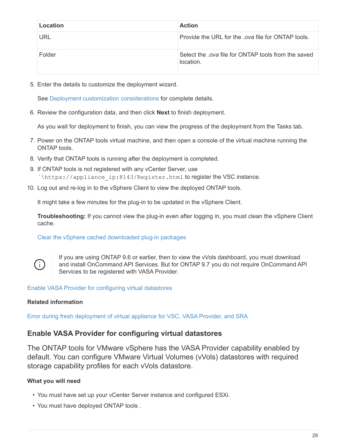| Location   | <b>Action</b>                                                    |
|------------|------------------------------------------------------------------|
| <b>URL</b> | Provide the URL for the <i>ova</i> file for ONTAP tools.         |
| Folder     | Select the .ova file for ONTAP tools from the saved<br>location. |

5. Enter the details to customize the deployment wizard.

See [Deployment customization considerations](#page-26-0) for complete details.

6. Review the configuration data, and then click **Next** to finish deployment.

As you wait for deployment to finish, you can view the progress of the deployment from the Tasks tab.

- 7. Power on the ONTAP tools virtual machine, and then open a console of the virtual machine running the ONTAP tools.
- 8. Verify that ONTAP tools is running after the deployment is completed.
- 9. If ONTAP tools is not registered with any vCenter Server, use `\https://appliance\_ip:8143/Register.html to register the VSC instance.
- 10. Log out and re-log in to the vSphere Client to view the deployed ONTAP tools.

It might take a few minutes for the plug-in to be updated in the vSphere Client.

**Troubleshooting:** If you cannot view the plug-in even after logging in, you must clean the vSphere Client cache.

[Clear the vSphere cached downloaded plug-in packages](#page-34-0)



If you are using ONTAP 9.6 or earlier, then to view the vVols dashboard, you must download and install OnCommand API Services. But for ONTAP 9.7 you do not require OnCommand API Services to be registered with VASA Provider.

[Enable VASA Provider for configuring virtual datastores](#page-31-0)

## **Related information**

[Error during fresh deployment of virtual appliance for VSC, VASA Provider, and SRA](https://kb.netapp.com/?title=Advice_and_Troubleshooting%2FData_Storage_Software%2FVirtual_Storage_Console_for_VMware_vSphere%2FError_during_fresh_deployment_of_virtual_appliance_for_VSC%252C_VASA_Provider%252C_and_SRA)

## <span id="page-31-0"></span>**Enable VASA Provider for configuring virtual datastores**

The ONTAP tools for VMware vSphere has the VASA Provider capability enabled by default. You can configure VMware Virtual Volumes (vVols) datastores with required storage capability profiles for each vVols datastore.

## **What you will need**

- You must have set up your vCenter Server instance and configured ESXi.
- You must have deployed ONTAP tools .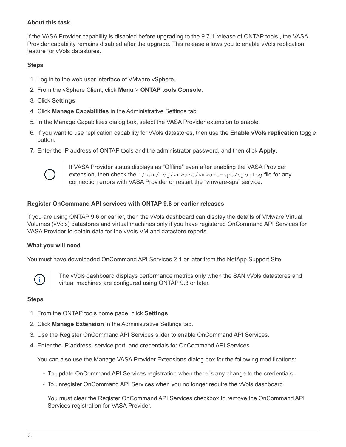## **About this task**

If the VASA Provider capability is disabled before upgrading to the 9.7.1 release of ONTAP tools , the VASA Provider capability remains disabled after the upgrade. This release allows you to enable vVols replication feature for vVols datastores.

#### **Steps**

- 1. Log in to the web user interface of VMware vSphere.
- 2. From the vSphere Client, click **Menu** > **ONTAP tools Console**.
- 3. Click **Settings**.
- 4. Click **Manage Capabilities** in the Administrative Settings tab.
- 5. In the Manage Capabilities dialog box, select the VASA Provider extension to enable.
- 6. If you want to use replication capability for vVols datastores, then use the **Enable vVols replication** toggle button.
- 7. Enter the IP address of ONTAP tools and the administrator password, and then click **Apply**.



If VASA Provider status displays as "Offline" even after enabling the VASA Provider extension, then check the `/var/log/vmware/vmware-sps/sps.log file for any connection errors with VASA Provider or restart the "vmware-sps" service.

### **Register OnCommand API services with ONTAP 9.6 or earlier releases**

If you are using ONTAP 9.6 or earlier, then the vVols dashboard can display the details of VMware Virtual Volumes (vVols) datastores and virtual machines only if you have registered OnCommand API Services for VASA Provider to obtain data for the vVols VM and datastore reports.

#### **What you will need**

You must have downloaded OnCommand API Services 2.1 or later from the NetApp Support Site.



The vVols dashboard displays performance metrics only when the SAN vVols datastores and virtual machines are configured using ONTAP 9.3 or later.

#### **Steps**

- 1. From the ONTAP tools home page, click **Settings**.
- 2. Click **Manage Extension** in the Administrative Settings tab.
- 3. Use the Register OnCommand API Services slider to enable OnCommand API Services.
- 4. Enter the IP address, service port, and credentials for OnCommand API Services.

You can also use the Manage VASA Provider Extensions dialog box for the following modifications:

- To update OnCommand API Services registration when there is any change to the credentials.
- To unregister OnCommand API Services when you no longer require the vVols dashboard.

You must clear the Register OnCommand API Services checkbox to remove the OnCommand API Services registration for VASA Provider.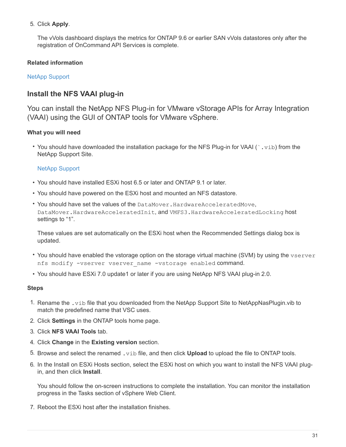## 5. Click **Apply**.

The vVols dashboard displays the metrics for ONTAP 9.6 or earlier SAN vVols datastores only after the registration of OnCommand API Services is complete.

## **Related information**

## [NetApp Support](https://mysupport.netapp.com/site/global/dashboard)

## **Install the NFS VAAI plug-in**

You can install the NetApp NFS Plug-in for VMware vStorage APIs for Array Integration (VAAI) using the GUI of ONTAP tools for VMware vSphere.

## **What you will need**

• You should have downloaded the installation package for the NFS Plug-in for VAAI ( $\cdot$ ,  $\text{vib}$ ) from the NetApp Support Site.

## [NetApp Support](https://mysupport.netapp.com/site/global/dashboard)

- You should have installed ESXi host 6.5 or later and ONTAP 9.1 or later.
- You should have powered on the ESXi host and mounted an NFS datastore.
- You should have set the values of the DataMover. HardwareAcceleratedMove, DataMover.HardwareAcceleratedInit, and VMFS3.HardwareAcceleratedLocking host settings to "1".

These values are set automatically on the ESXi host when the Recommended Settings dialog box is updated.

- You should have enabled the vstorage option on the storage virtual machine (SVM) by using the vserver nfs modify -vserver vserver name -vstorage enabled command.
- You should have ESXi 7.0 update1 or later if you are using NetApp NFS VAAI plug-in 2.0.

## **Steps**

- 1. Rename the .vib file that you downloaded from the NetApp Support Site to NetAppNasPlugin.vib to match the predefined name that VSC uses.
- 2. Click **Settings** in the ONTAP tools home page.
- 3. Click **NFS VAAI Tools** tab.
- 4. Click **Change** in the **Existing version** section.
- 5. Browse and select the renamed .vib file, and then click **Upload** to upload the file to ONTAP tools.
- 6. In the Install on ESXi Hosts section, select the ESXi host on which you want to install the NFS VAAI plugin, and then click **Install**.

You should follow the on-screen instructions to complete the installation. You can monitor the installation progress in the Tasks section of vSphere Web Client.

7. Reboot the ESXi host after the installation finishes.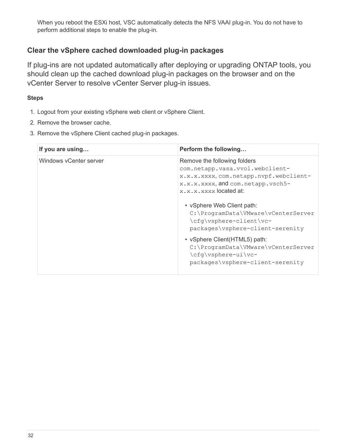When you reboot the ESXi host, VSC automatically detects the NFS VAAI plug-in. You do not have to perform additional steps to enable the plug-in.

## <span id="page-34-0"></span>**Clear the vSphere cached downloaded plug-in packages**

If plug-ins are not updated automatically after deploying or upgrading ONTAP tools, you should clean up the cached download plug-in packages on the browser and on the vCenter Server to resolve vCenter Server plug-in issues.

## **Steps**

- 1. Logout from your existing vSphere web client or vSphere Client.
- 2. Remove the browser cache.
- 3. Remove the vSphere Client cached plug-in packages.

| If you are using       | Perform the following                                                                                                                                                                                                                                                    |
|------------------------|--------------------------------------------------------------------------------------------------------------------------------------------------------------------------------------------------------------------------------------------------------------------------|
| Windows vCenter server | Remove the following folders<br>com.netapp.vasa.vvol.webclient-<br>x.x.x.xxxx, com.netapp.nvpf.webclient-<br>x.x.x.xxxx, and com.netapp.vsch5-<br>x.x.x.xxxx located at:<br>• vSphere Web Client path:<br>C:\ProgramData\VMware\vCenterServer<br>\cfq\vsphere-client\vc- |
|                        | packages\vsphere-client-serenity                                                                                                                                                                                                                                         |
|                        | • vSphere Client(HTML5) path:<br>C:\ProgramData\VMware\vCenterServer<br>\cfq\vsphere-ui\vc-<br>packages\vsphere-client-serenity                                                                                                                                          |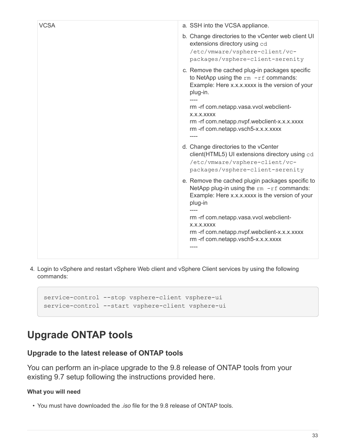| <b>VCSA</b> | a. SSH into the VCSA appliance.                                                                                                                               |
|-------------|---------------------------------------------------------------------------------------------------------------------------------------------------------------|
|             | b. Change directories to the vCenter web client UI<br>extensions directory using cd<br>/etc/vmware/vsphere-client/vc-<br>packages/vsphere-client-serenity     |
|             | c. Remove the cached plug-in packages specific<br>to NetApp using the $rm -rf$ commands:<br>Example: Here x.x.x.xxxx is the version of your<br>plug-in.       |
|             | rm -rf com.netapp.vasa.vvol.webclient-<br>X.X.X.XXXX<br>rm-rf com.netapp.nvpf.webclient-x.x.x.xxxx<br>rm-rf com.netapp.vsch5-x.x.x.xxxx                       |
|             | d. Change directories to the vCenter<br>client(HTML5) UI extensions directory using cd<br>/etc/vmware/vsphere-client/vc-<br>packages/vsphere-client-serenity  |
|             | e. Remove the cached plugin packages specific to<br>NetApp plug-in using the $rm -rf$ commands:<br>Example: Here x.x.x.xxxx is the version of your<br>plug-in |
|             | rm -rf com.netapp.vasa.vvol.webclient-<br>X.X.X.XXXX<br>rm-rf com.netapp.nvpf.webclient-x.x.x.xxxx<br>rm-rf com.netapp.vsch5-x.x.x.xxxx                       |
|             |                                                                                                                                                               |

4. Login to vSphere and restart vSphere Web client and vSphere Client services by using the following commands:

```
service-control --stop vsphere-client vsphere-ui
service-control --start vsphere-client vsphere-ui
```
# <span id="page-35-0"></span>**Upgrade ONTAP tools**

## <span id="page-35-1"></span>**Upgrade to the latest release of ONTAP tools**

You can perform an in-place upgrade to the 9.8 release of ONTAP tools from your existing 9.7 setup following the instructions provided here.

## **What you will need**

• You must have downloaded the *.iso* file for the 9.8 release of ONTAP tools.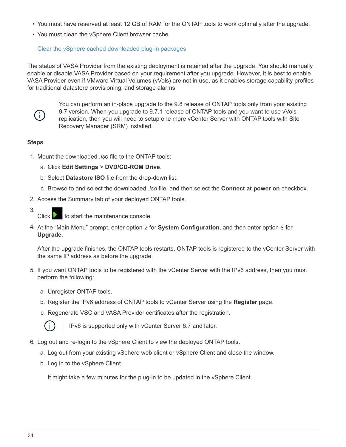- You must have reserved at least 12 GB of RAM for the ONTAP tools to work optimally after the upgrade.
- You must clean the vSphere Client browser cache.

# [Clear the vSphere cached downloaded plug-in packages](#page-34-0)

The status of VASA Provider from the existing deployment is retained after the upgrade. You should manually enable or disable VASA Provider based on your requirement after you upgrade. However, it is best to enable VASA Provider even if VMware Virtual Volumes (vVols) are not in use, as it enables storage capability profiles for traditional datastore provisioning, and storage alarms.



You can perform an in-place upgrade to the 9.8 release of ONTAP tools only from your existing 9.7 version. When you upgrade to 9.7.1 release of ONTAP tools and you want to use vVols replication, then you will need to setup one more vCenter Server with ONTAP tools with Site Recovery Manager (SRM) installed.

## **Steps**

- 1. Mount the downloaded *.iso* file to the ONTAP tools:
	- a. Click **Edit Settings** > **DVD/CD-ROM Drive**.
	- b. Select **Datastore ISO** file from the drop-down list.
	- c. Browse to and select the downloaded *.iso* file, and then select the **Connect at power on** checkbox.
- 2. Access the Summary tab of your deployed ONTAP tools.
- 3. Click  $\blacksquare$  to start the maintenance console.
- 4. At the "Main Menu" prompt, enter option 2 for **System Configuration**, and then enter option 8 for **Upgrade**.

After the upgrade finishes, the ONTAP tools restarts. ONTAP tools is registered to the vCenter Server with the same IP address as before the upgrade.

- 5. If you want ONTAP tools to be registered with the vCenter Server with the IPv6 address, then you must perform the following:
	- a. Unregister ONTAP tools.
	- b. Register the IPv6 address of ONTAP tools to vCenter Server using the **Register** page.
	- c. Regenerate VSC and VASA Provider certificates after the registration.



IPv6 is supported only with vCenter Server 6.7 and later.

- 6. Log out and re-login to the vSphere Client to view the deployed ONTAP tools.
	- a. Log out from your existing vSphere web client or vSphere Client and close the window.
	- b. Log in to the vSphere Client.

It might take a few minutes for the plug-in to be updated in the vSphere Client.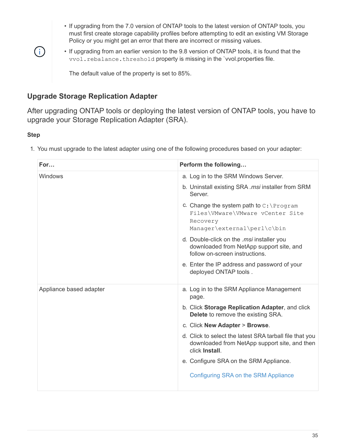- If upgrading from the 7.0 version of ONTAP tools to the latest version of ONTAP tools, you must first create storage capability profiles before attempting to edit an existing VM Storage Policy or you might get an error that there are incorrect or missing values.
- $(i)$
- If upgrading from an earlier version to the 9.8 version of ONTAP tools, it is found that the vvol.rebalance.threshold property is missing in the `vvol.properties file.

The default value of the property is set to 85%.

# **Upgrade Storage Replication Adapter**

After upgrading ONTAP tools or deploying the latest version of ONTAP tools, you have to upgrade your Storage Replication Adapter (SRA).

# **Step**

1. You must upgrade to the latest adapter using one of the following procedures based on your adapter:

| For                     | Perform the following                                                                                                      |
|-------------------------|----------------------------------------------------------------------------------------------------------------------------|
| Windows                 | a. Log in to the SRM Windows Server.                                                                                       |
|                         | b. Uninstall existing SRA .msi installer from SRM<br>Server.                                                               |
|                         | c. Change the system path to $C:\$ Program<br>Files\VMware\VMware vCenter Site<br>Recovery<br>Manager\external\perl\c\bin  |
|                         | d. Double-click on the .msi installer you<br>downloaded from NetApp support site, and<br>follow on-screen instructions.    |
|                         | e. Enter the IP address and password of your<br>deployed ONTAP tools.                                                      |
| Appliance based adapter | a. Log in to the SRM Appliance Management<br>page.                                                                         |
|                         | b. Click Storage Replication Adapter, and click<br><b>Delete</b> to remove the existing SRA.                               |
|                         | c. Click New Adapter > Browse.                                                                                             |
|                         | d. Click to select the latest SRA tarball file that you<br>downloaded from NetApp support site, and then<br>click Install. |
|                         | e. Configure SRA on the SRM Appliance.                                                                                     |
|                         | Configuring SRA on the SRM Appliance                                                                                       |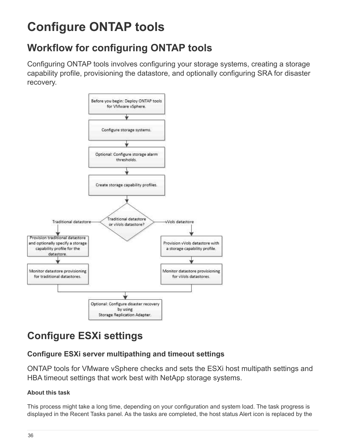# **Configure ONTAP tools**

# **Workflow for configuring ONTAP tools**

Configuring ONTAP tools involves configuring your storage systems, creating a storage capability profile, provisioning the datastore, and optionally configuring SRA for disaster recovery.



# **Configure ESXi settings**

# **Configure ESXi server multipathing and timeout settings**

ONTAP tools for VMware vSphere checks and sets the ESXi host multipath settings and HBA timeout settings that work best with NetApp storage systems.

# **About this task**

This process might take a long time, depending on your configuration and system load. The task progress is displayed in the Recent Tasks panel. As the tasks are completed, the host status Alert icon is replaced by the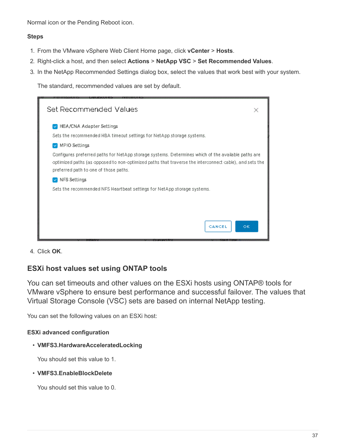Normal icon or the Pending Reboot icon.

### **Steps**

- 1. From the VMware vSphere Web Client Home page, click **vCenter** > **Hosts**.
- 2. Right-click a host, and then select **Actions** > **NetApp VSC** > **Set Recommended Values**.
- 3. In the NetApp Recommended Settings dialog box, select the values that work best with your system.

The standard, recommended values are set by default.

| Set Recommended Values                                                                                                                                                                                                                                |  |
|-------------------------------------------------------------------------------------------------------------------------------------------------------------------------------------------------------------------------------------------------------|--|
| <b>HEA/CNA Adapter Settings</b><br>Sets the recommended HBA timeout settings for NetApp storage systems.<br><b>MPIO Settings</b>                                                                                                                      |  |
| Configures preferred paths for NetApp storage systems. Determines which of the available paths are<br>optimized paths (as opposed to non-optimized paths that traverse the interconnect cable), and sets the<br>preferred path to one of those paths. |  |
| NFS Settings<br>Sets the recommended NFS Heartbeat settings for NetApp storage systems.                                                                                                                                                               |  |
| OК<br>CANCEL                                                                                                                                                                                                                                          |  |

4. Click **OK**.

# **ESXi host values set using ONTAP tools**

You can set timeouts and other values on the ESXi hosts using ONTAP® tools for VMware vSphere to ensure best performance and successful failover. The values that Virtual Storage Console (VSC) sets are based on internal NetApp testing.

You can set the following values on an ESXi host:

### **ESXi advanced configuration**

### • **VMFS3.HardwareAcceleratedLocking**

You should set this value to 1.

#### • **VMFS3.EnableBlockDelete**

You should set this value to 0.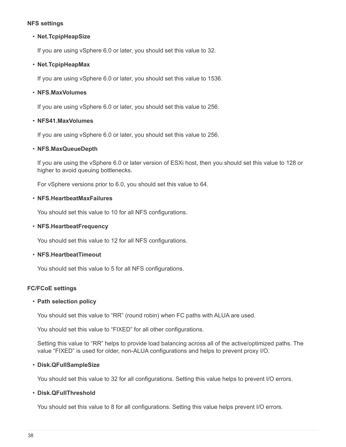#### **NFS settings**

#### • **Net.TcpipHeapSize**

If you are using vSphere 6.0 or later, you should set this value to 32.

#### • **Net.TcpipHeapMax**

If you are using vSphere 6.0 or later, you should set this value to 1536.

#### • **NFS.MaxVolumes**

If you are using vSphere 6.0 or later, you should set this value to 256.

#### • **NFS41.MaxVolumes**

If you are using vSphere 6.0 or later, you should set this value to 256.

#### • **NFS.MaxQueueDepth**

If you are using the vSphere 6.0 or later version of ESXi host, then you should set this value to 128 or higher to avoid queuing bottlenecks.

For vSphere versions prior to 6.0, you should set this value to 64.

#### • **NFS.HeartbeatMaxFailures**

You should set this value to 10 for all NFS configurations.

#### • **NFS.HeartbeatFrequency**

You should set this value to 12 for all NFS configurations.

#### • **NFS.HeartbeatTimeout**

You should set this value to 5 for all NFS configurations.

### **FC/FCoE settings**

#### • **Path selection policy**

You should set this value to "RR" (round robin) when FC paths with ALUA are used.

You should set this value to "FIXED" for all other configurations.

Setting this value to "RR" helps to provide load balancing across all of the active/optimized paths. The value "FIXED" is used for older, non-ALUA configurations and helps to prevent proxy I/O.

#### • **Disk.QFullSampleSize**

You should set this value to 32 for all configurations. Setting this value helps to prevent I/O errors.

#### • **Disk.QFullThreshold**

You should set this value to 8 for all configurations. Setting this value helps prevent I/O errors.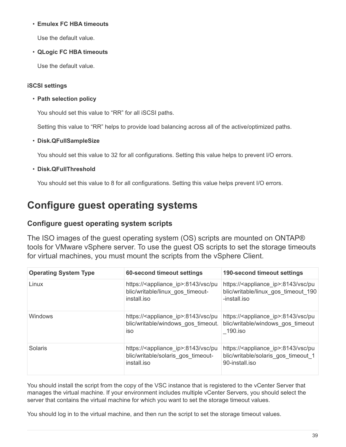### • **Emulex FC HBA timeouts**

Use the default value.

• **QLogic FC HBA timeouts**

Use the default value.

### **iSCSI settings**

• **Path selection policy**

You should set this value to "RR" for all iSCSI paths.

Setting this value to "RR" helps to provide load balancing across all of the active/optimized paths.

### • **Disk.QFullSampleSize**

You should set this value to 32 for all configurations. Setting this value helps to prevent I/O errors.

• **Disk.QFullThreshold**

You should set this value to 8 for all configurations. Setting this value helps prevent I/O errors.

# **Configure guest operating systems**

# **Configure guest operating system scripts**

The ISO images of the guest operating system (OS) scripts are mounted on ONTAP® tools for VMware vSphere server. To use the guest OS scripts to set the storage timeouts for virtual machines, you must mount the scripts from the vSphere Client.

| <b>Operating System Type</b> | 60-second timeout settings                                                                                | 190-second timeout settings                                                                                   |
|------------------------------|-----------------------------------------------------------------------------------------------------------|---------------------------------------------------------------------------------------------------------------|
| Linux                        | https:// <appliance_ip>:8143/vsc/pu<br/>blic/writable/linux gos timeout-<br/>install.jso</appliance_ip>   | https:// <appliance_ip>:8143/vsc/pu<br/>blic/writable/linux gos timeout 190<br/>-install.iso</appliance_ip>   |
| <b>Windows</b>               | https:// <appliance_ip>:8143/vsc/pu<br/>blic/writable/windows gos timeout.<br/><b>iso</b></appliance_ip>  | https:// <appliance ip="">:8143/vsc/pu<br/>blic/writable/windows gos timeout<br/>190.iso</appliance>          |
| Solaris                      | https:// <appliance_ip>:8143/vsc/pu<br/>blic/writable/solaris gos timeout-<br/>install.jso</appliance_ip> | https:// <appliance_ip>:8143/vsc/pu<br/>blic/writable/solaris gos timeout 1<br/>90-install.iso</appliance_ip> |

You should install the script from the copy of the VSC instance that is registered to the vCenter Server that manages the virtual machine. If your environment includes multiple vCenter Servers, you should select the server that contains the virtual machine for which you want to set the storage timeout values.

You should log in to the virtual machine, and then run the script to set the storage timeout values.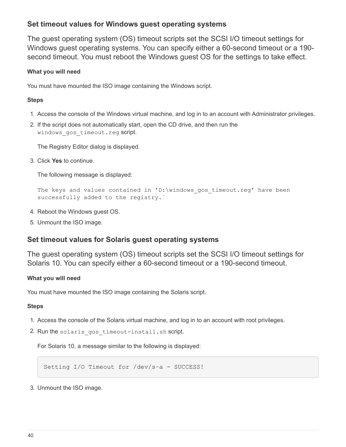# **Set timeout values for Windows guest operating systems**

The guest operating system (OS) timeout scripts set the SCSI I/O timeout settings for Windows guest operating systems. You can specify either a 60-second timeout or a 190 second timeout. You must reboot the Windows guest OS for the settings to take effect.

## **What you will need**

You must have mounted the ISO image containing the Windows script.

## **Steps**

- 1. Access the console of the Windows virtual machine, and log in to an account with Administrator privileges.
- 2. If the script does not automatically start, open the CD drive, and then run the windows gos timeout.reg script.

The Registry Editor dialog is displayed.

3. Click **Yes** to continue.

The following message is displayed:

```
The keys and values contained in 'D:\windows gos timeout.reg' have been
successfully added to the registry.`
```
- 4. Reboot the Windows guest OS.
- 5. Unmount the ISO image.

# **Set timeout values for Solaris guest operating systems**

The guest operating system (OS) timeout scripts set the SCSI I/O timeout settings for Solaris 10. You can specify either a 60-second timeout or a 190-second timeout.

### **What you will need**

You must have mounted the ISO image containing the Solaris script.

### **Steps**

- 1. Access the console of the Solaris virtual machine, and log in to an account with root privileges.
- 2. Run the solaris gos timeout-install.sh script.

For Solaris 10, a message similar to the following is displayed:

Setting I/O Timeout for /dev/s-a - SUCCESS!

3. Unmount the ISO image.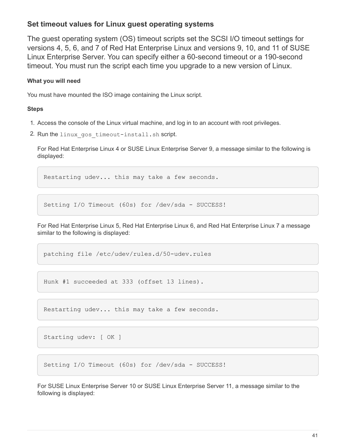# **Set timeout values for Linux guest operating systems**

The guest operating system (OS) timeout scripts set the SCSI I/O timeout settings for versions 4, 5, 6, and 7 of Red Hat Enterprise Linux and versions 9, 10, and 11 of SUSE Linux Enterprise Server. You can specify either a 60-second timeout or a 190-second timeout. You must run the script each time you upgrade to a new version of Linux.

## **What you will need**

You must have mounted the ISO image containing the Linux script.

## **Steps**

- 1. Access the console of the Linux virtual machine, and log in to an account with root privileges.
- 2. Run the linux gos timeout-install.sh script.

For Red Hat Enterprise Linux 4 or SUSE Linux Enterprise Server 9, a message similar to the following is displayed:

Restarting udev... this may take a few seconds.

Setting I/O Timeout (60s) for /dev/sda - SUCCESS!

For Red Hat Enterprise Linux 5, Red Hat Enterprise Linux 6, and Red Hat Enterprise Linux 7 a message similar to the following is displayed:

patching file /etc/udev/rules.d/50-udev.rules

Hunk #1 succeeded at 333 (offset 13 lines).

Restarting udev... this may take a few seconds.

```
Starting udev: [ OK ]
```
Setting I/O Timeout (60s) for /dev/sda - SUCCESS!

For SUSE Linux Enterprise Server 10 or SUSE Linux Enterprise Server 11, a message similar to the following is displayed: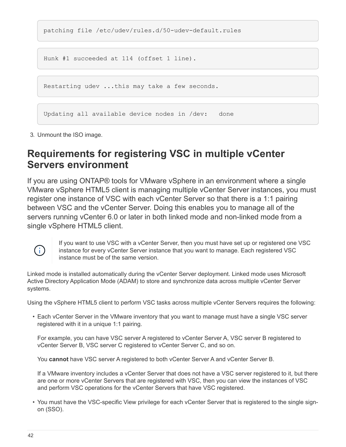patching file /etc/udev/rules.d/50-udev-default.rules

Hunk #1 succeeded at 114 (offset 1 line).

Restarting udev ...this may take a few seconds.

Updating all available device nodes in /dev: done

3. Unmount the ISO image.

# **Requirements for registering VSC in multiple vCenter Servers environment**

If you are using ONTAP® tools for VMware vSphere in an environment where a single VMware vSphere HTML5 client is managing multiple vCenter Server instances, you must register one instance of VSC with each vCenter Server so that there is a 1:1 pairing between VSC and the vCenter Server. Doing this enables you to manage all of the servers running vCenter 6.0 or later in both linked mode and non-linked mode from a single vSphere HTML5 client.



If you want to use VSC with a vCenter Server, then you must have set up or registered one VSC instance for every vCenter Server instance that you want to manage. Each registered VSC instance must be of the same version.

Linked mode is installed automatically during the vCenter Server deployment. Linked mode uses Microsoft Active Directory Application Mode (ADAM) to store and synchronize data across multiple vCenter Server systems.

Using the vSphere HTML5 client to perform VSC tasks across multiple vCenter Servers requires the following:

• Each vCenter Server in the VMware inventory that you want to manage must have a single VSC server registered with it in a unique 1:1 pairing.

For example, you can have VSC server A registered to vCenter Server A, VSC server B registered to vCenter Server B, VSC server C registered to vCenter Server C, and so on.

You **cannot** have VSC server A registered to both vCenter Server A and vCenter Server B.

If a VMware inventory includes a vCenter Server that does not have a VSC server registered to it, but there are one or more vCenter Servers that are registered with VSC, then you can view the instances of VSC and perform VSC operations for the vCenter Servers that have VSC registered.

• You must have the VSC-specific View privilege for each vCenter Server that is registered to the single signon (SSO).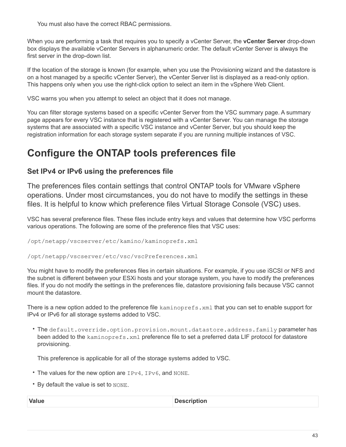You must also have the correct RBAC permissions.

When you are performing a task that requires you to specify a vCenter Server, the **vCenter Server** drop-down box displays the available vCenter Servers in alphanumeric order. The default vCenter Server is always the first server in the drop-down list.

If the location of the storage is known (for example, when you use the Provisioning wizard and the datastore is on a host managed by a specific vCenter Server), the vCenter Server list is displayed as a read-only option. This happens only when you use the right-click option to select an item in the vSphere Web Client.

VSC warns you when you attempt to select an object that it does not manage.

You can filter storage systems based on a specific vCenter Server from the VSC summary page. A summary page appears for every VSC instance that is registered with a vCenter Server. You can manage the storage systems that are associated with a specific VSC instance and vCenter Server, but you should keep the registration information for each storage system separate if you are running multiple instances of VSC.

# **Configure the ONTAP tools preferences file**

# **Set IPv4 or IPv6 using the preferences file**

The preferences files contain settings that control ONTAP tools for VMware vSphere operations. Under most circumstances, you do not have to modify the settings in these files. It is helpful to know which preference files Virtual Storage Console (VSC) uses.

VSC has several preference files. These files include entry keys and values that determine how VSC performs various operations. The following are some of the preference files that VSC uses:

/opt/netapp/vscserver/etc/kamino/kaminoprefs.xml

/opt/netapp/vscserver/etc/vsc/vscPreferences.xml

You might have to modify the preferences files in certain situations. For example, if you use iSCSI or NFS and the subnet is different between your ESXi hosts and your storage system, you have to modify the preferences files. If you do not modify the settings in the preferences file, datastore provisioning fails because VSC cannot mount the datastore.

There is a new option added to the preference file kaminoprefs.xml that you can set to enable support for IPv4 or IPv6 for all storage systems added to VSC.

• The default.override.option.provision.mount.datastore.address.family parameter has been added to the kaminoprefs.xml preference file to set a preferred data LIF protocol for datastore provisioning.

This preference is applicable for all of the storage systems added to VSC.

- The values for the new option are IPv4, IPv6, and NONE.
- By default the value is set to NONE.

| Value | <b>Description</b> |
|-------|--------------------|
|       |                    |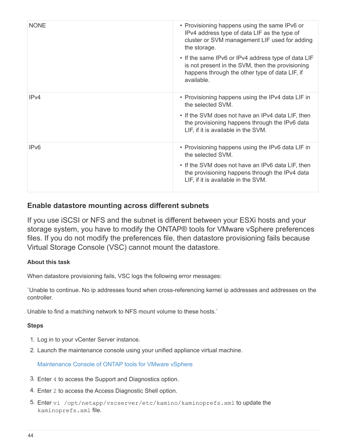| <b>NONE</b>      | • Provisioning happens using the same IPv6 or<br>IPv4 address type of data LIF as the type of<br>cluster or SVM management LIF used for adding<br>the storage.<br>• If the same IPv6 or IPv4 address type of data LIF<br>is not present in the SVM, then the provisioning<br>happens through the other type of data LIF, if<br>available. |
|------------------|-------------------------------------------------------------------------------------------------------------------------------------------------------------------------------------------------------------------------------------------------------------------------------------------------------------------------------------------|
| IPv4             | • Provisioning happens using the IPv4 data LIF in<br>the selected SVM.<br>• If the SVM does not have an IPv4 data LIF, then<br>the provisioning happens through the IPv6 data<br>LIF, if it is available in the SVM.                                                                                                                      |
| IP <sub>v6</sub> | • Provisioning happens using the IPv6 data LIF in<br>the selected SVM.<br>• If the SVM does not have an IPv6 data LIF, then<br>the provisioning happens through the IPv4 data<br>LIF, if it is available in the SVM.                                                                                                                      |

# **Enable datastore mounting across different subnets**

If you use iSCSI or NFS and the subnet is different between your ESXi hosts and your storage system, you have to modify the ONTAP® tools for VMware vSphere preferences files. If you do not modify the preferences file, then datastore provisioning fails because Virtual Storage Console (VSC) cannot mount the datastore.

## **About this task**

When datastore provisioning fails, VSC logs the following error messages:

`Unable to continue. No ip addresses found when cross-referencing kernel ip addresses and addresses on the controller.

Unable to find a matching network to NFS mount volume to these hosts.`

### **Steps**

- 1. Log in to your vCenter Server instance.
- 2. Launch the maintenance console using your unified appliance virtual machine.

### [Maintenance Console of ONTAP tools for VMware vSphere](https://docs.netapp.com/us-en/ontap-tools-vmware-vsphere-98/configure/reference_maintenance_console_of_ontap_tools_for_vmware_vsphere.html)

- 3. Enter 4 to access the Support and Diagnostics option.
- 4. Enter 2 to access the Access Diagnostic Shell option.
- 5. Enter vi /opt/netapp/vscserver/etc/kamino/kaminoprefs.xml to update the kaminoprefs.xml file.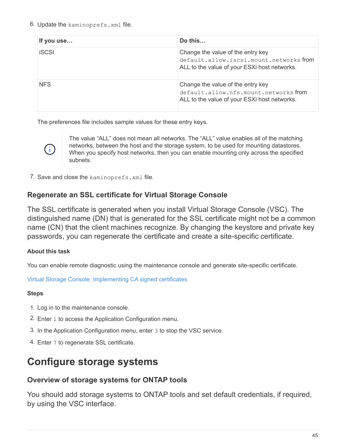6. Update the kaminoprefs.xml file.

| If you use   | Do this                                                                                                                     |
|--------------|-----------------------------------------------------------------------------------------------------------------------------|
| <b>iSCSI</b> | Change the value of the entry key<br>default.allow.iscsi.mount.networksfrom<br>ALL to the value of your ESXi host networks. |
| <b>NFS</b>   | Change the value of the entry key<br>default.allow.nfs.mount.networksfrom<br>ALL to the value of your ESXi host networks.   |

The preferences file includes sample values for these entry keys.



The value "ALL" does not mean all networks. The "ALL" value enables all of the matching networks, between the host and the storage system, to be used for mounting datastores. When you specify host networks, then you can enable mounting only across the specified subnets.

7. Save and close the kaminoprefs.xml file.

# **Regenerate an SSL certificate for Virtual Storage Console**

The SSL certificate is generated when you install Virtual Storage Console (VSC). The distinguished name (DN) that is generated for the SSL certificate might not be a common name (CN) that the client machines recognize. By changing the keystore and private key passwords, you can regenerate the certificate and create a site-specific certificate.

## **About this task**

You can enable remote diagnostic using the maintenance console and generate site-specific certificate.

[Virtual Storage Console: Implementing CA signed certificates](https://kb.netapp.com/advice_and_troubleshooting/data_storage_software/vsc_and_vasa_provider/virtual_storage_console%3a_implementing_ca_signed_certificates)

## **Steps**

- 1. Log in to the maintenance console.
- 2. Enter 1 to access the Application Configuration menu.
- 3. In the Application Configuration menu, enter 3 to stop the VSC service.
- 4. Enter 7 to regenerate SSL certificate.

# **Configure storage systems**

# **Overview of storage systems for ONTAP tools**

You should add storage systems to ONTAP tools and set default credentials, if required, by using the VSC interface.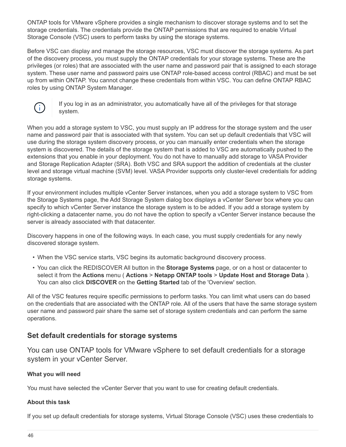ONTAP tools for VMware vSphere provides a single mechanism to discover storage systems and to set the storage credentials. The credentials provide the ONTAP permissions that are required to enable Virtual Storage Console (VSC) users to perform tasks by using the storage systems.

Before VSC can display and manage the storage resources, VSC must discover the storage systems. As part of the discovery process, you must supply the ONTAP credentials for your storage systems. These are the privileges (or roles) that are associated with the user name and password pair that is assigned to each storage system. These user name and password pairs use ONTAP role-based access control (RBAC) and must be set up from within ONTAP. You cannot change these credentials from within VSC. You can define ONTAP RBAC roles by using ONTAP System Manager.



If you log in as an administrator, you automatically have all of the privileges for that storage system.

When you add a storage system to VSC, you must supply an IP address for the storage system and the user name and password pair that is associated with that system. You can set up default credentials that VSC will use during the storage system discovery process, or you can manually enter credentials when the storage system is discovered. The details of the storage system that is added to VSC are automatically pushed to the extensions that you enable in your deployment. You do not have to manually add storage to VASA Provider and Storage Replication Adapter (SRA). Both VSC and SRA support the addition of credentials at the cluster level and storage virtual machine (SVM) level. VASA Provider supports only cluster-level credentials for adding storage systems.

If your environment includes multiple vCenter Server instances, when you add a storage system to VSC from the Storage Systems page, the Add Storage System dialog box displays a vCenter Server box where you can specify to which vCenter Server instance the storage system is to be added. If you add a storage system by right-clicking a datacenter name, you do not have the option to specify a vCenter Server instance because the server is already associated with that datacenter.

Discovery happens in one of the following ways. In each case, you must supply credentials for any newly discovered storage system.

- When the VSC service starts, VSC begins its automatic background discovery process.
- You can click the REDISCOVER All button in the **Storage Systems** page, or on a host or datacenter to select it from the **Actions** menu ( **Actions** > **Netapp ONTAP tools** > **Update Host and Storage Data** ). You can also click **DISCOVER** on the **Getting Started** tab of the 'Overview' section.

All of the VSC features require specific permissions to perform tasks. You can limit what users can do based on the credentials that are associated with the ONTAP role. All of the users that have the same storage system user name and password pair share the same set of storage system credentials and can perform the same operations.

# **Set default credentials for storage systems**

You can use ONTAP tools for VMware vSphere to set default credentials for a storage system in your vCenter Server.

### **What you will need**

You must have selected the vCenter Server that you want to use for creating default credentials.

### **About this task**

If you set up default credentials for storage systems, Virtual Storage Console (VSC) uses these credentials to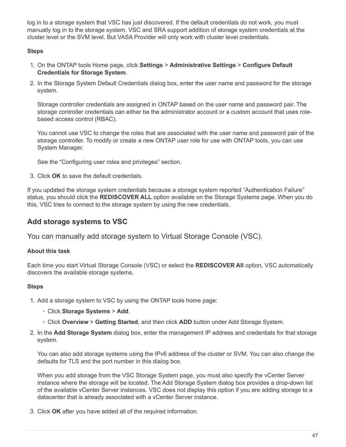log in to a storage system that VSC has just discovered. If the default credentials do not work, you must manually log in to the storage system. VSC and SRA support addition of storage system credentials at the cluster level or the SVM level. But VASA Provider will only work with cluster level credentials.

## **Steps**

- 1. On the ONTAP tools Home page, click **Settings** > **Administrative Settings** > **Configure Default Credentials for Storage System**.
- 2. In the Storage System Default Credentials dialog box, enter the user name and password for the storage system.

Storage controller credentials are assigned in ONTAP based on the user name and password pair. The storage controller credentials can either be the administrator account or a custom account that uses rolebased access control (RBAC).

You cannot use VSC to change the roles that are associated with the user name and password pair of the storage controller. To modify or create a new ONTAP user role for use with ONTAP tools, you can use System Manager.

See the "Configuring user roles and privileges" section.

3. Click **OK** to save the default credentials.

If you updated the storage system credentials because a storage system reported "Authentication Failure" status, you should click the **REDISCOVER ALL** option available on the Storage Systems page. When you do this, VSC tries to connect to the storage system by using the new credentials.

# **Add storage systems to VSC**

You can manually add storage system to Virtual Storage Console (VSC).

## **About this task**

Each time you start Virtual Storage Console (VSC) or select the **REDISCOVER All** option, VSC automatically discovers the available storage systems.

## **Steps**

- 1. Add a storage system to VSC by using the ONTAP tools home page:
	- Click **Storage Systems** > **Add**.
	- Click **Overview** > **Getting Started**, and then click **ADD** button under Add Storage System.
- 2. In the **Add Storage System** dialog box, enter the management IP address and credentials for that storage system.

You can also add storage systems using the IPv6 address of the cluster or SVM. You can also change the defaults for TLS and the port number in this dialog box.

When you add storage from the VSC Storage System page, you must also specify the vCenter Server instance where the storage will be located. The Add Storage System dialog box provides a drop-down list of the available vCenter Server instances. VSC does not display this option if you are adding storage to a datacenter that is already associated with a vCenter Server instance.

3. Click **OK** after you have added all of the required information.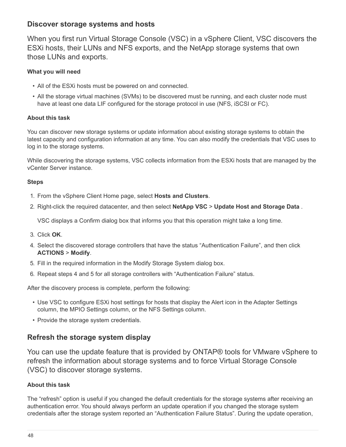# **Discover storage systems and hosts**

When you first run Virtual Storage Console (VSC) in a vSphere Client, VSC discovers the ESXi hosts, their LUNs and NFS exports, and the NetApp storage systems that own those LUNs and exports.

## **What you will need**

- All of the ESXi hosts must be powered on and connected.
- All the storage virtual machines (SVMs) to be discovered must be running, and each cluster node must have at least one data LIF configured for the storage protocol in use (NFS, iSCSI or FC).

# **About this task**

You can discover new storage systems or update information about existing storage systems to obtain the latest capacity and configuration information at any time. You can also modify the credentials that VSC uses to log in to the storage systems.

While discovering the storage systems, VSC collects information from the ESXi hosts that are managed by the vCenter Server instance.

# **Steps**

- 1. From the vSphere Client Home page, select **Hosts and Clusters**.
- 2. Right-click the required datacenter, and then select **NetApp VSC** > **Update Host and Storage Data** .

VSC displays a Confirm dialog box that informs you that this operation might take a long time.

- 3. Click **OK**.
- 4. Select the discovered storage controllers that have the status "Authentication Failure", and then click **ACTIONS** > **Modify**.
- 5. Fill in the required information in the Modify Storage System dialog box.
- 6. Repeat steps 4 and 5 for all storage controllers with "Authentication Failure" status.

After the discovery process is complete, perform the following:

- Use VSC to configure ESXi host settings for hosts that display the Alert icon in the Adapter Settings column, the MPIO Settings column, or the NFS Settings column.
- Provide the storage system credentials.

# **Refresh the storage system display**

You can use the update feature that is provided by ONTAP® tools for VMware vSphere to refresh the information about storage systems and to force Virtual Storage Console (VSC) to discover storage systems.

## **About this task**

The "refresh" option is useful if you changed the default credentials for the storage systems after receiving an authentication error. You should always perform an update operation if you changed the storage system credentials after the storage system reported an "Authentication Failure Status". During the update operation,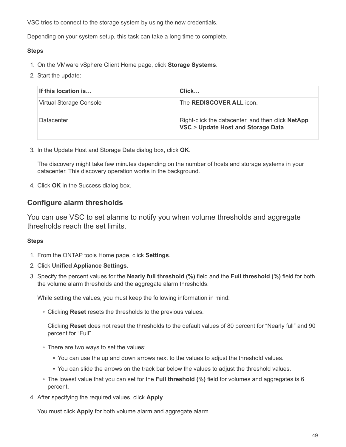VSC tries to connect to the storage system by using the new credentials.

Depending on your system setup, this task can take a long time to complete.

### **Steps**

- 1. On the VMware vSphere Client Home page, click **Storage Systems**.
- 2. Start the update:

| If this location is     | Click                                                                                    |
|-------------------------|------------------------------------------------------------------------------------------|
| Virtual Storage Console | The <b>REDISCOVER ALL</b> icon.                                                          |
| Datacenter              | Right-click the datacenter, and then click NetApp<br>VSC > Update Host and Storage Data. |

3. In the Update Host and Storage Data dialog box, click **OK**.

The discovery might take few minutes depending on the number of hosts and storage systems in your datacenter. This discovery operation works in the background.

4. Click **OK** in the Success dialog box.

# **Configure alarm thresholds**

You can use VSC to set alarms to notify you when volume thresholds and aggregate thresholds reach the set limits.

## **Steps**

- 1. From the ONTAP tools Home page, click **Settings**.
- 2. Click **Unified Appliance Settings**.
- 3. Specify the percent values for the **Nearly full threshold (%)** field and the **Full threshold (%)** field for both the volume alarm thresholds and the aggregate alarm thresholds.

While setting the values, you must keep the following information in mind:

◦ Clicking **Reset** resets the thresholds to the previous values.

Clicking **Reset** does not reset the thresholds to the default values of 80 percent for "Nearly full" and 90 percent for "Full".

- There are two ways to set the values:
	- You can use the up and down arrows next to the values to adjust the threshold values.
	- You can slide the arrows on the track bar below the values to adjust the threshold values.
- The lowest value that you can set for the **Full threshold (%)** field for volumes and aggregates is 6 percent.
- 4. After specifying the required values, click **Apply**.

You must click **Apply** for both volume alarm and aggregate alarm.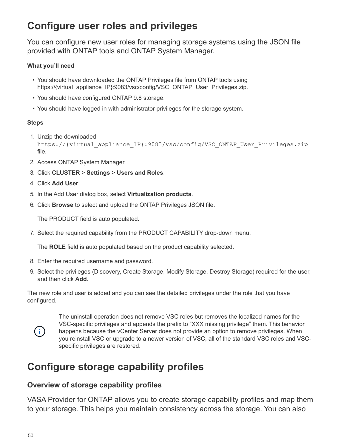# **Configure user roles and privileges**

You can configure new user roles for managing storage systems using the JSON file provided with ONTAP tools and ONTAP System Manager.

# **What you'll need**

- You should have downloaded the ONTAP Privileges file from ONTAP tools using https://{virtual\_appliance\_IP}:9083/vsc/config/VSC\_ONTAP\_User\_Privileges.zip.
- You should have configured ONTAP 9.8 storage.
- You should have logged in with administrator privileges for the storage system.

## **Steps**

1. Unzip the downloaded

```
https://{virtual_appliance_IP}:9083/vsc/config/VSC_ONTAP_User_Privileges.zip
file.
```
- 2. Access ONTAP System Manager.
- 3. Click **CLUSTER** > **Settings** > **Users and Roles**.
- 4. Click **Add User**.
- 5. In the Add User dialog box, select **Virtualization products**.
- 6. Click **Browse** to select and upload the ONTAP Privileges JSON file.

The PRODUCT field is auto populated.

7. Select the required capability from the PRODUCT CAPABILITY drop-down menu.

The **ROLE** field is auto populated based on the product capability selected.

- 8. Enter the required username and password.
- 9. Select the privileges (Discovery, Create Storage, Modify Storage, Destroy Storage) required for the user, and then click **Add**.

The new role and user is added and you can see the detailed privileges under the role that you have configured.



The uninstall operation does not remove VSC roles but removes the localized names for the VSC-specific privileges and appends the prefix to "XXX missing privilege" them. This behavior happens because the vCenter Server does not provide an option to remove privileges. When you reinstall VSC or upgrade to a newer version of VSC, all of the standard VSC roles and VSCspecific privileges are restored.

# **Configure storage capability profiles**

# **Overview of storage capability profiles**

VASA Provider for ONTAP allows you to create storage capability profiles and map them to your storage. This helps you maintain consistency across the storage. You can also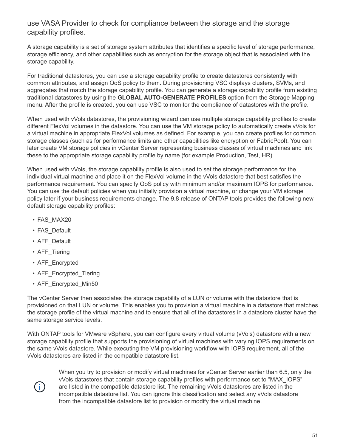# use VASA Provider to check for compliance between the storage and the storage capability profiles.

A storage capability is a set of storage system attributes that identifies a specific level of storage performance, storage efficiency, and other capabilities such as encryption for the storage object that is associated with the storage capability.

For traditional datastores, you can use a storage capability profile to create datastores consistently with common attributes, and assign QoS policy to them. During provisioning VSC displays clusters, SVMs, and aggregates that match the storage capability profile. You can generate a storage capability profile from existing traditional datastores by using the **GLOBAL AUTO-GENERATE PROFILES** option from the Storage Mapping menu. After the profile is created, you can use VSC to monitor the compliance of datastores with the profile.

When used with vVols datastores, the provisioning wizard can use multiple storage capability profiles to create different FlexVol volumes in the datastore. You can use the VM storage policy to automatically create vVols for a virtual machine in appropriate FlexVol volumes as defined. For example, you can create profiles for common storage classes (such as for performance limits and other capabilities like encryption or FabricPool). You can later create VM storage policies in vCenter Server representing business classes of virtual machines and link these to the appropriate storage capability profile by name (for example Production, Test, HR).

When used with vVols, the storage capability profile is also used to set the storage performance for the individual virtual machine and place it on the FlexVol volume in the vVols datastore that best satisfies the performance requirement. You can specify QoS policy with minimum and/or maximum IOPS for performance. You can use the default policies when you initially provision a virtual machine, or change your VM storage policy later if your business requirements change. The 9.8 release of ONTAP tools provides the following new default storage capability profiles:

- FAS\_MAX20
- FAS\_Default
- AFF\_Default
- AFF\_Tiering
- AFF\_Encrypted
- AFF Encrypted Tiering
- AFF Encrypted Min50

The vCenter Server then associates the storage capability of a LUN or volume with the datastore that is provisioned on that LUN or volume. This enables you to provision a virtual machine in a datastore that matches the storage profile of the virtual machine and to ensure that all of the datastores in a datastore cluster have the same storage service levels.

With ONTAP tools for VMware vSphere, you can configure every virtual volume (vVols) datastore with a new storage capability profile that supports the provisioning of virtual machines with varying IOPS requirements on the same vVols datastore. While executing the VM provisioning workflow with IOPS requirement, all of the vVols datastores are listed in the compatible datastore list.



When you try to provision or modify virtual machines for vCenter Server earlier than 6.5, only the vVols datastores that contain storage capability profiles with performance set to "MAX\_IOPS" are listed in the compatible datastore list. The remaining vVols datastores are listed in the incompatible datastore list. You can ignore this classification and select any vVols datastore from the incompatible datastore list to provision or modify the virtual machine.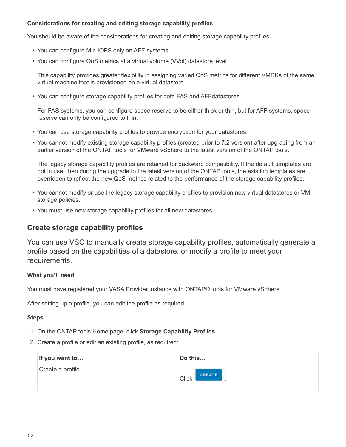#### **Considerations for creating and editing storage capability profiles**

You should be aware of the considerations for creating and editing storage capability profiles.

- You can configure Min IOPS only on AFF systems.
- You can configure QoS metrics at a virtual volume (VVol) datastore level.

This capability provides greater flexibility in assigning varied QoS metrics for different VMDKs of the same virtual machine that is provisioned on a virtual datastore.

• You can configure storage capability profiles for both FAS and AFFdatastores.

For FAS systems, you can configure space reserve to be either thick or thin, but for AFF systems, space reserve can only be configured to thin.

- You can use storage capability profiles to provide encryption for your datastores.
- You cannot modify existing storage capability profiles (created prior to 7.2 version) after upgrading from an earlier version of the ONTAP tools for VMware vSphere to the latest version of the ONTAP tools.

The legacy storage capability profiles are retained for backward compatibility. If the default templates are not in use, then during the upgrade to the latest version of the ONTAP tools, the existing templates are overridden to reflect the new QoS metrics related to the performance of the storage capability profiles.

- You cannot modify or use the legacy storage capability profiles to provision new virtual datastores or VM storage policies.
- You must use new storage capability profiles for all new datastores.

# **Create storage capability profiles**

You can use VSC to manually create storage capability profiles, automatically generate a profile based on the capabilities of a datastore, or modify a profile to meet your requirements.

### **What you'll need**

You must have registered your VASA Provider instance with ONTAP® tools for VMware vSphere.

After setting up a profile, you can edit the profile as required.

#### **Steps**

- 1. On the ONTAP tools Home page, click **Storage Capability Profiles**.
- 2. Create a profile or edit an existing profile, as required:

| If you want to   | Do this                                                         |
|------------------|-----------------------------------------------------------------|
| Create a profile | CREATE<br><b>Click</b><br>and accountance of the company of the |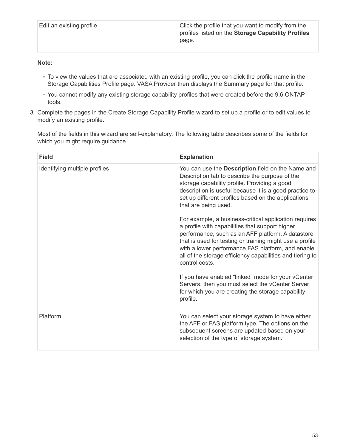| Edit an existing profile | Click the profile that you want to modify from the<br>profiles listed on the Storage Capability Profiles<br>page. |
|--------------------------|-------------------------------------------------------------------------------------------------------------------|
|                          |                                                                                                                   |

### **Note:**

- To view the values that are associated with an existing profile, you can click the profile name in the Storage Capabilities Profile page. VASA Provider then displays the Summary page for that profile.
- You cannot modify any existing storage capability profiles that were created before the 9.6 ONTAP tools.
- 3. Complete the pages in the Create Storage Capability Profile wizard to set up a profile or to edit values to modify an existing profile.

Most of the fields in this wizard are self-explanatory. The following table describes some of the fields for which you might require guidance.

| <b>Field</b>                  | <b>Explanation</b>                                                                                                                                                                                                                                                                                                                                            |
|-------------------------------|---------------------------------------------------------------------------------------------------------------------------------------------------------------------------------------------------------------------------------------------------------------------------------------------------------------------------------------------------------------|
| Identifying multiple profiles | You can use the Description field on the Name and<br>Description tab to describe the purpose of the<br>storage capability profile. Providing a good<br>description is useful because it is a good practice to<br>set up different profiles based on the applications<br>that are being used.                                                                  |
|                               | For example, a business-critical application requires<br>a profile with capabilities that support higher<br>performance, such as an AFF platform. A datastore<br>that is used for testing or training might use a profile<br>with a lower performance FAS platform, and enable<br>all of the storage efficiency capabilities and tiering to<br>control costs. |
|                               | If you have enabled "linked" mode for your vCenter<br>Servers, then you must select the vCenter Server<br>for which you are creating the storage capability<br>profile.                                                                                                                                                                                       |
| Platform                      | You can select your storage system to have either<br>the AFF or FAS platform type. The options on the<br>subsequent screens are updated based on your<br>selection of the type of storage system.                                                                                                                                                             |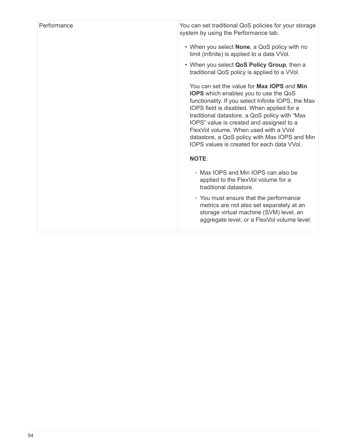| Performance | You can set traditional QoS policies for your storage<br>system by using the Performance tab.                                                                                                                                                                                                                                                                                                                                        |
|-------------|--------------------------------------------------------------------------------------------------------------------------------------------------------------------------------------------------------------------------------------------------------------------------------------------------------------------------------------------------------------------------------------------------------------------------------------|
|             | • When you select None, a QoS policy with no<br>limit (infinite) is applied to a data VVol.                                                                                                                                                                                                                                                                                                                                          |
|             | • When you select QoS Policy Group, then a<br>traditional QoS policy is applied to a VVol.                                                                                                                                                                                                                                                                                                                                           |
|             | You can set the value for Max IOPS and Min<br><b>IOPS</b> which enables you to use the QoS<br>functionality. If you select Infinite IOPS, the Max<br>IOPS field is disabled. When applied for a<br>traditional datastore, a QoS policy with "Max<br>IOPS" value is created and assigned to a<br>FlexVol volume. When used with a VVol<br>datastore, a QoS policy with Max IOPS and Min<br>IOPS values is created for each data VVol. |
|             | <b>NOTE:</b>                                                                                                                                                                                                                                                                                                                                                                                                                         |
|             | • Max IOPS and Min IOPS can also be<br>applied to the FlexVol volume for a<br>traditional datastore.                                                                                                                                                                                                                                                                                                                                 |
|             | • You must ensure that the performance<br>metrics are not also set separately at an<br>storage virtual machine (SVM) level, an<br>aggregate level, or a FlexVol volume level.                                                                                                                                                                                                                                                        |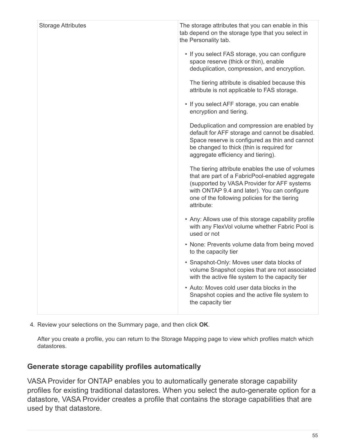| • If you select FAS storage, you can configure<br>space reserve (thick or thin), enable<br>deduplication, compression, and encryption.<br>The tiering attribute is disabled because this<br>attribute is not applicable to FAS storage.<br>• If you select AFF storage, you can enable<br>encryption and tiering.<br>Deduplication and compression are enabled by<br>default for AFF storage and cannot be disabled.<br>Space reserve is configured as thin and cannot<br>be changed to thick (thin is required for<br>aggregate efficiency and tiering).<br>The tiering attribute enables the use of volumes<br>that are part of a FabricPool-enabled aggregate<br>(supported by VASA Provider for AFF systems<br>with ONTAP 9.4 and later). You can configure<br>one of the following policies for the tiering |
|------------------------------------------------------------------------------------------------------------------------------------------------------------------------------------------------------------------------------------------------------------------------------------------------------------------------------------------------------------------------------------------------------------------------------------------------------------------------------------------------------------------------------------------------------------------------------------------------------------------------------------------------------------------------------------------------------------------------------------------------------------------------------------------------------------------|
|                                                                                                                                                                                                                                                                                                                                                                                                                                                                                                                                                                                                                                                                                                                                                                                                                  |
|                                                                                                                                                                                                                                                                                                                                                                                                                                                                                                                                                                                                                                                                                                                                                                                                                  |
|                                                                                                                                                                                                                                                                                                                                                                                                                                                                                                                                                                                                                                                                                                                                                                                                                  |
|                                                                                                                                                                                                                                                                                                                                                                                                                                                                                                                                                                                                                                                                                                                                                                                                                  |
| attribute:                                                                                                                                                                                                                                                                                                                                                                                                                                                                                                                                                                                                                                                                                                                                                                                                       |
| • Any: Allows use of this storage capability profile<br>with any FlexVol volume whether Fabric Pool is<br>used or not                                                                                                                                                                                                                                                                                                                                                                                                                                                                                                                                                                                                                                                                                            |
| • None: Prevents volume data from being moved<br>to the capacity tier                                                                                                                                                                                                                                                                                                                                                                                                                                                                                                                                                                                                                                                                                                                                            |
| • Snapshot-Only: Moves user data blocks of<br>volume Snapshot copies that are not associated<br>with the active file system to the capacity tier                                                                                                                                                                                                                                                                                                                                                                                                                                                                                                                                                                                                                                                                 |
| • Auto: Moves cold user data blocks in the<br>Snapshot copies and the active file system to<br>the capacity tier                                                                                                                                                                                                                                                                                                                                                                                                                                                                                                                                                                                                                                                                                                 |

4. Review your selections on the Summary page, and then click **OK**.

After you create a profile, you can return to the Storage Mapping page to view which profiles match which datastores.

# **Generate storage capability profiles automatically**

VASA Provider for ONTAP enables you to automatically generate storage capability profiles for existing traditional datastores. When you select the auto-generate option for a datastore, VASA Provider creates a profile that contains the storage capabilities that are used by that datastore.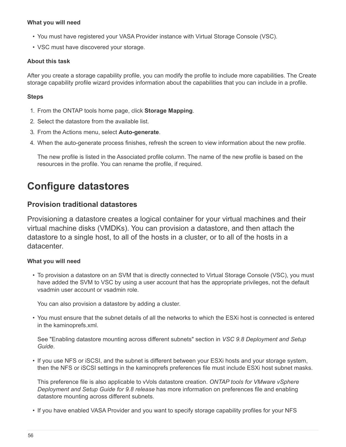#### **What you will need**

- You must have registered your VASA Provider instance with Virtual Storage Console (VSC).
- VSC must have discovered your storage.

#### **About this task**

After you create a storage capability profile, you can modify the profile to include more capabilities. The Create storage capability profile wizard provides information about the capabilities that you can include in a profile.

#### **Steps**

- 1. From the ONTAP tools home page, click **Storage Mapping**.
- 2. Select the datastore from the available list.
- 3. From the Actions menu, select **Auto-generate**.
- 4. When the auto-generate process finishes, refresh the screen to view information about the new profile.

The new profile is listed in the Associated profile column. The name of the new profile is based on the resources in the profile. You can rename the profile, if required.

# **Configure datastores**

# **Provision traditional datastores**

Provisioning a datastore creates a logical container for your virtual machines and their virtual machine disks (VMDKs). You can provision a datastore, and then attach the datastore to a single host, to all of the hosts in a cluster, or to all of the hosts in a datacenter.

### **What you will need**

• To provision a datastore on an SVM that is directly connected to Virtual Storage Console (VSC), you must have added the SVM to VSC by using a user account that has the appropriate privileges, not the default vsadmin user account or vsadmin role.

You can also provision a datastore by adding a cluster.

• You must ensure that the subnet details of all the networks to which the ESXi host is connected is entered in the kaminoprefs.xml.

See "Enabling datastore mounting across different subnets" section in *VSC 9.8 Deployment and Setup Guide*.

• If you use NFS or iSCSI, and the subnet is different between your ESXi hosts and your storage system, then the NFS or iSCSI settings in the kaminoprefs preferences file must include ESXi host subnet masks.

This preference file is also applicable to vVols datastore creation. *ONTAP tools for VMware vSphere Deployment and Setup Guide for 9.8 release* has more information on preferences file and enabling datastore mounting across different subnets.

• If you have enabled VASA Provider and you want to specify storage capability profiles for your NFS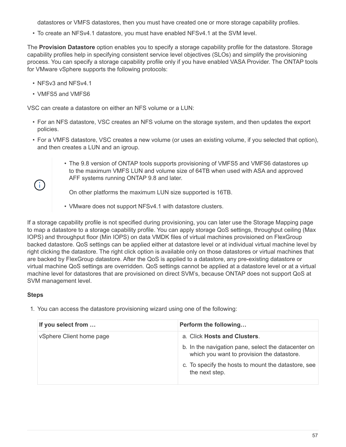datastores or VMFS datastores, then you must have created one or more storage capability profiles.

• To create an NFSv4.1 datastore, you must have enabled NFSv4.1 at the SVM level.

The **Provision Datastore** option enables you to specify a storage capability profile for the datastore. Storage capability profiles help in specifying consistent service level objectives (SLOs) and simplify the provisioning process. You can specify a storage capability profile only if you have enabled VASA Provider. The ONTAP tools for VMware vSphere supports the following protocols:

- NFSv3 and NFSv4.1
- VMFS5 and VMFS6

VSC can create a datastore on either an NFS volume or a LUN:

- For an NFS datastore, VSC creates an NFS volume on the storage system, and then updates the export policies.
- For a VMFS datastore, VSC creates a new volume (or uses an existing volume, if you selected that option), and then creates a LUN and an igroup.
	- The 9.8 version of ONTAP tools supports provisioning of VMFS5 and VMFS6 datastores up to the maximum VMFS LUN and volume size of 64TB when used with ASA and approved AFF systems running ONTAP 9.8 and later.

On other platforms the maximum LUN size supported is 16TB.

• VMware does not support NFSv4.1 with datastore clusters.

If a storage capability profile is not specified during provisioning, you can later use the Storage Mapping page to map a datastore to a storage capability profile. You can apply storage QoS settings, throughput ceiling (Max IOPS) and throughput floor (Min IOPS) on data VMDK files of virtual machines provisioned on FlexGroup backed datastore. QoS settings can be applied either at datastore level or at individual virtual machine level by right clicking the datastore. The right click option is available only on those datastores or virtual machines that are backed by FlexGroup datastore. After the QoS is applied to a datastore, any pre-existing datastore or virtual machine QoS settings are overridden. QoS settings cannot be applied at a datastore level or at a virtual machine level for datastores that are provisioned on direct SVM's, because ONTAP does not support QoS at SVM management level.

### **Steps**

 $\left(\begin{array}{c} \vdots \end{array}\right)$ 

1. You can access the datastore provisioning wizard using one of the following:

| If you select from       | Perform the following                                                                             |
|--------------------------|---------------------------------------------------------------------------------------------------|
| vSphere Client home page | a. Click Hosts and Clusters.                                                                      |
|                          | b. In the navigation pane, select the datacenter on<br>which you want to provision the datastore. |
|                          | c. To specify the hosts to mount the datastore, see<br>the next step.                             |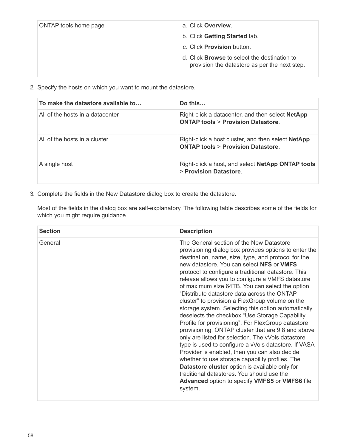| ONTAP tools home page | a. Click Overview.                                                                                   |
|-----------------------|------------------------------------------------------------------------------------------------------|
|                       | b. Click Getting Started tab.                                                                        |
|                       | c. Click <b>Provision</b> button.                                                                    |
|                       | d. Click <b>Browse</b> to select the destination to<br>provision the datastore as per the next step. |

2. Specify the hosts on which you want to mount the datastore.

| To make the datastore available to | Do this                                                                                                   |
|------------------------------------|-----------------------------------------------------------------------------------------------------------|
| All of the hosts in a datacenter   | Right-click a datacenter, and then select NetApp<br><b>ONTAP tools &gt; Provision Datastore.</b>          |
| All of the hosts in a cluster      | Right-click a host cluster, and then select <b>NetApp</b><br><b>ONTAP tools &gt; Provision Datastore.</b> |
| A single host                      | Right-click a host, and select <b>NetApp ONTAP tools</b><br>> Provision Datastore.                        |

3. Complete the fields in the New Datastore dialog box to create the datastore.

Most of the fields in the dialog box are self-explanatory. The following table describes some of the fields for which you might require guidance.

| <b>Section</b> | <b>Description</b>                                                                                                                                                                                                                                                                                                                                                                                                                                                                                                                                                                                                                                                                                                                                                                                                                                                                                                                                                                                                                                                               |
|----------------|----------------------------------------------------------------------------------------------------------------------------------------------------------------------------------------------------------------------------------------------------------------------------------------------------------------------------------------------------------------------------------------------------------------------------------------------------------------------------------------------------------------------------------------------------------------------------------------------------------------------------------------------------------------------------------------------------------------------------------------------------------------------------------------------------------------------------------------------------------------------------------------------------------------------------------------------------------------------------------------------------------------------------------------------------------------------------------|
| General        | The General section of the New Datastore<br>provisioning dialog box provides options to enter the<br>destination, name, size, type, and protocol for the<br>new datastore. You can select NFS or VMFS<br>protocol to configure a traditional datastore. This<br>release allows you to configure a VMFS datastore<br>of maximum size 64TB. You can select the option<br>"Distribute datastore data across the ONTAP<br>cluster" to provision a FlexGroup volume on the<br>storage system. Selecting this option automatically<br>deselects the checkbox "Use Storage Capability<br>Profile for provisioning". For FlexGroup datastore<br>provisioning, ONTAP cluster that are 9.8 and above<br>only are listed for selection. The vVols datastore<br>type is used to configure a vVols datastore. If VASA<br>Provider is enabled, then you can also decide<br>whether to use storage capability profiles. The<br>Datastore cluster option is available only for<br>traditional datastores. You should use the<br><b>Advanced option to specify VMFS5 or VMFS6 file</b><br>system. |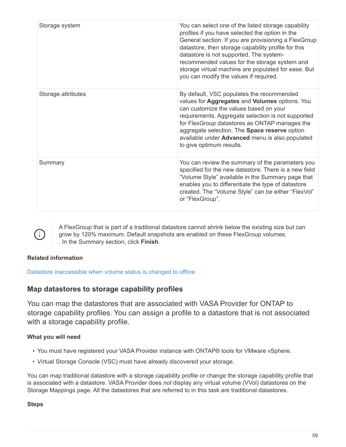| Storage system     | You can select one of the listed storage capability<br>profiles if you have selected the option in the<br>General section. If you are provisioning a FlexGroup<br>datastore, then storage capability profile for this<br>datastore is not supported. The system-<br>recommended values for the storage system and<br>storage virtual machine are populated for ease. But<br>you can modify the values if required. |
|--------------------|--------------------------------------------------------------------------------------------------------------------------------------------------------------------------------------------------------------------------------------------------------------------------------------------------------------------------------------------------------------------------------------------------------------------|
| Storage attributes | By default, VSC populates the recommended<br>values for Aggregates and Volumes options. You<br>can customize the values based on your<br>requirements. Aggregate selection is not supported<br>for FlexGroup datastores as ONTAP manages the<br>aggregate selection. The Space reserve option<br>available under Advanced menu is also populated<br>to give optimum results.                                       |
| Summary            | You can review the summary of the parameters you<br>specified for the new datastore. There is a new field<br>"Volume Style" available in the Summary page that<br>enables you to differentiate the type of datastore<br>created. The "Volume Style" can be either "FlexVol"<br>or "FlexGroup".                                                                                                                     |



A FlexGroup that is part of a traditional datastore cannot shrink below the existing size but can grow by 120% maximum. Default snapshots are enabled on these FlexGroup volumes. . In the Summary section, click **Finish**.

## **Related information**

[Datastore inaccessible when volume status is changed to offline](https://kb.netapp.com/Advice_and_Troubleshooting/Data_Storage_Software/Virtual_Storage_Console_for_VMware_vSphere/Datastore_inaccessible_when_volume_status_is_changed_to_offline)

# **Map datastores to storage capability profiles**

You can map the datastores that are associated with VASA Provider for ONTAP to storage capability profiles. You can assign a profile to a datastore that is not associated with a storage capability profile.

## **What you will need**

- You must have registered your VASA Provider instance with ONTAP® tools for VMware vSphere.
- Virtual Storage Console (VSC) must have already discovered your storage.

You can map traditional datastore with a storage capability profile or change the storage capability profile that is associated with a datastore. VASA Provider does *not* display any virtual volume (VVol) datastores on the Storage Mappings page. All the datastores that are referred to in this task are traditional datastores.

**Steps**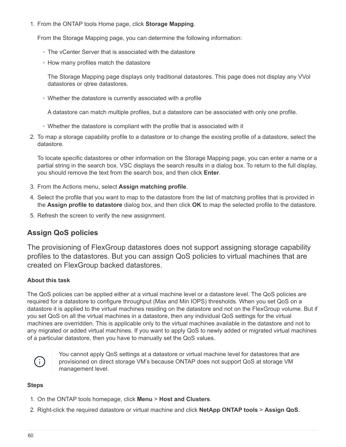1. From the ONTAP tools Home page, click **Storage Mapping**.

From the Storage Mapping page, you can determine the following information:

- The vCenter Server that is associated with the datastore
- How many profiles match the datastore

The Storage Mapping page displays only traditional datastores. This page does not display any VVol datastores or qtree datastores.

◦ Whether the datastore is currently associated with a profile

A datastore can match multiple profiles, but a datastore can be associated with only one profile.

- Whether the datastore is compliant with the profile that is associated with it
- 2. To map a storage capability profile to a datastore or to change the existing profile of a datastore, select the datastore.

To locate specific datastores or other information on the Storage Mapping page, you can enter a name or a partial string in the search box. VSC displays the search results in a dialog box. To return to the full display, you should remove the text from the search box, and then click **Enter**.

- 3. From the Actions menu, select **Assign matching profile**.
- 4. Select the profile that you want to map to the datastore from the list of matching profiles that is provided in the **Assign profile to datastore** dialog box, and then click **OK** to map the selected profile to the datastore.
- 5. Refresh the screen to verify the new assignment.

# **Assign QoS policies**

The provisioning of FlexGroup datastores does not support assigning storage capability profiles to the datastores. But you can assign QoS policies to virtual machines that are created on FlexGroup backed datastores.

### **About this task**

The QoS policies can be applied either at a virtual machine level or a datastore level. The QoS policies are required for a datastore to configure throughput (Max and Min IOPS) thresholds. When you set QoS on a datastore it is applied to the virtual machines residing on the datastore and not on the FlexGroup volume. But if you set QoS on all the virtual machines in a datastore, then any individual QoS settings for the virtual machines are overridden. This is applicable only to the virtual machines available in the datastore and not to any migrated or added virtual machines. If you want to apply QoS to newly added or migrated virtual machines of a particular datastore, then you have to manually set the QoS values.



You cannot apply QoS settings at a datastore or virtual machine level for datastores that are provisioned on direct storage VM's because ONTAP does not support QoS at storage VM management level.

### **Steps**

- 1. On the ONTAP tools homepage, click **Menu** > **Host and Clusters**.
- 2. Right-click the required datastore or virtual machine and click **NetApp ONTAP tools** > **Assign QoS**.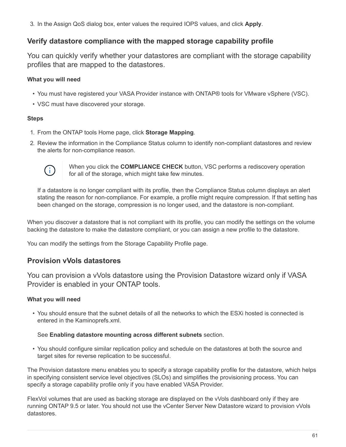3. In the Assign QoS dialog box, enter values the required IOPS values, and click **Apply**.

# **Verify datastore compliance with the mapped storage capability profile**

You can quickly verify whether your datastores are compliant with the storage capability profiles that are mapped to the datastores.

## **What you will need**

- You must have registered your VASA Provider instance with ONTAP® tools for VMware vSphere (VSC).
- VSC must have discovered your storage.

### **Steps**

- 1. From the ONTAP tools Home page, click **Storage Mapping**.
- 2. Review the information in the Compliance Status column to identify non-compliant datastores and review the alerts for non-compliance reason.



When you click the **COMPLIANCE CHECK** button, VSC performs a rediscovery operation for all of the storage, which might take few minutes.

If a datastore is no longer compliant with its profile, then the Compliance Status column displays an alert stating the reason for non-compliance. For example, a profile might require compression. If that setting has been changed on the storage, compression is no longer used, and the datastore is non-compliant.

When you discover a datastore that is not compliant with its profile, you can modify the settings on the volume backing the datastore to make the datastore compliant, or you can assign a new profile to the datastore.

You can modify the settings from the Storage Capability Profile page.

# **Provision vVols datastores**

You can provision a vVols datastore using the Provision Datastore wizard only if VASA Provider is enabled in your ONTAP tools.

### **What you will need**

• You should ensure that the subnet details of all the networks to which the ESXi hosted is connected is entered in the Kaminoprefs.xml.

### See **Enabling datastore mounting across different subnets** section.

• You should configure similar replication policy and schedule on the datastores at both the source and target sites for reverse replication to be successful.

The Provision datastore menu enables you to specify a storage capability profile for the datastore, which helps in specifying consistent service level objectives (SLOs) and simplifies the provisioning process. You can specify a storage capability profile only if you have enabled VASA Provider.

FlexVol volumes that are used as backing storage are displayed on the vVols dashboard only if they are running ONTAP 9.5 or later. You should not use the vCenter Server New Datastore wizard to provision vVols datastores.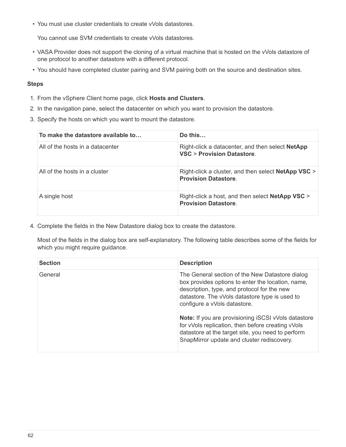• You must use cluster credentials to create vVols datastores.

You cannot use SVM credentials to create vVols datastores.

- VASA Provider does not support the cloning of a virtual machine that is hosted on the vVols datastore of one protocol to another datastore with a different protocol.
- You should have completed cluster pairing and SVM pairing both on the source and destination sites.

#### **Steps**

- 1. From the vSphere Client home page, click **Hosts and Clusters**.
- 2. In the navigation pane, select the datacenter on which you want to provision the datastore.
- 3. Specify the hosts on which you want to mount the datastore.

| To make the datastore available to | Do this $\ldots$                                                                          |
|------------------------------------|-------------------------------------------------------------------------------------------|
| All of the hosts in a datacenter   | Right-click a datacenter, and then select <b>NetApp</b><br>VSC > Provision Datastore.     |
| All of the hosts in a cluster      | Right-click a cluster, and then select <b>NetApp VSC</b> ><br><b>Provision Datastore.</b> |
| A single host                      | Right-click a host, and then select NetApp VSC ><br><b>Provision Datastore.</b>           |

4. Complete the fields in the New Datastore dialog box to create the datastore.

Most of the fields in the dialog box are self-explanatory. The following table describes some of the fields for which you might require guidance.

| <b>Section</b> | <b>Description</b>                                                                                                                                                                                                                                                                                                                                                                                                                                          |
|----------------|-------------------------------------------------------------------------------------------------------------------------------------------------------------------------------------------------------------------------------------------------------------------------------------------------------------------------------------------------------------------------------------------------------------------------------------------------------------|
| General        | The General section of the New Datastore dialog<br>box provides options to enter the location, name,<br>description, type, and protocol for the new<br>datastore. The vVols datastore type is used to<br>configure a vVols datastore.<br><b>Note:</b> If you are provisioning iSCSI vVols datastore<br>for vVols replication, then before creating vVols<br>datastore at the target site, you need to perform<br>SnapMirror update and cluster rediscovery. |
|                |                                                                                                                                                                                                                                                                                                                                                                                                                                                             |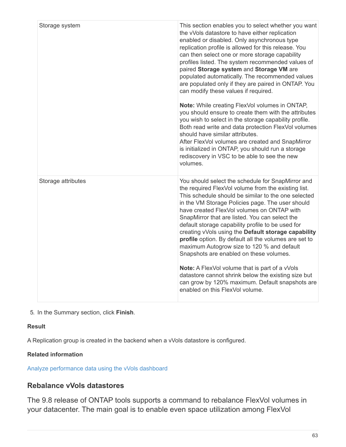| Storage system     | This section enables you to select whether you want<br>the vVols datastore to have either replication<br>enabled or disabled. Only asynchronous type<br>replication profile is allowed for this release. You<br>can then select one or more storage capability<br>profiles listed. The system recommended values of<br>paired Storage system and Storage VM are<br>populated automatically. The recommended values<br>are populated only if they are paired in ONTAP. You<br>can modify these values if required.<br>Note: While creating FlexVol volumes in ONTAP,<br>you should ensure to create them with the attributes<br>you wish to select in the storage capability profile.<br>Both read write and data protection FlexVol volumes<br>should have similar attributes.<br>After FlexVol volumes are created and SnapMirror<br>is initialized in ONTAP, you should run a storage<br>rediscovery in VSC to be able to see the new<br>volumes. |
|--------------------|-----------------------------------------------------------------------------------------------------------------------------------------------------------------------------------------------------------------------------------------------------------------------------------------------------------------------------------------------------------------------------------------------------------------------------------------------------------------------------------------------------------------------------------------------------------------------------------------------------------------------------------------------------------------------------------------------------------------------------------------------------------------------------------------------------------------------------------------------------------------------------------------------------------------------------------------------------|
| Storage attributes | You should select the schedule for SnapMirror and<br>the required FlexVol volume from the existing list.<br>This schedule should be similar to the one selected<br>in the VM Storage Policies page. The user should<br>have created FlexVol volumes on ONTAP with<br>SnapMirror that are listed. You can select the<br>default storage capability profile to be used for<br>creating vVols using the Default storage capability<br>profile option. By default all the volumes are set to<br>maximum Autogrow size to 120 % and default<br>Snapshots are enabled on these volumes.<br>Note: A FlexVol volume that is part of a vVols<br>datastore cannot shrink below the existing size but<br>can grow by 120% maximum. Default snapshots are<br>enabled on this FlexVol volume.                                                                                                                                                                    |

5. In the Summary section, click **Finish**.

## **Result**

A Replication group is created in the backend when a vVols datastore is configured.

## **Related information**

[Analyze performance data using the vVols dashboard](#page-97-0)

# **Rebalance vVols datastores**

The 9.8 release of ONTAP tools supports a command to rebalance FlexVol volumes in your datacenter. The main goal is to enable even space utilization among FlexVol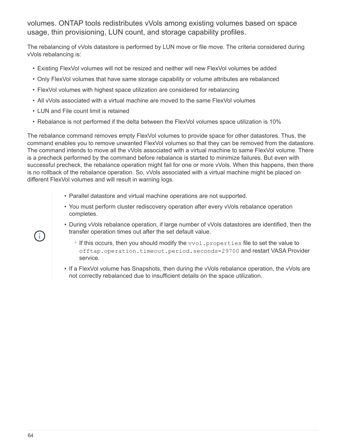volumes. ONTAP tools redistributes vVols among existing volumes based on space usage, thin provisioning, LUN count, and storage capability profiles.

The rebalancing of vVols datastore is performed by LUN move or file move. The criteria considered during vVols rebalancing is:

- Existing FlexVol volumes will not be resized and neither will new FlexVol volumes be added
- Only FlexVol volumes that have same storage capability or volume attributes are rebalanced
- FlexVol volumes with highest space utilization are considered for rebalancing
- All vVols associated with a virtual machine are moved to the same FlexVol volumes
- LUN and File count limit is retained
- Rebalance is not performed if the delta between the FlexVol volumes space utilization is 10%

The rebalance command removes empty FlexVol volumes to provide space for other datastores. Thus, the command enables you to remove unwanted FlexVol volumes so that they can be removed from the datastore. The command intends to move all the vVols associated with a virtual machine to same FlexVol volume. There is a precheck performed by the command before rebalance is started to minimize failures. But even with successful precheck, the rebalance operation might fail for one or more vVols. When this happens, then there is no rollback of the rebalance operation. So, vVols associated with a virtual machine might be placed on different FlexVol volumes and will result in warning logs.

- Parallel datastore and virtual machine operations are not supported.
- You must perform cluster rediscovery operation after every vVols rebalance operation completes.
- During vVols rebalance operation, if large number of vVols datastores are identified, then the transfer operation times out after the set default value.
	- If this occurs, then you should modify the vvol.properties file to set the value to offtap.operation.timeout.period.seconds=29700 and restart VASA Provider service.
- If a FlexVol volume has Snapshots, then during the vVols rebalance operation, the vVols are not correctly rebalanced due to insufficient details on the space utilization.

 $\mathbf{f}$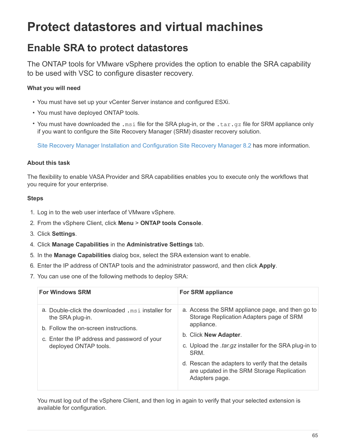# **Protect datastores and virtual machines**

# **Enable SRA to protect datastores**

The ONTAP tools for VMware vSphere provides the option to enable the SRA capability to be used with VSC to configure disaster recovery.

# **What you will need**

- You must have set up your vCenter Server instance and configured ESXi.
- You must have deployed ONTAP tools.
- You must have downloaded the .msi file for the SRA plug-in, or the .tar.gz file for SRM appliance only if you want to configure the Site Recovery Manager (SRM) disaster recovery solution.

[Site Recovery Manager Installation and Configuration Site Recovery Manager 8.2](https://docs.vmware.com/en/Site-Recovery-Manager/8.2/com.vmware.srm.install_config.doc/GUID-B3A49FFF-E3B9-45E3-AD35-093D896596A0.html) has more information.

## **About this task**

The flexibility to enable VASA Provider and SRA capabilities enables you to execute only the workflows that you require for your enterprise.

### **Steps**

- 1. Log in to the web user interface of VMware vSphere.
- 2. From the vSphere Client, click **Menu** > **ONTAP tools Console**.
- 3. Click **Settings**.
- 4. Click **Manage Capabilities** in the **Administrative Settings** tab.
- 5. In the **Manage Capabilities** dialog box, select the SRA extension want to enable.
- 6. Enter the IP address of ONTAP tools and the administrator password, and then click **Apply**.
- 7. You can use one of the following methods to deploy SRA:

| <b>For Windows SRM</b>                                                                                                                                                                   | <b>For SRM appliance</b>                                                                                                                                                                                                                                                                                              |
|------------------------------------------------------------------------------------------------------------------------------------------------------------------------------------------|-----------------------------------------------------------------------------------------------------------------------------------------------------------------------------------------------------------------------------------------------------------------------------------------------------------------------|
| a. Double-click the downloaded . msi installer for<br>the SRA plug-in.<br>b. Follow the on-screen instructions.<br>c. Enter the IP address and password of your<br>deployed ONTAP tools. | a. Access the SRM appliance page, and then go to<br>Storage Replication Adapters page of SRM<br>appliance.<br>b. Click <b>New Adapter.</b><br>c. Upload the <i>tar.gz</i> installer for the SRA plug-in to<br>SRM.<br>d. Rescan the adapters to verify that the details<br>are updated in the SRM Storage Replication |
|                                                                                                                                                                                          | Adapters page.                                                                                                                                                                                                                                                                                                        |

You must log out of the vSphere Client, and then log in again to verify that your selected extension is available for configuration.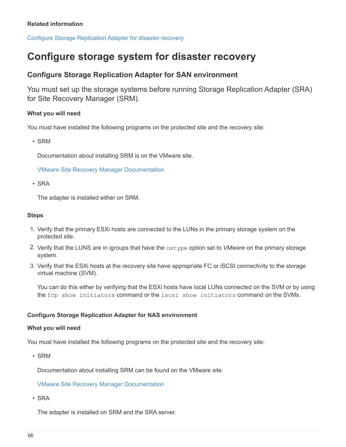[Configure Storage Replication Adapter for disaster recovery](#page-7-0)

# **Configure storage system for disaster recovery**

# **Configure Storage Replication Adapter for SAN environment**

You must set up the storage systems before running Storage Replication Adapter (SRA) for Site Recovery Manager (SRM).

### **What you will need**

You must have installed the following programs on the protected site and the recovery site:

• SRM

Documentation about installing SRM is on the VMware site.

[VMware Site Recovery Manager Documentation](https://www.vmware.com/support/pubs/srm_pubs.html)

• SRA

The adapter is installed either on SRM.

#### **Steps**

- 1. Verify that the primary ESXi hosts are connected to the LUNs in the primary storage system on the protected site.
- 2. Verify that the LUNS are in igroups that have the ostype option set to *VMware* on the primary storage system.
- 3. Verify that the ESXi hosts at the recovery site have appropriate FC or iSCSI connectivity to the storage virtual machine (SVM).

You can do this either by verifying that the ESXi hosts have local LUNs connected on the SVM or by using the fcp show initiators command or the iscsi show initiators command on the SVMs.

### **Configure Storage Replication Adapter for NAS environment**

#### **What you will need**

You must have installed the following programs on the protected site and the recovery site:

• SRM

Documentation about installing SRM can be found on the VMware site.

#### [VMware Site Recovery Manager Documentation](https://www.vmware.com/support/pubs/srm_pubs.html)

• SRA

The adapter is installed on SRM and the SRA server.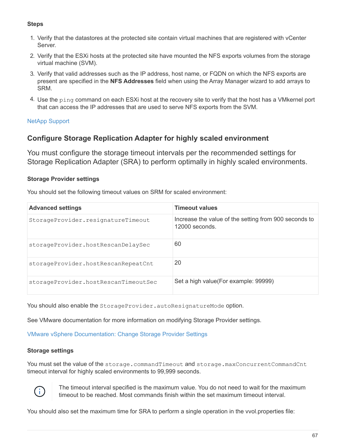## **Steps**

- 1. Verify that the datastores at the protected site contain virtual machines that are registered with vCenter Server.
- 2. Verify that the ESXi hosts at the protected site have mounted the NFS exports volumes from the storage virtual machine (SVM).
- 3. Verify that valid addresses such as the IP address, host name, or FQDN on which the NFS exports are present are specified in the **NFS Addresses** field when using the Array Manager wizard to add arrays to SRM.
- 4. Use the ping command on each ESXi host at the recovery site to verify that the host has a VMkernel port that can access the IP addresses that are used to serve NFS exports from the SVM.

# [NetApp Support](https://mysupport.netapp.com/site/global/dashboard)

# **Configure Storage Replication Adapter for highly scaled environment**

You must configure the storage timeout intervals per the recommended settings for Storage Replication Adapter (SRA) to perform optimally in highly scaled environments.

## **Storage Provider settings**

You should set the following timeout values on SRM for scaled environment:

| <b>Advanced settings</b>             | <b>Timeout values</b>                                                     |
|--------------------------------------|---------------------------------------------------------------------------|
| StorageProvider.resignatureTimeout   | Increase the value of the setting from 900 seconds to<br>$12000$ seconds. |
| storageProvider.hostRescanDelaySec   | 60                                                                        |
| storageProvider.hostRescanRepeatCnt  | 20                                                                        |
| storageProvider.hostRescanTimeoutSec | Set a high value (For example: 99999)                                     |

You should also enable the StorageProvider.autoResignatureMode option.

See VMware documentation for more information on modifying Storage Provider settings.

[VMware vSphere Documentation: Change Storage Provider Settings](https://docs.vmware.com/en/Site-Recovery-Manager/6.5/com.vmware.srm.admin.doc/GUID-E4060824-E3C2-4869-BC39-76E88E2FF9A0.html)

### **Storage settings**

You must set the value of the storage.commandTimeout and storage.maxConcurrentCommandCnt timeout interval for highly scaled environments to 99,999 seconds.



The timeout interval specified is the maximum value. You do not need to wait for the maximum timeout to be reached. Most commands finish within the set maximum timeout interval.

You should also set the maximum time for SRA to perform a single operation in the vvol.properties file: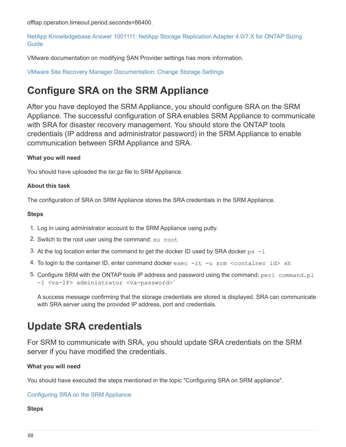offtap.operation.timeout.period.seconds=86400.

[NetApp Knowledgebase Answer 1001111: NetApp Storage Replication Adapter 4.0/7.X for ONTAP Sizing](https://kb.netapp.com/app/answers/answer_view/a_id/1001111) **[Guide](https://kb.netapp.com/app/answers/answer_view/a_id/1001111)** 

VMware documentation on modifying SAN Provider settings has more information.

[VMware Site Recovery Manager Documentation: Change Storage Settings](https://docs.vmware.com/en/Site-Recovery-Manager/6.5/com.vmware.srm.admin.doc/GUID-711FD223-50DB-414C-A2A7-3BEB8FAFDBD9.html)

# <span id="page-70-0"></span>**Configure SRA on the SRM Appliance**

After you have deployed the SRM Appliance, you should configure SRA on the SRM Appliance. The successful configuration of SRA enables SRM Appliance to communicate with SRA for disaster recovery management. You should store the ONTAP tools credentials (IP address and administrator password) in the SRM Appliance to enable communication between SRM Appliance and SRA.

## **What you will need**

You should have uploaded the *tar.gz* file to SRM Appliance.

## **About this task**

The configuration of SRA on SRM Appliance stores the SRA credentials in the SRM Appliance.

### **Steps**

- 1. Log in using administrator account to the SRM Appliance using putty.
- 2. Switch to the root user using the command: su root
- 3. At the log location enter the command to get the docker ID used by SRA docker  $ps -1$
- 4. To login to the container ID, enter command docker  $exec -it -u srm *command* (constant) -v sch$
- 5. Configure SRM with the ONTAP tools IP address and password using the command:  $perl$  command.pl -I <va-IP> administrator <va-password>`

A success message confirming that the storage credentials are stored is displayed. SRA can communicate with SRA server using the provided IP address, port and credentials.

# **Update SRA credentials**

For SRM to communicate with SRA, you should update SRA credentials on the SRM server if you have modified the credentials.

## **What you will need**

You should have executed the steps mentioned in the topic "Configuring SRA on SRM appliance".

[Configuring SRA on the SRM Appliance](#page-70-0)

### **Steps**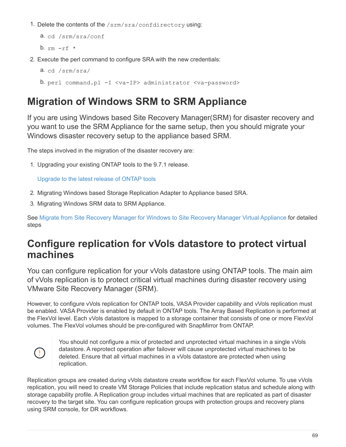1. Delete the contents of the /srm/sra/confdirectory using:

```
a. cd /srm/sra/conf
b. rm -rf *
```
2. Execute the perl command to configure SRA with the new credentials:

```
a. cd /srm/sra/
```

```
b. perl command.pl -I <va-IP> administrator <va-password>
```
# **Migration of Windows SRM to SRM Appliance**

If you are using Windows based Site Recovery Manager(SRM) for disaster recovery and you want to use the SRM Appliance for the same setup, then you should migrate your Windows disaster recovery setup to the appliance based SRM.

The steps involved in the migration of the disaster recovery are:

1. Upgrading your existing ONTAP tools to the 9.7.1 release.

[Upgrade to the latest release of ONTAP tools](#page-35-0)

- 2. Migrating Windows based Storage Replication Adapter to Appliance based SRA.
- 3. Migrating Windows SRM data to SRM Appliance.

See [Migrate from Site Recovery Manager for Windows to Site Recovery Manager Virtual Appliance](https://docs.vmware.com/en/Site-Recovery-Manager/8.2/com.vmware.srm.install_config.doc/GUID-F39A84D3-2E3D-4018-97DD-5D7F7E041B43.html) for detailed steps

# **Configure replication for vVols datastore to protect virtual machines**

You can configure replication for your vVols datastore using ONTAP tools. The main aim of vVols replication is to protect critical virtual machines during disaster recovery using VMware Site Recovery Manager (SRM).

However, to configure vVols replication for ONTAP tools, VASA Provider capability and vVols replication must be enabled. VASA Provider is enabled by default in ONTAP tools. The Array Based Replication is performed at the FlexVol level. Each vVols datastore is mapped to a storage container that consists of one or more FlexVol volumes. The FlexVol volumes should be pre-configured with SnapMirror from ONTAP.



You should not configure a mix of protected and unprotected virtual machines in a single vVols datastore. A reprotect operation after failover will cause unprotected virtual machines to be deleted. Ensure that all virtual machines in a vVols datastore are protected when using replication.

Replication groups are created during vVols datastore create workflow for each FlexVol volume. To use vVols replication, you will need to create VM Storage Policies that include replication status and schedule along with storage capability profile. A Replication group includes virtual machines that are replicated as part of disaster recovery to the target site. You can configure replication groups with protection groups and recovery plans using SRM console, for DR workflows.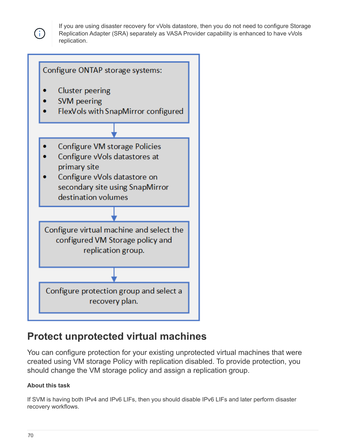

If you are using disaster recovery for vVols datastore, then you do not need to configure Storage Replication Adapter (SRA) separately as VASA Provider capability is enhanced to have vVols replication.



## **Protect unprotected virtual machines**

You can configure protection for your existing unprotected virtual machines that were created using VM storage Policy with replication disabled. To provide protection, you should change the VM storage policy and assign a replication group.

## **About this task**

If SVM is having both IPv4 and IPv6 LIFs, then you should disable IPv6 LIFs and later perform disaster recovery workflows.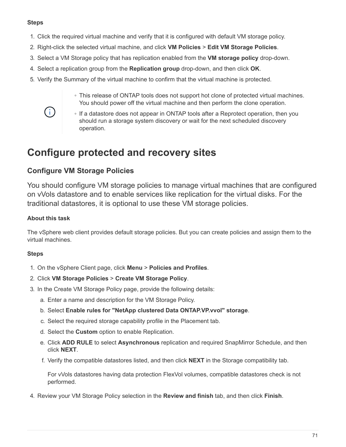#### **Steps**

- 1. Click the required virtual machine and verify that it is configured with default VM storage policy.
- 2. Right-click the selected virtual machine, and click **VM Policies** > **Edit VM Storage Policies**.
- 3. Select a VM Storage policy that has replication enabled from the **VM storage policy** drop-down.
- 4. Select a replication group from the **Replication group** drop-down, and then click **OK**.
- 5. Verify the Summary of the virtual machine to confirm that the virtual machine is protected.
	- This release of ONTAP tools does not support hot clone of protected virtual machines. You should power off the virtual machine and then perform the clone operation.



◦ If a datastore does not appear in ONTAP tools after a Reprotect operation, then you should run a storage system discovery or wait for the next scheduled discovery operation.

## **Configure protected and recovery sites**

## **Configure VM Storage Policies**

You should configure VM storage policies to manage virtual machines that are configured on vVols datastore and to enable services like replication for the virtual disks. For the traditional datastores, it is optional to use these VM storage policies.

#### **About this task**

The vSphere web client provides default storage policies. But you can create policies and assign them to the virtual machines.

#### **Steps**

- 1. On the vSphere Client page, click **Menu** > **Policies and Profiles**.
- 2. Click **VM Storage Policies** > **Create VM Storage Policy**.
- 3. In the Create VM Storage Policy page, provide the following details:
	- a. Enter a name and description for the VM Storage Policy.
	- b. Select **Enable rules for "NetApp clustered Data ONTAP.VP.vvol" storage**.
	- c. Select the required storage capability profile in the Placement tab.
	- d. Select the **Custom** option to enable Replication.
	- e. Click **ADD RULE** to select **Asynchronous** replication and required SnapMirror Schedule, and then click **NEXT**.
	- f. Verify the compatible datastores listed, and then click **NEXT** in the Storage compatibility tab.

For vVols datastores having data protection FlexVol volumes, compatible datastores check is not performed.

4. Review your VM Storage Policy selection in the **Review and finish** tab, and then click **Finish**.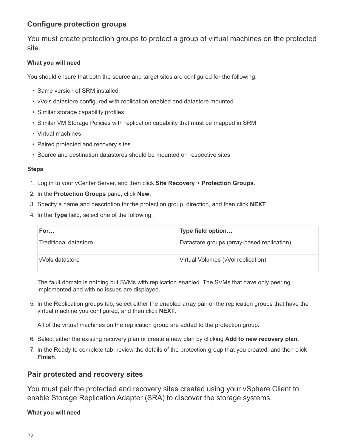## **Configure protection groups**

You must create protection groups to protect a group of virtual machines on the protected site.

#### **What you will need**

You should ensure that both the source and target sites are configured for the following:

- Same version of SRM installed
- vVols datastore configured with replication enabled and datastore mounted
- Similar storage capability profiles
- Similar VM Storage Policies with replication capability that must be mapped in SRM
- Virtual machines
- Paired protected and recovery sites
- Source and destination datastores should be mounted on respective sites

#### **Steps**

- 1. Log in to your vCenter Server, and then click **Site Recovery** > **Protection Groups**.
- 2. In the **Protection Groups** pane, click **New**.
- 3. Specify a name and description for the protection group, direction, and then click **NEXT**.
- 4. In the **Type** field, select one of the following:

| For                   | Type field option                          |
|-----------------------|--------------------------------------------|
| Traditional datastore | Datastore groups (array-based replication) |
| vVols datastore       | Virtual Volumes (vVol replication)         |

The fault domain is nothing but SVMs with replication enabled. The SVMs that have only peering implemented and with no issues are displayed.

5. In the Replication groups tab, select either the enabled array pair or the replication groups that have the virtual machine you configured, and then click **NEXT**.

All of the virtual machines on the replication group are added to the protection group.

- 6. Select either the existing recovery plan or create a new plan by clicking **Add to new recovery plan**.
- 7. In the Ready to complete tab, review the details of the protection group that you created, and then click **Finish**.

## **Pair protected and recovery sites**

You must pair the protected and recovery sites created using your vSphere Client to enable Storage Replication Adapter (SRA) to discover the storage systems.

#### **What you will need**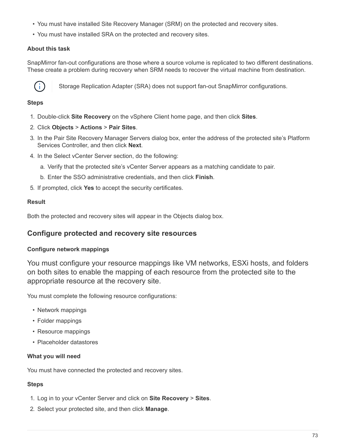- You must have installed Site Recovery Manager (SRM) on the protected and recovery sites.
- You must have installed SRA on the protected and recovery sites.

#### **About this task**

SnapMirror fan-out configurations are those where a source volume is replicated to two different destinations. These create a problem during recovery when SRM needs to recover the virtual machine from destination.



Storage Replication Adapter (SRA) does not support fan-out SnapMirror configurations.

### **Steps**

- 1. Double-click **Site Recovery** on the vSphere Client home page, and then click **Sites**.
- 2. Click **Objects** > **Actions** > **Pair Sites**.
- 3. In the Pair Site Recovery Manager Servers dialog box, enter the address of the protected site's Platform Services Controller, and then click **Next**.
- 4. In the Select vCenter Server section, do the following:
	- a. Verify that the protected site's vCenter Server appears as a matching candidate to pair.
	- b. Enter the SSO administrative credentials, and then click **Finish**.
- 5. If prompted, click **Yes** to accept the security certificates.

### **Result**

Both the protected and recovery sites will appear in the Objects dialog box.

## **Configure protected and recovery site resources**

#### **Configure network mappings**

You must configure your resource mappings like VM networks, ESXi hosts, and folders on both sites to enable the mapping of each resource from the protected site to the appropriate resource at the recovery site.

You must complete the following resource configurations:

- Network mappings
- Folder mappings
- Resource mappings
- Placeholder datastores

#### **What you will need**

You must have connected the protected and recovery sites.

#### **Steps**

- 1. Log in to your vCenter Server and click on **Site Recovery** > **Sites**.
- 2. Select your protected site, and then click **Manage**.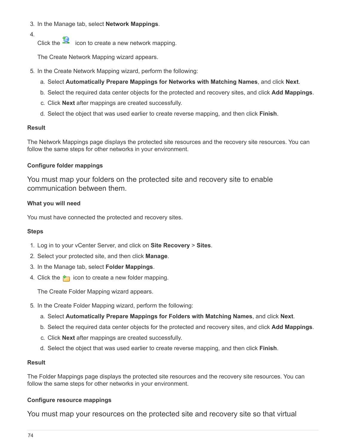- 3. In the Manage tab, select **Network Mappings**.
- 4.
- Click the  $\mathbb{R}$  icon to create a new network mapping.

The Create Network Mapping wizard appears.

- 5. In the Create Network Mapping wizard, perform the following:
	- a. Select **Automatically Prepare Mappings for Networks with Matching Names**, and click **Next**.
	- b. Select the required data center objects for the protected and recovery sites, and click **Add Mappings**.
	- c. Click **Next** after mappings are created successfully.
	- d. Select the object that was used earlier to create reverse mapping, and then click **Finish**.

#### **Result**

The Network Mappings page displays the protected site resources and the recovery site resources. You can follow the same steps for other networks in your environment.

#### **Configure folder mappings**

You must map your folders on the protected site and recovery site to enable communication between them.

#### **What you will need**

You must have connected the protected and recovery sites.

#### **Steps**

- 1. Log in to your vCenter Server, and click on **Site Recovery** > **Sites**.
- 2. Select your protected site, and then click **Manage**.
- 3. In the Manage tab, select **Folder Mappings**.
- 4. Click the  $\mathbb{F}_1$  icon to create a new folder mapping.

The Create Folder Mapping wizard appears.

- 5. In the Create Folder Mapping wizard, perform the following:
	- a. Select **Automatically Prepare Mappings for Folders with Matching Names**, and click **Next**.
	- b. Select the required data center objects for the protected and recovery sites, and click **Add Mappings**.
	- c. Click **Next** after mappings are created successfully.
	- d. Select the object that was used earlier to create reverse mapping, and then click **Finish**.

#### **Result**

The Folder Mappings page displays the protected site resources and the recovery site resources. You can follow the same steps for other networks in your environment.

#### **Configure resource mappings**

You must map your resources on the protected site and recovery site so that virtual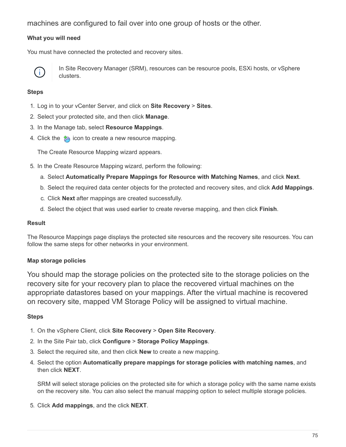machines are configured to fail over into one group of hosts or the other.

#### **What you will need**

You must have connected the protected and recovery sites.



In Site Recovery Manager (SRM), resources can be resource pools, ESXi hosts, or vSphere clusters.

#### **Steps**

- 1. Log in to your vCenter Server, and click on **Site Recovery** > **Sites**.
- 2. Select your protected site, and then click **Manage**.
- 3. In the Manage tab, select **Resource Mappings**.
- 4. Click the  $\mathcal{E}_1$  icon to create a new resource mapping.

The Create Resource Mapping wizard appears.

- 5. In the Create Resource Mapping wizard, perform the following:
	- a. Select **Automatically Prepare Mappings for Resource with Matching Names**, and click **Next**.
	- b. Select the required data center objects for the protected and recovery sites, and click **Add Mappings**.
	- c. Click **Next** after mappings are created successfully.
	- d. Select the object that was used earlier to create reverse mapping, and then click **Finish**.

#### **Result**

The Resource Mappings page displays the protected site resources and the recovery site resources. You can follow the same steps for other networks in your environment.

#### **Map storage policies**

You should map the storage policies on the protected site to the storage policies on the recovery site for your recovery plan to place the recovered virtual machines on the appropriate datastores based on your mappings. After the virtual machine is recovered on recovery site, mapped VM Storage Policy will be assigned to virtual machine.

#### **Steps**

- 1. On the vSphere Client, click **Site Recovery** > **Open Site Recovery**.
- 2. In the Site Pair tab, click **Configure** > **Storage Policy Mappings**.
- 3. Select the required site, and then click **New** to create a new mapping.
- 4. Select the option **Automatically prepare mappings for storage policies with matching names**, and then click **NEXT**.

SRM will select storage policies on the protected site for which a storage policy with the same name exists on the recovery site. You can also select the manual mapping option to select multiple storage policies.

5. Click **Add mappings**, and the click **NEXT**.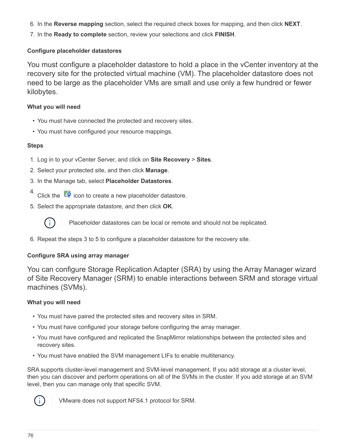- 6. In the **Reverse mapping** section, select the required check boxes for mapping, and then click **NEXT**.
- 7. In the **Ready to complete** section, review your selections and click **FINISH**.

## **Configure placeholder datastores**

You must configure a placeholder datastore to hold a place in the vCenter inventory at the recovery site for the protected virtual machine (VM). The placeholder datastore does not need to be large as the placeholder VMs are small and use only a few hundred or fewer kilobytes.

## **What you will need**

- You must have connected the protected and recovery sites.
- You must have configured your resource mappings.

## **Steps**

- 1. Log in to your vCenter Server, and click on **Site Recovery** > **Sites**.
- 2. Select your protected site, and then click **Manage**.
- 3. In the Manage tab, select **Placeholder Datastores**.
- 4. Click the  $\mathbb{E} \mathbf{Q}$  icon to create a new placeholder datastore.
- 5. Select the appropriate datastore, and then click **OK**.

Placeholder datastores can be local or remote and should not be replicated.

6. Repeat the steps 3 to 5 to configure a placeholder datastore for the recovery site.

## **Configure SRA using array manager**

You can configure Storage Replication Adapter (SRA) by using the Array Manager wizard of Site Recovery Manager (SRM) to enable interactions between SRM and storage virtual machines (SVMs).

## **What you will need**

- You must have paired the protected sites and recovery sites in SRM.
- You must have configured your storage before configuring the array manager.
- You must have configured and replicated the SnapMirror relationships between the protected sites and recovery sites.
- You must have enabled the SVM management LIFs to enable multitenancy.

SRA supports cluster-level management and SVM-level management. If you add storage at a cluster level, then you can discover and perform operations on all of the SVMs in the cluster. If you add storage at an SVM level, then you can manage only that specific SVM.



VMware does not support NFS4.1 protocol for SRM.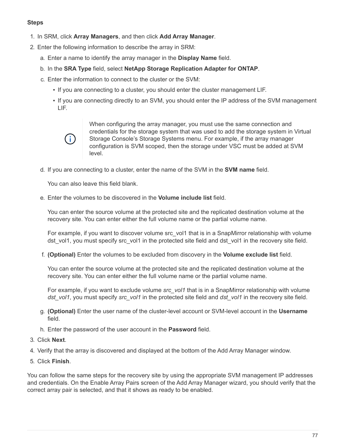#### **Steps**

- 1. In SRM, click **Array Managers**, and then click **Add Array Manager**.
- 2. Enter the following information to describe the array in SRM:
	- a. Enter a name to identify the array manager in the **Display Name** field.
	- b. In the **SRA Type** field, select **NetApp Storage Replication Adapter for ONTAP**.
	- c. Enter the information to connect to the cluster or the SVM:
		- If you are connecting to a cluster, you should enter the cluster management LIF.
		- If you are connecting directly to an SVM, you should enter the IP address of the SVM management LIF.



When configuring the array manager, you must use the same connection and credentials for the storage system that was used to add the storage system in Virtual Storage Console's Storage Systems menu. For example, if the array manager configuration is SVM scoped, then the storage under VSC must be added at SVM level.

d. If you are connecting to a cluster, enter the name of the SVM in the **SVM name** field.

You can also leave this field blank.

e. Enter the volumes to be discovered in the **Volume include list** field.

You can enter the source volume at the protected site and the replicated destination volume at the recovery site. You can enter either the full volume name or the partial volume name.

For example, if you want to discover volume src vol1 that is in a SnapMirror relationship with volume dst vol1, you must specify src vol1 in the protected site field and dst vol1 in the recovery site field.

f. **(Optional)** Enter the volumes to be excluded from discovery in the **Volume exclude list** field.

You can enter the source volume at the protected site and the replicated destination volume at the recovery site. You can enter either the full volume name or the partial volume name.

For example, if you want to exclude volume *src\_vol1* that is in a SnapMirror relationship with volume *dst\_vol1*, you must specify *src\_vol1* in the protected site field and *dst\_vol1* in the recovery site field.

- g. **(Optional)** Enter the user name of the cluster-level account or SVM-level account in the **Username** field.
- h. Enter the password of the user account in the **Password** field.
- 3. Click **Next**.
- 4. Verify that the array is discovered and displayed at the bottom of the Add Array Manager window.
- 5. Click **Finish**.

You can follow the same steps for the recovery site by using the appropriate SVM management IP addresses and credentials. On the Enable Array Pairs screen of the Add Array Manager wizard, you should verify that the correct array pair is selected, and that it shows as ready to be enabled.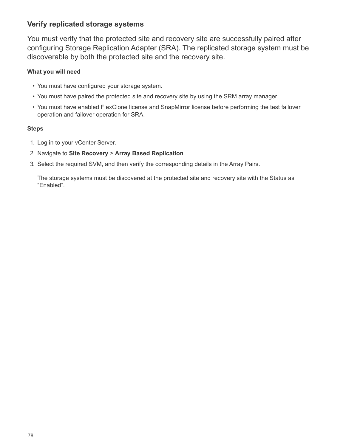## **Verify replicated storage systems**

You must verify that the protected site and recovery site are successfully paired after configuring Storage Replication Adapter (SRA). The replicated storage system must be discoverable by both the protected site and the recovery site.

#### **What you will need**

- You must have configured your storage system.
- You must have paired the protected site and recovery site by using the SRM array manager.
- You must have enabled FlexClone license and SnapMirror license before performing the test failover operation and failover operation for SRA.

#### **Steps**

- 1. Log in to your vCenter Server.
- 2. Navigate to **Site Recovery** > **Array Based Replication**.
- 3. Select the required SVM, and then verify the corresponding details in the Array Pairs.

The storage systems must be discovered at the protected site and recovery site with the Status as "Enabled".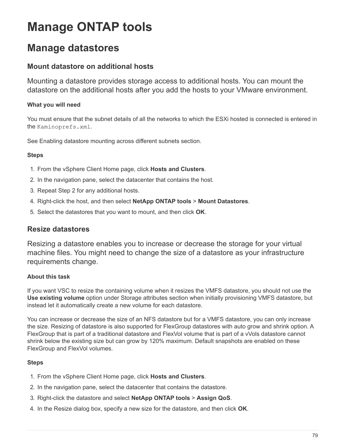# **Manage ONTAP tools**

## **Manage datastores**

## **Mount datastore on additional hosts**

Mounting a datastore provides storage access to additional hosts. You can mount the datastore on the additional hosts after you add the hosts to your VMware environment.

### **What you will need**

You must ensure that the subnet details of all the networks to which the ESXi hosted is connected is entered in the Kaminoprefs.xml.

See Enabling datastore mounting across different subnets section.

#### **Steps**

- 1. From the vSphere Client Home page, click **Hosts and Clusters**.
- 2. In the navigation pane, select the datacenter that contains the host.
- 3. Repeat Step 2 for any additional hosts.
- 4. Right-click the host, and then select **NetApp ONTAP tools** > **Mount Datastores**.
- 5. Select the datastores that you want to mount, and then click **OK**.

## **Resize datastores**

Resizing a datastore enables you to increase or decrease the storage for your virtual machine files. You might need to change the size of a datastore as your infrastructure requirements change.

#### **About this task**

If you want VSC to resize the containing volume when it resizes the VMFS datastore, you should not use the **Use existing volume** option under Storage attributes section when initially provisioning VMFS datastore, but instead let it automatically create a new volume for each datastore.

You can increase or decrease the size of an NFS datastore but for a VMFS datastore, you can only increase the size. Resizing of datastore is also supported for FlexGroup datastores with auto grow and shrink option. A FlexGroup that is part of a traditional datastore and FlexVol volume that is part of a vVols datastore cannot shrink below the existing size but can grow by 120% maximum. Default snapshots are enabled on these FlexGroup and FlexVol volumes.

#### **Steps**

- 1. From the vSphere Client Home page, click **Hosts and Clusters**.
- 2. In the navigation pane, select the datacenter that contains the datastore.
- 3. Right-click the datastore and select **NetApp ONTAP tools** > **Assign QoS**.
- 4. In the Resize dialog box, specify a new size for the datastore, and then click **OK**.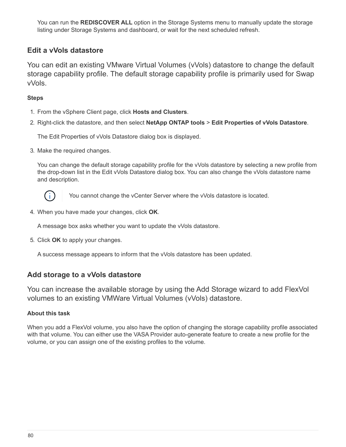You can run the **REDISCOVER ALL** option in the Storage Systems menu to manually update the storage listing under Storage Systems and dashboard, or wait for the next scheduled refresh.

## **Edit a vVols datastore**

You can edit an existing VMware Virtual Volumes (vVols) datastore to change the default storage capability profile. The default storage capability profile is primarily used for Swap vVols.

#### **Steps**

- 1. From the vSphere Client page, click **Hosts and Clusters**.
- 2. Right-click the datastore, and then select **NetApp ONTAP tools** > **Edit Properties of vVols Datastore**.

The Edit Properties of vVols Datastore dialog box is displayed.

3. Make the required changes.

You can change the default storage capability profile for the vVols datastore by selecting a new profile from the drop-down list in the Edit vVols Datastore dialog box. You can also change the vVols datastore name and description.



You cannot change the vCenter Server where the vVols datastore is located.

4. When you have made your changes, click **OK**.

A message box asks whether you want to update the vVols datastore.

5. Click **OK** to apply your changes.

A success message appears to inform that the vVols datastore has been updated.

## **Add storage to a vVols datastore**

You can increase the available storage by using the Add Storage wizard to add FlexVol volumes to an existing VMWare Virtual Volumes (vVols) datastore.

#### **About this task**

When you add a FlexVol volume, you also have the option of changing the storage capability profile associated with that volume. You can either use the VASA Provider auto-generate feature to create a new profile for the volume, or you can assign one of the existing profiles to the volume.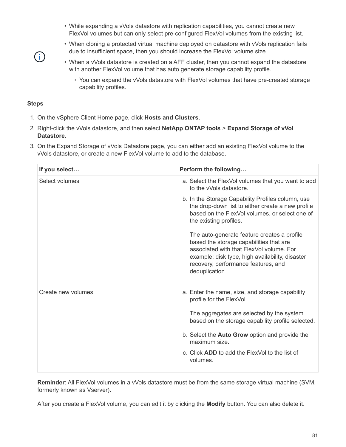- While expanding a vVols datastore with replication capabilities, you cannot create new FlexVol volumes but can only select pre-configured FlexVol volumes from the existing list.
- When cloning a protected virtual machine deployed on datastore with vVols replication fails due to insufficient space, then you should increase the FlexVol volume size.
- When a vVols datastore is created on a AFF cluster, then you cannot expand the datastore with another FlexVol volume that has auto generate storage capability profile.
	- You can expand the vVols datastore with FlexVol volumes that have pre-created storage capability profiles.

#### **Steps**

 $\left(\begin{smallmatrix} \cdot & \cdot \end{smallmatrix}\right)$ 

- 1. On the vSphere Client Home page, click **Hosts and Clusters**.
- 2. Right-click the vVols datastore, and then select **NetApp ONTAP tools** > **Expand Storage of vVol Datastore**.
- 3. On the Expand Storage of vVols Datastore page, you can either add an existing FlexVol volume to the vVols datastore, or create a new FlexVol volume to add to the database.

| Perform the following                                                                                                                                                                                                                          |
|------------------------------------------------------------------------------------------------------------------------------------------------------------------------------------------------------------------------------------------------|
| a. Select the FlexVol volumes that you want to add<br>to the vVols datastore.                                                                                                                                                                  |
| b. In the Storage Capability Profiles column, use<br>the drop-down list to either create a new profile<br>based on the FlexVol volumes, or select one of<br>the existing profiles.                                                             |
| The auto-generate feature creates a profile<br>based the storage capabilities that are<br>associated with that FlexVol volume. For<br>example: disk type, high availability, disaster<br>recovery, performance features, and<br>deduplication. |
| a. Enter the name, size, and storage capability<br>profile for the FlexVol.                                                                                                                                                                    |
| The aggregates are selected by the system<br>based on the storage capability profile selected.                                                                                                                                                 |
| b. Select the <b>Auto Grow</b> option and provide the<br>maximum size.                                                                                                                                                                         |
| c. Click <b>ADD</b> to add the FlexVol to the list of<br>volumes.                                                                                                                                                                              |
|                                                                                                                                                                                                                                                |

**Reminder**: All FlexVol volumes in a vVols datastore must be from the same storage virtual machine (SVM, formerly known as Vserver).

After you create a FlexVol volume, you can edit it by clicking the **Modify** button. You can also delete it.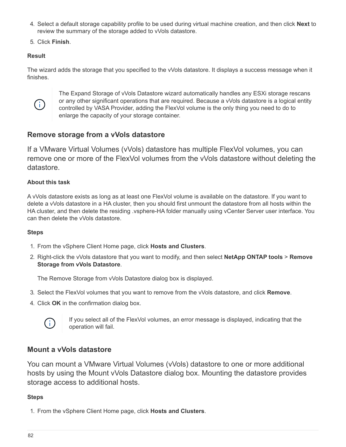- 4. Select a default storage capability profile to be used during virtual machine creation, and then click **Next** to review the summary of the storage added to vVols datastore.
- 5. Click **Finish**.

### **Result**

The wizard adds the storage that you specified to the vVols datastore. It displays a success message when it finishes.



The Expand Storage of vVols Datastore wizard automatically handles any ESXi storage rescans or any other significant operations that are required. Because a vVols datastore is a logical entity controlled by VASA Provider, adding the FlexVol volume is the only thing you need to do to enlarge the capacity of your storage container.

## **Remove storage from a vVols datastore**

If a VMware Virtual Volumes (vVols) datastore has multiple FlexVol volumes, you can remove one or more of the FlexVol volumes from the vVols datastore without deleting the datastore.

#### **About this task**

A vVols datastore exists as long as at least one FlexVol volume is available on the datastore. If you want to delete a vVols datastore in a HA cluster, then you should first unmount the datastore from all hosts within the HA cluster, and then delete the residing .vsphere-HA folder manually using vCenter Server user interface. You can then delete the vVols datastore.

#### **Steps**

- 1. From the vSphere Client Home page, click **Hosts and Clusters**.
- 2. Right-click the vVols datastore that you want to modify, and then select **NetApp ONTAP tools** > **Remove Storage from vVols Datastore**.

The Remove Storage from vVols Datastore dialog box is displayed.

- 3. Select the FlexVol volumes that you want to remove from the vVols datastore, and click **Remove**.
- 4. Click **OK** in the confirmation dialog box.



If you select all of the FlexVol volumes, an error message is displayed, indicating that the operation will fail.

## **Mount a vVols datastore**

You can mount a VMware Virtual Volumes (vVols) datastore to one or more additional hosts by using the Mount vVols Datastore dialog box. Mounting the datastore provides storage access to additional hosts.

#### **Steps**

1. From the vSphere Client Home page, click **Hosts and Clusters**.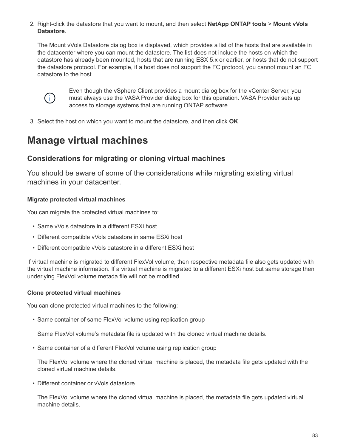2. Right-click the datastore that you want to mount, and then select **NetApp ONTAP tools** > **Mount vVols Datastore**.

The Mount vVols Datastore dialog box is displayed, which provides a list of the hosts that are available in the datacenter where you can mount the datastore. The list does not include the hosts on which the datastore has already been mounted, hosts that are running ESX 5.x or earlier, or hosts that do not support the datastore protocol. For example, if a host does not support the FC protocol, you cannot mount an FC datastore to the host.



Even though the vSphere Client provides a mount dialog box for the vCenter Server, you must always use the VASA Provider dialog box for this operation. VASA Provider sets up access to storage systems that are running ONTAP software.

3. Select the host on which you want to mount the datastore, and then click **OK**.

## **Manage virtual machines**

## **Considerations for migrating or cloning virtual machines**

You should be aware of some of the considerations while migrating existing virtual machines in your datacenter.

#### **Migrate protected virtual machines**

You can migrate the protected virtual machines to:

- Same vVols datastore in a different ESXi host
- Different compatible vVols datastore in same ESXi host
- Different compatible vVols datastore in a different ESXi host

If virtual machine is migrated to different FlexVol volume, then respective metadata file also gets updated with the virtual machine information. If a virtual machine is migrated to a different ESXi host but same storage then underlying FlexVol volume metada file will not be modified.

#### **Clone protected virtual machines**

You can clone protected virtual machines to the following:

• Same container of same FlexVol volume using replication group

Same FlexVol volume's metadata file is updated with the cloned virtual machine details.

• Same container of a different FlexVol volume using replication group

The FlexVol volume where the cloned virtual machine is placed, the metadata file gets updated with the cloned virtual machine details.

• Different container or vVols datastore

The FlexVol volume where the cloned virtual machine is placed, the metadata file gets updated virtual machine details.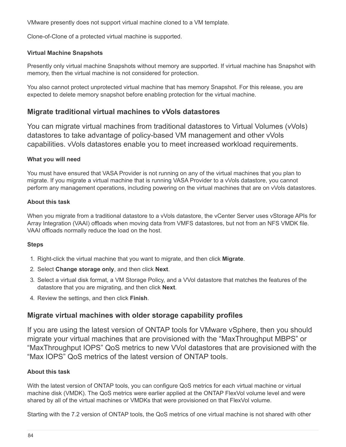VMware presently does not support virtual machine cloned to a VM template.

Clone-of-Clone of a protected virtual machine is supported.

#### **Virtual Machine Snapshots**

Presently only virtual machine Snapshots without memory are supported. If virtual machine has Snapshot with memory, then the virtual machine is not considered for protection.

You also cannot protect unprotected virtual machine that has memory Snapshot. For this release, you are expected to delete memory snapshot before enabling protection for the virtual machine.

### **Migrate traditional virtual machines to vVols datastores**

You can migrate virtual machines from traditional datastores to Virtual Volumes (vVols) datastores to take advantage of policy-based VM management and other vVols capabilities. vVols datastores enable you to meet increased workload requirements.

#### **What you will need**

You must have ensured that VASA Provider is not running on any of the virtual machines that you plan to migrate. If you migrate a virtual machine that is running VASA Provider to a vVols datastore, you cannot perform any management operations, including powering on the virtual machines that are on vVols datastores.

#### **About this task**

When you migrate from a traditional datastore to a vVols datastore, the vCenter Server uses vStorage APIs for Array Integration (VAAI) offloads when moving data from VMFS datastores, but not from an NFS VMDK file. VAAI offloads normally reduce the load on the host.

#### **Steps**

- 1. Right-click the virtual machine that you want to migrate, and then click **Migrate**.
- 2. Select **Change storage only**, and then click **Next**.
- 3. Select a virtual disk format, a VM Storage Policy, and a VVol datastore that matches the features of the datastore that you are migrating, and then click **Next**.
- 4. Review the settings, and then click **Finish**.

#### **Migrate virtual machines with older storage capability profiles**

If you are using the latest version of ONTAP tools for VMware vSphere, then you should migrate your virtual machines that are provisioned with the "MaxThroughput MBPS" or "MaxThroughput IOPS" QoS metrics to new VVol datastores that are provisioned with the "Max IOPS" QoS metrics of the latest version of ONTAP tools.

#### **About this task**

With the latest version of ONTAP tools, you can configure QoS metrics for each virtual machine or virtual machine disk (VMDK). The QoS metrics were earlier applied at the ONTAP FlexVol volume level and were shared by all of the virtual machines or VMDKs that were provisioned on that FlexVol volume.

Starting with the 7.2 version of ONTAP tools, the QoS metrics of one virtual machine is not shared with other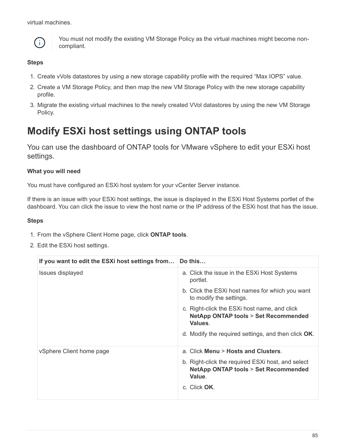virtual machines.



You must not modify the existing VM Storage Policy as the virtual machines might become noncompliant.

#### **Steps**

- 1. Create vVols datastores by using a new storage capability profile with the required "Max IOPS" value.
- 2. Create a VM Storage Policy, and then map the new VM Storage Policy with the new storage capability profile.
- 3. Migrate the existing virtual machines to the newly created VVol datastores by using the new VM Storage Policy.

## **Modify ESXi host settings using ONTAP tools**

You can use the dashboard of ONTAP tools for VMware vSphere to edit your ESXi host settings.

#### **What you will need**

You must have configured an ESXi host system for your vCenter Server instance.

If there is an issue with your ESXi host settings, the issue is displayed in the ESXi Host Systems portlet of the dashboard. You can click the issue to view the host name or the IP address of the ESXi host that has the issue.

#### **Steps**

- 1. From the vSphere Client Home page, click **ONTAP tools**.
- 2. Edit the ESXi host settings.

| If you want to edit the ESXi host settings from | Do this                                                                                                                                                          |
|-------------------------------------------------|------------------------------------------------------------------------------------------------------------------------------------------------------------------|
| Issues displayed                                | a. Click the issue in the ESXI Host Systems<br>portlet.                                                                                                          |
|                                                 | b. Click the ESXi host names for which you want<br>to modify the settings.                                                                                       |
|                                                 | c. Right-click the ESXi host name, and click<br><b>NetApp ONTAP tools &gt; Set Recommended</b><br>Values.<br>d. Modify the required settings, and then click OK. |
|                                                 |                                                                                                                                                                  |
| vSphere Client home page                        | a. Click Menu > Hosts and Clusters.                                                                                                                              |
|                                                 | b. Right-click the required ESXi host, and select<br><b>NetApp ONTAP tools &gt; Set Recommended</b><br>Value.<br>c. Click OK.                                    |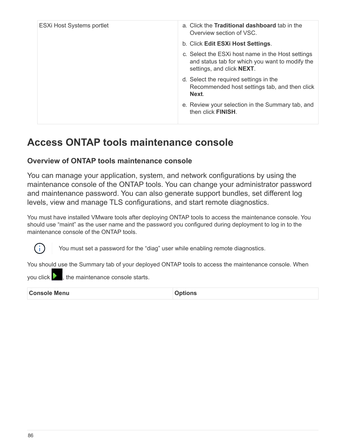| <b>ESXi Host Systems portlet</b> | a. Click the <b>Traditional dashboard</b> tab in the<br>Overview section of VSC.                                                  |
|----------------------------------|-----------------------------------------------------------------------------------------------------------------------------------|
|                                  | b. Click Edit ESXi Host Settings.                                                                                                 |
|                                  | c. Select the ESXI host name in the Host settings<br>and status tab for which you want to modify the<br>settings, and click NEXT. |
|                                  | d. Select the required settings in the<br>Recommended host settings tab, and then click<br>Next.                                  |
|                                  | e. Review your selection in the Summary tab, and<br>then click <b>FINISH</b> .                                                    |

## **Access ONTAP tools maintenance console**

## **Overview of ONTAP tools maintenance console**

You can manage your application, system, and network configurations by using the maintenance console of the ONTAP tools. You can change your administrator password and maintenance password. You can also generate support bundles, set different log levels, view and manage TLS configurations, and start remote diagnostics.

You must have installed VMware tools after deploying ONTAP tools to access the maintenance console. You should use "maint" as the user name and the password you configured during deployment to log in to the maintenance console of the ONTAP tools.



You must set a password for the "diag" user while enabling remote diagnostics.

You should use the Summary tab of your deployed ONTAP tools to access the maintenance console. When

you click  $\triangleright$  , the maintenance console starts.

| <b>Console Menu</b> | <b>Options</b> |
|---------------------|----------------|
|---------------------|----------------|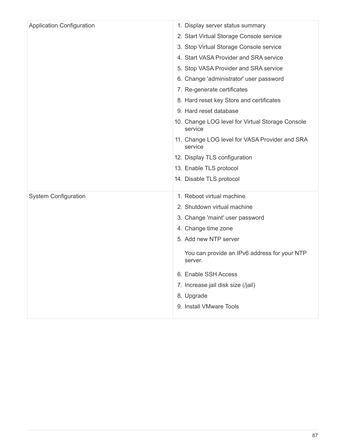| <b>Application Configuration</b> | 1. Display server status summary                            |
|----------------------------------|-------------------------------------------------------------|
|                                  | 2. Start Virtual Storage Console service                    |
|                                  | 3. Stop Virtual Storage Console service                     |
|                                  | 4. Start VASA Provider and SRA service                      |
|                                  | 5. Stop VASA Provider and SRA service                       |
|                                  | 6. Change 'administrator' user password                     |
|                                  | 7. Re-generate certificates                                 |
|                                  | 8. Hard reset key Store and certificates                    |
|                                  | 9. Hard reset database                                      |
|                                  | 10. Change LOG level for Virtual Storage Console<br>service |
|                                  | 11. Change LOG level for VASA Provider and SRA<br>service   |
|                                  | 12. Display TLS configuration                               |
|                                  | 13. Enable TLS protocol                                     |
|                                  | 14. Disable TLS protocol                                    |
| <b>System Configuration</b>      | 1. Reboot virtual machine                                   |
|                                  | 2. Shutdown virtual machine                                 |
|                                  | 3. Change 'maint' user password                             |
|                                  | 4. Change time zone                                         |
|                                  | 5. Add new NTP server                                       |
|                                  | You can provide an IPv6 address for your NTP<br>server.     |
|                                  | 6. Enable SSH Access                                        |
|                                  | 7. Increase jail disk size (/jail)                          |
|                                  | 8. Upgrade                                                  |
|                                  | 9. Install VMware Tools                                     |
|                                  |                                                             |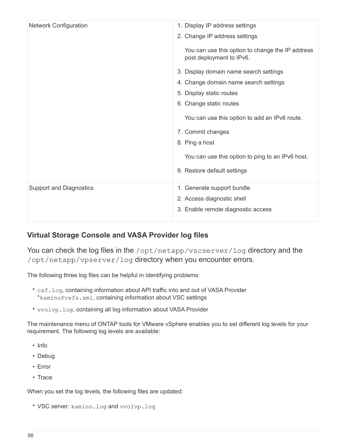| <b>Network Configuration</b>   | 1. Display IP address settings                                               |
|--------------------------------|------------------------------------------------------------------------------|
|                                | 2. Change IP address settings                                                |
|                                | You can use this option to change the IP address<br>post deployment to IPv6. |
|                                | 3. Display domain name search settings                                       |
|                                | 4. Change domain name search settings                                        |
|                                | 5. Display static routes                                                     |
|                                | 6. Change static routes                                                      |
|                                | You can use this option to add an IPv6 route.                                |
|                                | 7. Commit changes                                                            |
|                                | 8. Ping a host                                                               |
|                                | You can use this option to ping to an IPv6 host.                             |
|                                | 9. Restore default settings                                                  |
| <b>Support and Diagnostics</b> | 1. Generate support bundle                                                   |
|                                | 2. Access diagnostic shell                                                   |
|                                | 3. Enable remote diagnostic access                                           |
|                                |                                                                              |

## **Virtual Storage Console and VASA Provider log files**

You can check the log files in the /opt/netapp/vscserver/log directory and the /opt/netapp/vpserver/log directory when you encounter errors.

The following three log files can be helpful in identifying problems:

- cxf.log, containing information about API traffic into and out of VASA Provider \*kaminoPrefs.xml, containing information about VSC settings
- vvolvp.log, containing all log information about VASA Provider

The maintenance menu of ONTAP tools for VMware vSphere enables you to set different log levels for your requirement. The following log levels are available:

- Info
- Debug
- Error
- Trace

When you set the log levels, the following files are updated:

• VSC server: kamino.log and vvolvp.log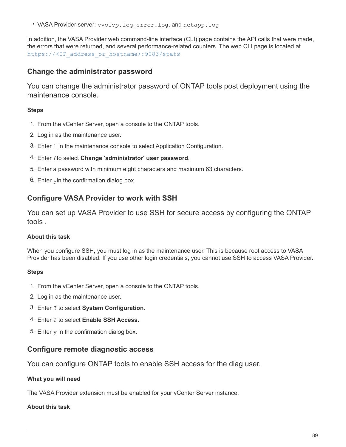• VASA Provider server: vvolvp.log, error.log, and netapp.log

In addition, the VASA Provider web command-line interface (CLI) page contains the API calls that were made, the errors that were returned, and several performance-related counters. The web CLI page is located at https://<IP address or hostname>:9083/stats.

## **Change the administrator password**

You can change the administrator password of ONTAP tools post deployment using the maintenance console.

#### **Steps**

- 1. From the vCenter Server, open a console to the ONTAP tools.
- 2. Log in as the maintenance user.
- 3. Enter 1 in the maintenance console to select Application Configuration.
- 4. Enter 6to select **Change 'administrator' user password**.
- 5. Enter a password with minimum eight characters and maximum 63 characters.
- 6. Enter yin the confirmation dialog box.

## **Configure VASA Provider to work with SSH**

You can set up VASA Provider to use SSH for secure access by configuring the ONTAP tools .

#### **About this task**

When you configure SSH, you must log in as the maintenance user. This is because root access to VASA Provider has been disabled. If you use other login credentials, you cannot use SSH to access VASA Provider.

#### **Steps**

- 1. From the vCenter Server, open a console to the ONTAP tools.
- 2. Log in as the maintenance user.
- 3. Enter 3 to select **System Configuration**.
- 4. Enter 6 to select **Enable SSH Access**.
- 5. Enter  $y$  in the confirmation dialog box.

#### **Configure remote diagnostic access**

You can configure ONTAP tools to enable SSH access for the diag user.

#### **What you will need**

The VASA Provider extension must be enabled for your vCenter Server instance.

#### **About this task**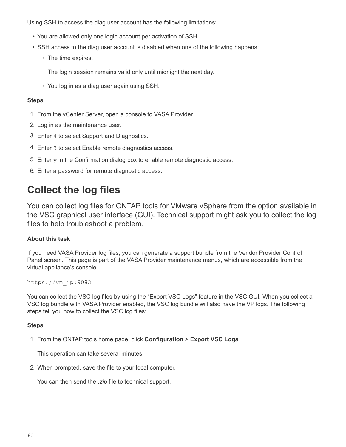Using SSH to access the diag user account has the following limitations:

- You are allowed only one login account per activation of SSH.
- SSH access to the diag user account is disabled when one of the following happens:
	- The time expires.

The login session remains valid only until midnight the next day.

◦ You log in as a diag user again using SSH.

#### **Steps**

- 1. From the vCenter Server, open a console to VASA Provider.
- 2. Log in as the maintenance user.
- 3. Enter 4 to select Support and Diagnostics.
- 4. Enter 3 to select Enable remote diagnostics access.
- 5. Enter  $y$  in the Confirmation dialog box to enable remote diagnostic access.
- 6. Enter a password for remote diagnostic access.

## **Collect the log files**

You can collect log files for ONTAP tools for VMware vSphere from the option available in the VSC graphical user interface (GUI). Technical support might ask you to collect the log files to help troubleshoot a problem.

#### **About this task**

If you need VASA Provider log files, you can generate a support bundle from the Vendor Provider Control Panel screen. This page is part of the VASA Provider maintenance menus, which are accessible from the virtual appliance's console.

https://vm\_ip:9083

You can collect the VSC log files by using the "Export VSC Logs" feature in the VSC GUI. When you collect a VSC log bundle with VASA Provider enabled, the VSC log bundle will also have the VP logs. The following steps tell you how to collect the VSC log files:

#### **Steps**

1. From the ONTAP tools home page, click **Configuration** > **Export VSC Logs**.

This operation can take several minutes.

2. When prompted, save the file to your local computer.

You can then send the *.zip* file to technical support.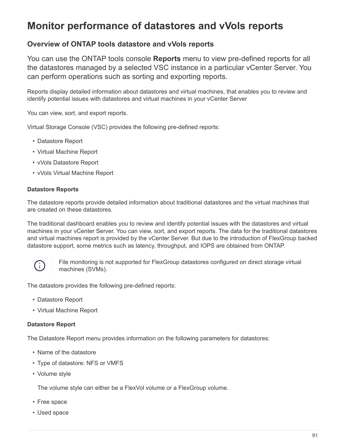## **Monitor performance of datastores and vVols reports**

## **Overview of ONTAP tools datastore and vVols reports**

You can use the ONTAP tools console **Reports** menu to view pre-defined reports for all the datastores managed by a selected VSC instance in a particular vCenter Server. You can perform operations such as sorting and exporting reports.

Reports display detailed information about datastores and virtual machines, that enables you to review and identify potential issues with datastores and virtual machines in your vCenter Server

You can view, sort, and export reports.

Virtual Storage Console (VSC) provides the following pre-defined reports:

- Datastore Report
- Virtual Machine Report
- vVols Datastore Report
- vVols Virtual Machine Report

#### **Datastore Reports**

The datastore reports provide detailed information about traditional datastores and the virtual machines that are created on these datastores.

The traditional dashboard enables you to review and identify potential issues with the datastores and virtual machines in your vCenter Server. You can view, sort, and export reports. The data for the traditional datastores and virtual machines report is provided by the vCenter Server. But due to the introduction of FlexGroup backed datastore support, some metrics such as latency, throughput, and IOPS are obtained from ONTAP.



File monitoring is not supported for FlexGroup datastores configured on direct storage virtual machines (SVMs).

The datastore provides the following pre-defined reports:

- Datastore Report
- Virtual Machine Report

#### **Datastore Report**

The Datastore Report menu provides information on the following parameters for datastores:

- Name of the datastore
- Type of datastore: NFS or VMFS
- Volume style

The volume style can either be a FlexVol volume or a FlexGroup volume.

- Free space
- Used space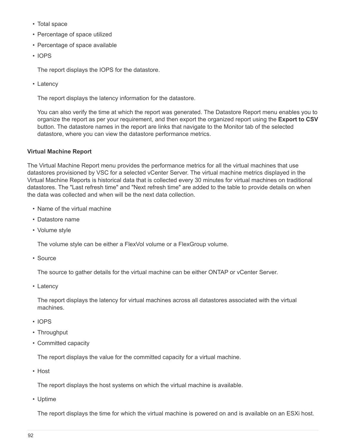- Total space
- Percentage of space utilized
- Percentage of space available
- IOPS

The report displays the IOPS for the datastore.

• Latency

The report displays the latency information for the datastore.

You can also verify the time at which the report was generated. The Datastore Report menu enables you to organize the report as per your requirement, and then export the organized report using the **Export to CSV** button. The datastore names in the report are links that navigate to the Monitor tab of the selected datastore, where you can view the datastore performance metrics.

#### **Virtual Machine Report**

The Virtual Machine Report menu provides the performance metrics for all the virtual machines that use datastores provisioned by VSC for a selected vCenter Server. The virtual machine metrics displayed in the Virtual Machine Reports is historical data that is collected every 30 minutes for virtual machines on traditional datastores. The "Last refresh time" and "Next refresh time" are added to the table to provide details on when the data was collected and when will be the next data collection.

- Name of the virtual machine
- Datastore name
- Volume style

The volume style can be either a FlexVol volume or a FlexGroup volume.

• Source

The source to gather details for the virtual machine can be either ONTAP or vCenter Server.

• Latency

The report displays the latency for virtual machines across all datastores associated with the virtual machines.

- IOPS
- Throughput
- Committed capacity

The report displays the value for the committed capacity for a virtual machine.

• Host

The report displays the host systems on which the virtual machine is available.

• Uptime

The report displays the time for which the virtual machine is powered on and is available on an ESXi host.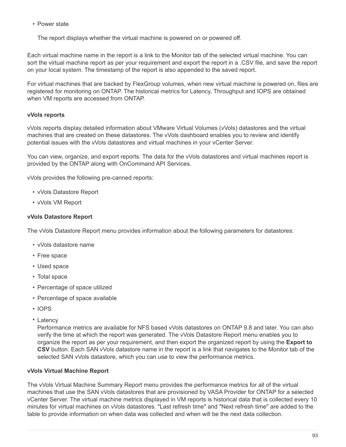• Power state

The report displays whether the virtual machine is powered on or powered off.

Each virtual machine name in the report is a link to the Monitor tab of the selected virtual machine. You can sort the virtual machine report as per your requirement and export the report in a .CSV file, and save the report on your local system. The timestamp of the report is also appended to the saved report.

For virtual machines that are backed by FlexGroup volumes, when new virtual machine is powered on, files are registered for monitoring on ONTAP. The historical metrics for Latency, Throughput and IOPS are obtained when VM reports are accessed from ONTAP.

#### **vVols reports**

vVols reports display detailed information about VMware Virtual Volumes (vVols) datastores and the virtual machines that are created on these datastores. The vVols dashboard enables you to review and identify potential issues with the vVols datastores and virtual machines in your vCenter Server.

You can view, organize, and export reports. The data for the vVols datastores and virtual machines report is provided by the ONTAP along with OnCommand API Services.

vVols provides the following pre-canned reports:

- vVols Datastore Report
- vVols VM Report

#### **vVols Datastore Report**

The vVols Datastore Report menu provides information about the following parameters for datastores:

- vVols datastore name
- Free space
- Used space
- Total space
- Percentage of space utilized
- Percentage of space available
- IOPS
- Latency

Performance metrics are available for NFS based vVols datastores on ONTAP 9.8 and later. You can also verify the time at which the report was generated. The vVols Datastore Report menu enables you to organize the report as per your requirement, and then export the organized report by using the **Export to CSV** button. Each SAN vVols datastore name in the report is a link that navigates to the Monitor tab of the selected SAN vVols datastore, which you can use to view the performance metrics.

#### **vVols Virtual Machine Report**

The vVols Virtual Machine Summary Report menu provides the performance metrics for all of the virtual machines that use the SAN vVols datastores that are provisioned by VASA Provider for ONTAP for a selected vCenter Server. The virtual machine metrics displayed in VM reports is historical data that is collected every 10 minutes for virtual machines on vVols datastores. "Last refresh time" and "Next refresh time" are added to the table to provide information on when data was collected and when will be the next data collection.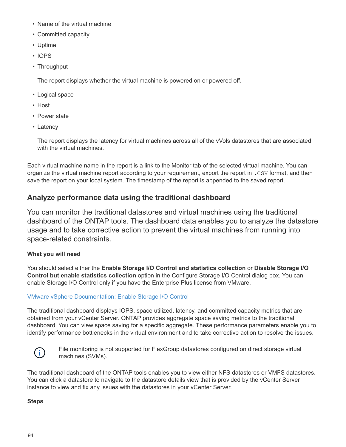- Name of the virtual machine
- Committed capacity
- Uptime
- IOPS
- Throughput

The report displays whether the virtual machine is powered on or powered off.

- Logical space
- Host
- Power state
- Latency

The report displays the latency for virtual machines across all of the vVols datastores that are associated with the virtual machines.

Each virtual machine name in the report is a link to the Monitor tab of the selected virtual machine. You can organize the virtual machine report according to your requirement, export the report in .CSV format, and then save the report on your local system. The timestamp of the report is appended to the saved report.

## **Analyze performance data using the traditional dashboard**

You can monitor the traditional datastores and virtual machines using the traditional dashboard of the ONTAP tools. The dashboard data enables you to analyze the datastore usage and to take corrective action to prevent the virtual machines from running into space-related constraints.

## **What you will need**

You should select either the **Enable Storage I/O Control and statistics collection** or **Disable Storage I/O Control but enable statistics collection** option in the Configure Storage I/O Control dialog box. You can enable Storage I/O Control only if you have the Enterprise Plus license from VMware.

## [VMware vSphere Documentation: Enable Storage I/O Control](https://docs.vmware.com/en/VMware-vSphere/6.5/com.vmware.vsphere.resmgmt.doc/GUID-BB5D9BAB-9E0E-4204-A76A-54634CD8AD51.html)

The traditional dashboard displays IOPS, space utilized, latency, and committed capacity metrics that are obtained from your vCenter Server. ONTAP provides aggregate space saving metrics to the traditional dashboard. You can view space saving for a specific aggregate. These performance parameters enable you to identify performance bottlenecks in the virtual environment and to take corrective action to resolve the issues.



File monitoring is not supported for FlexGroup datastores configured on direct storage virtual machines (SVMs).

The traditional dashboard of the ONTAP tools enables you to view either NFS datastores or VMFS datastores. You can click a datastore to navigate to the datastore details view that is provided by the vCenter Server instance to view and fix any issues with the datastores in your vCenter Server.

#### **Steps**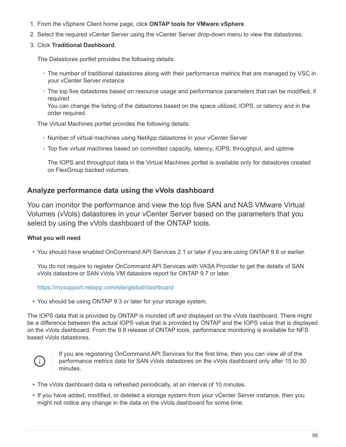- 1. From the vSphere Client home page, click **ONTAP tools for VMware vSphere**.
- 2. Select the required vCenter Server using the vCenter Server drop-down menu to view the datastores.
- 3. Click **Traditional Dashboard**.

The Datastores portlet provides the following details:

- The number of traditional datastores along with their performance metrics that are managed by VSC in your vCenter Server instance
- The top five datastores based on resource usage and performance parameters that can be modified, if required

You can change the listing of the datastores based on the space utilized, IOPS, or latency and in the order required.

The Virtual Machines portlet provides the following details:

- Number of virtual machines using NetApp datastores in your vCenter Server
- Top five virtual machines based on committed capacity, latency, IOPS, throughput, and uptime

The IOPS and throughput data in the Virtual Machines portlet is available only for datastores created on FlexGroup backed volumes.

## **Analyze performance data using the vVols dashboard**

You can monitor the performance and view the top five SAN and NAS VMware Virtual Volumes (vVols) datastores in your vCenter Server based on the parameters that you select by using the vVols dashboard of the ONTAP tools.

#### **What you will need**

• You should have enabled OnCommand API Services 2.1 or later if you are using ONTAP 9.6 or earlier.

You do not require to register OnCommand API Services with VASA Provider to get the details of SAN vVols datastore or SAN vVols VM datastore report for ONTAP 9.7 or later.

#### <https://mysupport.netapp.com/site/global/dashboard>

• You should be using ONTAP 9.3 or later for your storage system.

The IOPS data that is provided by ONTAP is rounded off and displayed on the vVols dashboard. There might be a difference between the actual IOPS value that is provided by ONTAP and the IOPS value that is displayed on the vVols dashboard. From the 9.8 release of ONTAP tools, performance monitoring is available for NFS based vVols datastores.



If you are registering OnCommand API Services for the first time, then you can view all of the performance metrics data for SAN vVols datastores on the vVols dashboard only after 15 to 30 minutes.

- The vVols dashboard data is refreshed periodically, at an interval of 10 minutes.
- If you have added, modified, or deleted a storage system from your vCenter Server instance, then you might not notice any change in the data on the vVols dashboard for some time.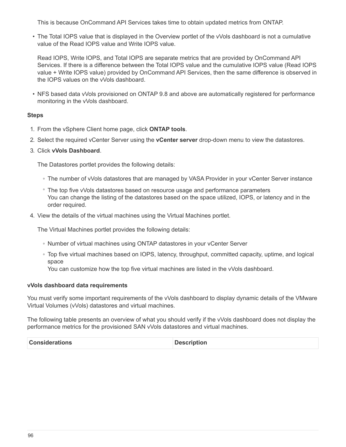This is because OnCommand API Services takes time to obtain updated metrics from ONTAP.

• The Total IOPS value that is displayed in the Overview portlet of the vVols dashboard is not a cumulative value of the Read IOPS value and Write IOPS value.

Read IOPS, Write IOPS, and Total IOPS are separate metrics that are provided by OnCommand API Services. If there is a difference between the Total IOPS value and the cumulative IOPS value (Read IOPS value + Write IOPS value) provided by OnCommand API Services, then the same difference is observed in the IOPS values on the vVols dashboard.

• NFS based data vVols provisioned on ONTAP 9.8 and above are automatically registered for performance monitoring in the vVols dashboard.

#### **Steps**

- 1. From the vSphere Client home page, click **ONTAP tools**.
- 2. Select the required vCenter Server using the **vCenter server** drop-down menu to view the datastores.
- 3. Click **vVols Dashboard**.

The Datastores portlet provides the following details:

- The number of vVols datastores that are managed by VASA Provider in your vCenter Server instance
- The top five vVols datastores based on resource usage and performance parameters You can change the listing of the datastores based on the space utilized, IOPS, or latency and in the order required.
- 4. View the details of the virtual machines using the Virtual Machines portlet.

The Virtual Machines portlet provides the following details:

- Number of virtual machines using ONTAP datastores in your vCenter Server
- Top five virtual machines based on IOPS, latency, throughput, committed capacity, uptime, and logical space

You can customize how the top five virtual machines are listed in the vVols dashboard.

#### **vVols dashboard data requirements**

You must verify some important requirements of the vVols dashboard to display dynamic details of the VMware Virtual Volumes (vVols) datastores and virtual machines.

The following table presents an overview of what you should verify if the vVols dashboard does not display the performance metrics for the provisioned SAN vVols datastores and virtual machines.

| <b>Considerations</b> | <b>Description</b> |
|-----------------------|--------------------|
|-----------------------|--------------------|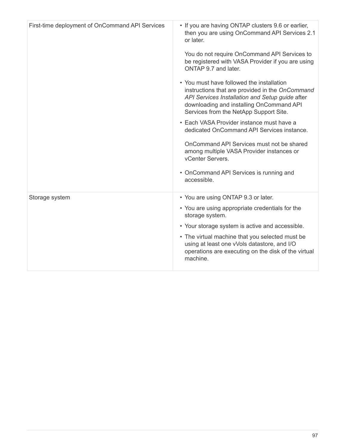| First-time deployment of OnCommand API Services | • If you are having ONTAP clusters 9.6 or earlier,                                                                                                                                                                                    |
|-------------------------------------------------|---------------------------------------------------------------------------------------------------------------------------------------------------------------------------------------------------------------------------------------|
|                                                 | then you are using OnCommand API Services 2.1<br>or later.                                                                                                                                                                            |
|                                                 | You do not require OnCommand API Services to<br>be registered with VASA Provider if you are using<br>ONTAP 9.7 and later.                                                                                                             |
|                                                 | • You must have followed the installation<br>instructions that are provided in the OnCommand<br>API Services Installation and Setup guide after<br>downloading and installing OnCommand API<br>Services from the NetApp Support Site. |
|                                                 | • Each VASA Provider instance must have a<br>dedicated OnCommand API Services instance.                                                                                                                                               |
|                                                 | OnCommand API Services must not be shared<br>among multiple VASA Provider instances or<br>vCenter Servers.                                                                                                                            |
|                                                 | • OnCommand API Services is running and<br>accessible.                                                                                                                                                                                |
| Storage system                                  | • You are using ONTAP 9.3 or later.                                                                                                                                                                                                   |
|                                                 | • You are using appropriate credentials for the<br>storage system.                                                                                                                                                                    |
|                                                 | • Your storage system is active and accessible.                                                                                                                                                                                       |
|                                                 | • The virtual machine that you selected must be<br>using at least one vVols datastore, and I/O<br>operations are executing on the disk of the virtual<br>machine.                                                                     |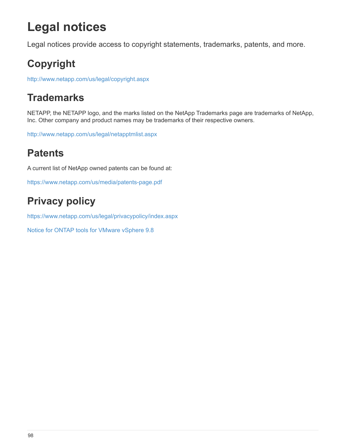# **Legal notices**

Legal notices provide access to copyright statements, trademarks, patents, and more.

## **Copyright**

<http://www.netapp.com/us/legal/copyright.aspx>

## **Trademarks**

NETAPP, the NETAPP logo, and the marks listed on the NetApp Trademarks page are trademarks of NetApp, Inc. Other company and product names may be trademarks of their respective owners.

<http://www.netapp.com/us/legal/netapptmlist.aspx>

## **Patents**

A current list of NetApp owned patents can be found at:

<https://www.netapp.com/us/media/patents-page.pdf>

## **Privacy policy**

<https://www.netapp.com/us/legal/privacypolicy/index.aspx>

[Notice for ONTAP tools for VMware vSphere 9.8](https://library.netapp.com/ecm/ecm_download_file/ECMLP2875811)